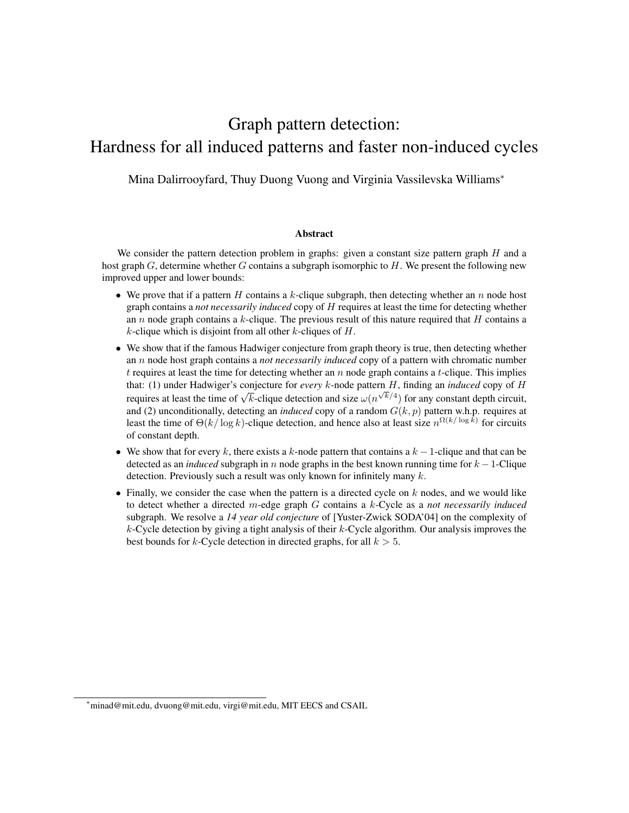# Graph pattern detection: Hardness for all induced patterns and faster non-induced cycles

Mina Dalirrooyfard, Thuy Duong Vuong and Virginia Vassilevska Williams<sup>∗</sup>

#### Abstract

We consider the pattern detection problem in graphs: given a constant size pattern graph  $H$  and a host graph  $G$ , determine whether G contains a subgraph isomorphic to  $H$ . We present the following new improved upper and lower bounds:

- We prove that if a pattern H contains a k-clique subgraph, then detecting whether an n node host graph contains a *not necessarily induced* copy of H requires at least the time for detecting whether an n node graph contains a k-clique. The previous result of this nature required that  $H$  contains a  $k$ -clique which is disjoint from all other  $k$ -cliques of  $H$ .
- We show that if the famous Hadwiger conjecture from graph theory is true, then detecting whether an n node host graph contains a *not necessarily induced* copy of a pattern with chromatic number  $t$  requires at least the time for detecting whether an  $n$  node graph contains a  $t$ -clique. This implies that: (1) under Hadwiger's conjecture for *every* k-node pattern  $H$ , finding an *induced* copy of  $H$ requires at least the time of  $\sqrt{k}$ -clique detection and size  $\omega(n^{\sqrt{k}/4})$  for any constant depth circuit, and (2) unconditionally, detecting an *induced* copy of a random  $G(k, p)$  pattern w.h.p. requires at least the time of  $\Theta(k/\log k)$ -clique detection, and hence also at least size  $n^{\Omega(k/\log k)}$  for circuits of constant depth.
- We show that for every k, there exists a k-node pattern that contains a  $k 1$ -clique and that can be detected as an *induced* subgraph in n node graphs in the best known running time for  $k - 1$ -Clique detection. Previously such a result was only known for infinitely many k.
- Finally, we consider the case when the pattern is a directed cycle on  $k$  nodes, and we would like to detect whether a directed m-edge graph G contains a k-Cycle as a *not necessarily induced* subgraph. We resolve a *14 year old conjecture* of [Yuster-Zwick SODA'04] on the complexity of  $k$ -Cycle detection by giving a tight analysis of their  $k$ -Cycle algorithm. Our analysis improves the best bounds for k-Cycle detection in directed graphs, for all  $k > 5$ .

<sup>∗</sup>minad@mit.edu, dvuong@mit.edu, virgi@mit.edu, MIT EECS and CSAIL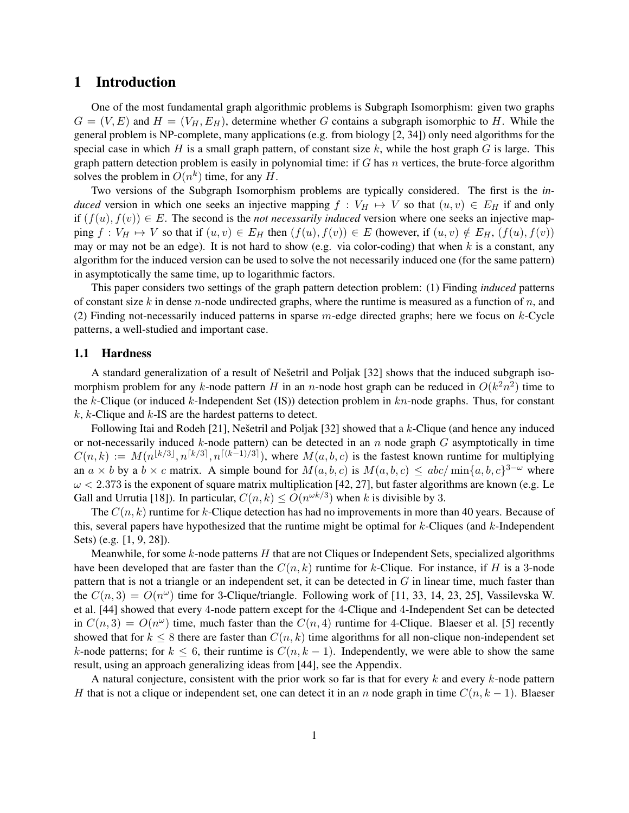# 1 Introduction

One of the most fundamental graph algorithmic problems is Subgraph Isomorphism: given two graphs  $G = (V, E)$  and  $H = (V_H, E_H)$ , determine whether G contains a subgraph isomorphic to H. While the general problem is NP-complete, many applications (e.g. from biology [2, 34]) only need algorithms for the special case in which  $H$  is a small graph pattern, of constant size  $k$ , while the host graph  $G$  is large. This graph pattern detection problem is easily in polynomial time: if  $G$  has  $n$  vertices, the brute-force algorithm solves the problem in  $O(n^k)$  time, for any H.

Two versions of the Subgraph Isomorphism problems are typically considered. The first is the *induced* version in which one seeks an injective mapping  $f : V_H \mapsto V$  so that  $(u, v) \in E_H$  if and only if  $(f(u), f(v)) \in E$ . The second is the *not necessarily induced* version where one seeks an injective mapping  $f: V_H \mapsto V$  so that if  $(u, v) \in E_H$  then  $(f(u), f(v)) \in E$  (however, if  $(u, v) \notin E_H$ ,  $(f(u), f(v))$ ) may or may not be an edge). It is not hard to show (e.g. via color-coding) that when  $k$  is a constant, any algorithm for the induced version can be used to solve the not necessarily induced one (for the same pattern) in asymptotically the same time, up to logarithmic factors.

This paper considers two settings of the graph pattern detection problem: (1) Finding *induced* patterns of constant size k in dense n-node undirected graphs, where the runtime is measured as a function of  $n$ , and (2) Finding not-necessarily induced patterns in sparse  $m$ -edge directed graphs; here we focus on  $k$ -Cycle patterns, a well-studied and important case.

### 1.1 Hardness

A standard generalization of a result of Nešetril and Poljak [32] shows that the induced subgraph isomorphism problem for any k-node pattern H in an n-node host graph can be reduced in  $O(k^2n^2)$  time to the k-Clique (or induced k-Independent Set (IS)) detection problem in  $kn$ -node graphs. Thus, for constant  $k, k$ -Clique and  $k$ -IS are the hardest patterns to detect.

Following Itai and Rodeh [21], Nešetril and Poljak [32] showed that a  $k$ -Clique (and hence any induced or not-necessarily induced  $k$ -node pattern) can be detected in an  $n$  node graph  $G$  asymptotically in time  $C(n,k) := M(n^{\lfloor k/3 \rfloor}, n^{\lceil k/3 \rceil}, n^{\lceil (k-1)/3 \rceil})$ , where  $M(a, b, c)$  is the fastest known runtime for multiplying an  $a \times b$  by a  $b \times c$  matrix. A simple bound for  $M(a, b, c)$  is  $M(a, b, c) \le abc / \min\{a, b, c\}^{3-\omega}$  where  $\omega$  < 2.373 is the exponent of square matrix multiplication [42, 27], but faster algorithms are known (e.g. Le Gall and Urrutia [18]). In particular,  $C(n, k) \leq O(n^{\omega k/3})$  when k is divisible by 3.

The  $C(n, k)$  runtime for k-Clique detection has had no improvements in more than 40 years. Because of this, several papers have hypothesized that the runtime might be optimal for  $k$ -Cliques (and  $k$ -Independent Sets) (e.g. [1, 9, 28]).

Meanwhile, for some  $k$ -node patterns  $H$  that are not Cliques or Independent Sets, specialized algorithms have been developed that are faster than the  $C(n, k)$  runtime for k-Clique. For instance, if H is a 3-node pattern that is not a triangle or an independent set, it can be detected in G in linear time, much faster than the  $C(n, 3) = O(n^{\omega})$  time for 3-Clique/triangle. Following work of [11, 33, 14, 23, 25], Vassilevska W. et al. [44] showed that every 4-node pattern except for the 4-Clique and 4-Independent Set can be detected in  $C(n, 3) = O(n^{\omega})$  time, much faster than the  $C(n, 4)$  runtime for 4-Clique. Blaeser et al. [5] recently showed that for  $k \leq 8$  there are faster than  $C(n, k)$  time algorithms for all non-clique non-independent set k-node patterns; for  $k \leq 6$ , their runtime is  $C(n, k-1)$ . Independently, we were able to show the same result, using an approach generalizing ideas from [44], see the Appendix.

A natural conjecture, consistent with the prior work so far is that for every  $k$  and every  $k$ -node pattern H that is not a clique or independent set, one can detect it in an n node graph in time  $C(n, k - 1)$ . Blaeser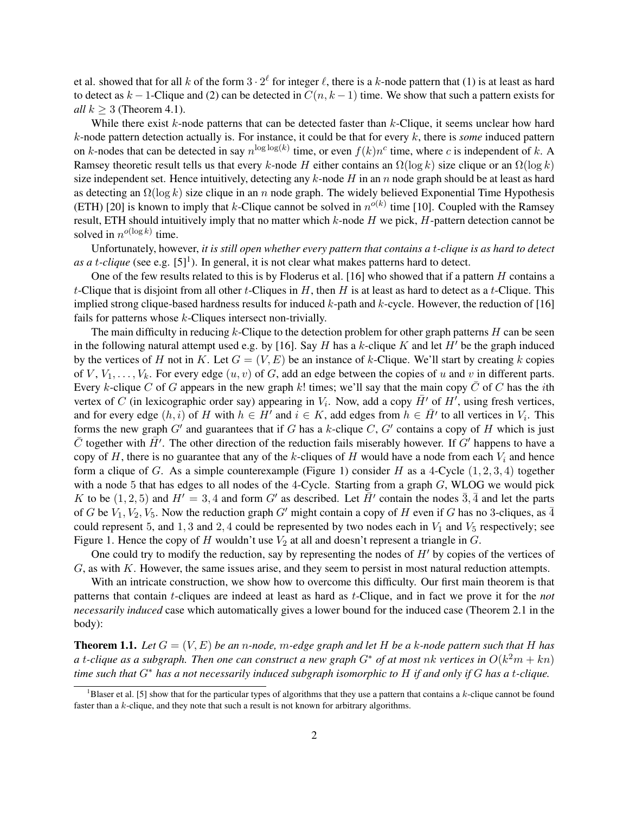et al. showed that for all k of the form  $3 \cdot 2^{\ell}$  for integer  $\ell$ , there is a k-node pattern that (1) is at least as hard to detect as  $k - 1$ -Clique and (2) can be detected in  $C(n, k - 1)$  time. We show that such a pattern exists for *all*  $k \geq 3$  (Theorem 4.1).

While there exist  $k$ -node patterns that can be detected faster than  $k$ -Clique, it seems unclear how hard k-node pattern detection actually is. For instance, it could be that for every k, there is *some* induced pattern on k-nodes that can be detected in say  $n^{\log \log(k)}$  time, or even  $f(k)n^c$  time, where c is independent of k. A Ramsey theoretic result tells us that every k-node H either contains an  $\Omega(\log k)$  size clique or an  $\Omega(\log k)$ size independent set. Hence intuitively, detecting any  $k$ -node H in an n node graph should be at least as hard as detecting an  $\Omega(\log k)$  size clique in an n node graph. The widely believed Exponential Time Hypothesis (ETH) [20] is known to imply that k-Clique cannot be solved in  $n^{o(k)}$  time [10]. Coupled with the Ramsey result, ETH should intuitively imply that no matter which  $k$ -node  $H$  we pick,  $H$ -pattern detection cannot be solved in  $n^{o(\log k)}$  time.

Unfortunately, however, *it is still open whether every pattern that contains a* t*-clique is as hard to detect* as a t-clique (see e.g.  $[5]^1$ ). In general, it is not clear what makes patterns hard to detect.

One of the few results related to this is by Floderus et al. [16] who showed that if a pattern H contains a t-Clique that is disjoint from all other t-Cliques in  $H$ , then  $H$  is at least as hard to detect as a t-Clique. This implied strong clique-based hardness results for induced  $k$ -path and  $k$ -cycle. However, the reduction of [16] fails for patterns whose k-Cliques intersect non-trivially.

The main difficulty in reducing  $k$ -Clique to the detection problem for other graph patterns  $H$  can be seen in the following natural attempt used e.g. by [16]. Say H has a k-clique K and let H' be the graph induced by the vertices of H not in K. Let  $G = (V, E)$  be an instance of k-Clique. We'll start by creating k copies of V,  $V_1, \ldots, V_k$ . For every edge  $(u, v)$  of G, add an edge between the copies of u and v in different parts. Every k-clique C of G appears in the new graph k! times; we'll say that the main copy  $\bar{C}$  of C has the *i*th vertex of C (in lexicographic order say) appearing in  $V_i$ . Now, add a copy  $\bar{H}'$  of  $H'$ , using fresh vertices, and for every edge  $(h, i)$  of H with  $h \in H'$  and  $i \in K$ , add edges from  $h \in H'$  to all vertices in  $V_i$ . This forms the new graph  $G'$  and guarantees that if G has a k-clique C,  $G'$  contains a copy of H which is just  $\bar{C}$  together with  $\bar{H'}$ . The other direction of the reduction fails miserably however. If G' happens to have a copy of  $H$ , there is no guarantee that any of the k-cliques of  $H$  would have a node from each  $V_i$  and hence form a clique of G. As a simple counterexample (Figure 1) consider H as a 4-Cycle  $(1, 2, 3, 4)$  together with a node 5 that has edges to all nodes of the 4-Cycle. Starting from a graph G, WLOG we would pick K to be  $(1, 2, 5)$  and  $H' = 3, 4$  and form G' as described. Let  $\overline{H}$ ' contain the nodes  $\overline{3}, \overline{4}$  and let the parts of G be  $V_1, V_2, V_5$ . Now the reduction graph G' might contain a copy of H even if G has no 3-cliques, as  $\overline{4}$ could represent 5, and 1, 3 and 2, 4 could be represented by two nodes each in  $V_1$  and  $V_5$  respectively; see Figure 1. Hence the copy of H wouldn't use  $V_2$  at all and doesn't represent a triangle in G.

One could try to modify the reduction, say by representing the nodes of  $H'$  by copies of the vertices of G, as with K. However, the same issues arise, and they seem to persist in most natural reduction attempts.

With an intricate construction, we show how to overcome this difficulty. Our first main theorem is that patterns that contain t-cliques are indeed at least as hard as t-Clique, and in fact we prove it for the *not necessarily induced* case which automatically gives a lower bound for the induced case (Theorem 2.1 in the body):

**Theorem 1.1.** Let  $G = (V, E)$  be an *n*-node, m-edge graph and let H be a k-node pattern such that H has  $a$  t-clique as a subgraph. Then one can construct a new graph  $G^*$  of at most  $nk$  vertices in  $O(k^2m + kn)$ *time such that* G<sup>∗</sup> *has a not necessarily induced subgraph isomorphic to* H *if and only if* G *has a* t*-clique.*

<sup>&</sup>lt;sup>1</sup>Blaser et al. [5] show that for the particular types of algorithms that they use a pattern that contains a  $k$ -clique cannot be found faster than a k-clique, and they note that such a result is not known for arbitrary algorithms.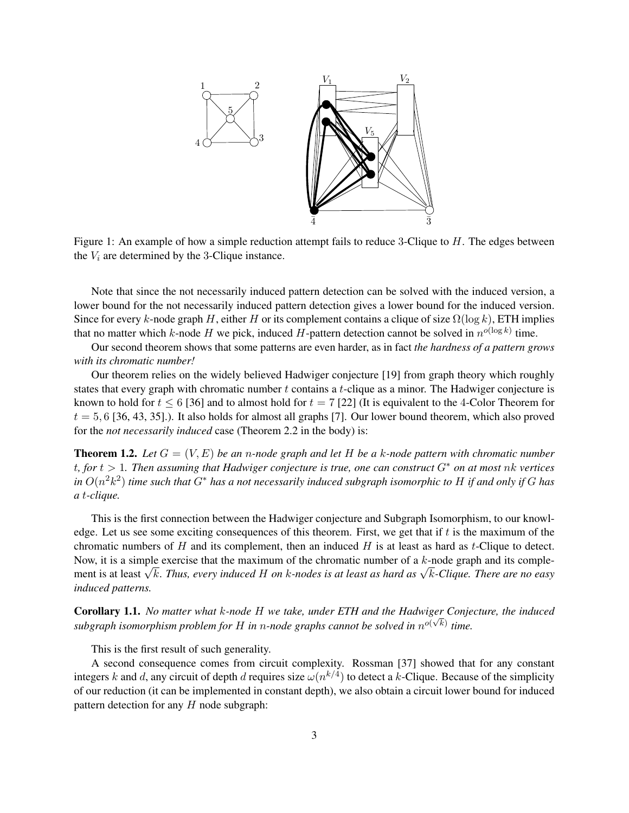

Figure 1: An example of how a simple reduction attempt fails to reduce 3-Clique to H. The edges between the  $V_i$  are determined by the 3-Clique instance.

Note that since the not necessarily induced pattern detection can be solved with the induced version, a lower bound for the not necessarily induced pattern detection gives a lower bound for the induced version. Since for every k-node graph H, either H or its complement contains a clique of size  $\Omega(\log k)$ , ETH implies that no matter which k-node H we pick, induced H-pattern detection cannot be solved in  $n^{o(\log k)}$  time.

Our second theorem shows that some patterns are even harder, as in fact *the hardness of a pattern grows with its chromatic number!*

Our theorem relies on the widely believed Hadwiger conjecture [19] from graph theory which roughly states that every graph with chromatic number t contains a t-clique as a minor. The Hadwiger conjecture is known to hold for  $t \le 6$  [36] and to almost hold for  $t = 7$  [22] (It is equivalent to the 4-Color Theorem for  $t = 5, 6$  [36, 43, 35].). It also holds for almost all graphs [7]. Our lower bound theorem, which also proved for the *not necessarily induced* case (Theorem 2.2 in the body) is:

**Theorem 1.2.** Let  $G = (V, E)$  be an n-node graph and let H be a k-node pattern with chromatic number t*, for* t > 1*. Then assuming that Hadwiger conjecture is true, one can construct* G<sup>∗</sup> *on at most* nk *vertices in* O(n 2k 2 ) *time such that* G<sup>∗</sup> *has a not necessarily induced subgraph isomorphic to* H *if and only if* G *has a* t*-clique.*

This is the first connection between the Hadwiger conjecture and Subgraph Isomorphism, to our knowledge. Let us see some exciting consequences of this theorem. First, we get that if t is the maximum of the chromatic numbers of  $H$  and its complement, then an induced  $H$  is at least as hard as  $t$ -Clique to detect. Now, it is a simple exercise that the maximum of the chromatic number of a  $k$ -node graph and its complement is at least <sup>√</sup> <sup>k</sup>. *Thus, every induced* <sup>H</sup> *on* <sup>k</sup>*-nodes is at least as hard as* <sup>√</sup> k*-Clique. There are no easy induced patterns.*

Corollary 1.1. *No matter what* k*-node* H *we take, under ETH and the Hadwiger Conjecture, the induced* √ subgraph isomorphism problem for H in n-node graphs cannot be solved in  $n^{o(\sqrt{k})}$  time.

This is the first result of such generality.

A second consequence comes from circuit complexity. Rossman [37] showed that for any constant integers k and d, any circuit of depth d requires size  $\omega(n^{k/4})$  to detect a k-Clique. Because of the simplicity of our reduction (it can be implemented in constant depth), we also obtain a circuit lower bound for induced pattern detection for any  $H$  node subgraph: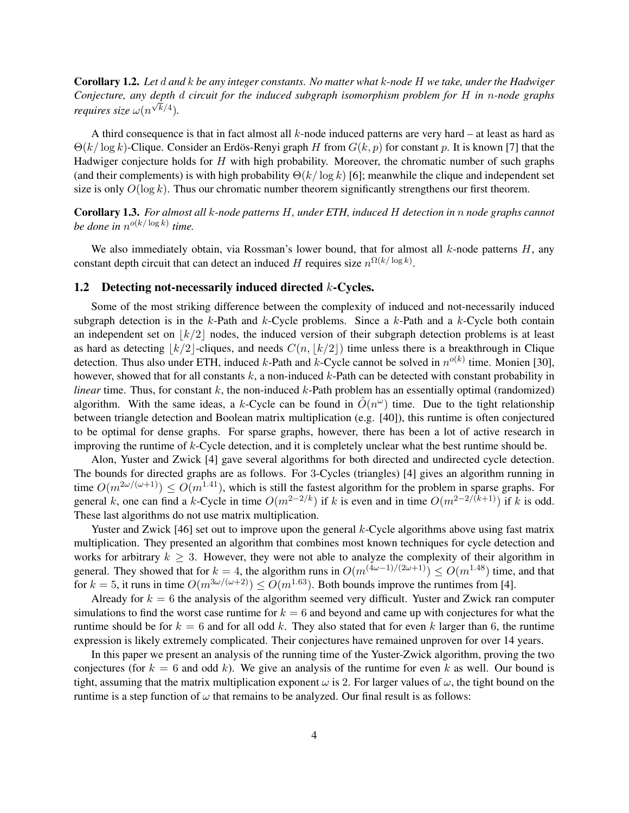Corollary 1.2. *Let* d *and* k *be any integer constants. No matter what* k*-node* H *we take, under the Hadwiger Conjecture, any depth* d *circuit for the induced subgraph isomorphism problem for* H *in* n*-node graphs* √ *requires size*  $\omega(n^{\sqrt{k}/4})$ .

A third consequence is that in fact almost all  $k$ -node induced patterns are very hard – at least as hard as  $\Theta(k/\log k)$ -Clique. Consider an Erdös-Renyi graph H from  $G(k, p)$  for constant p. It is known [7] that the Hadwiger conjecture holds for H with high probability. Moreover, the chromatic number of such graphs (and their complements) is with high probability  $\Theta(k/\log k)$  [6]; meanwhile the clique and independent set size is only  $O(\log k)$ . Thus our chromatic number theorem significantly strengthens our first theorem.

Corollary 1.3. *For almost all* k*-node patterns* H*, under ETH, induced* H *detection in* n *node graphs cannot be done in*  $n^{o(k/\log k)}$  *time.* 

We also immediately obtain, via Rossman's lower bound, that for almost all  $k$ -node patterns  $H$ , any constant depth circuit that can detect an induced H requires size  $n^{\Omega(k/\log k)}$ .

### 1.2 Detecting not-necessarily induced directed k-Cycles.

Some of the most striking difference between the complexity of induced and not-necessarily induced subgraph detection is in the  $k$ -Path and  $k$ -Cycle problems. Since a  $k$ -Path and a  $k$ -Cycle both contain an independent set on  $|k/2|$  nodes, the induced version of their subgraph detection problems is at least as hard as detecting  $\lfloor k/2 \rfloor$ -cliques, and needs  $C(n, \lfloor k/2 \rfloor)$  time unless there is a breakthrough in Clique detection. Thus also under ETH, induced k-Path and k-Cycle cannot be solved in  $n^{o(k)}$  time. Monien [30], however, showed that for all constants  $k$ , a non-induced  $k$ -Path can be detected with constant probability in *linear* time. Thus, for constant  $k$ , the non-induced  $k$ -Path problem has an essentially optimal (randomized) algorithm. With the same ideas, a k-Cycle can be found in  $\tilde{O}(n^{\omega})$  time. Due to the tight relationship between triangle detection and Boolean matrix multiplication (e.g. [40]), this runtime is often conjectured to be optimal for dense graphs. For sparse graphs, however, there has been a lot of active research in improving the runtime of k-Cycle detection, and it is completely unclear what the best runtime should be.

Alon, Yuster and Zwick [4] gave several algorithms for both directed and undirected cycle detection. The bounds for directed graphs are as follows. For 3-Cycles (triangles) [4] gives an algorithm running in time  $O(m^{2\omega/(\omega+1)}) \leq O(m^{1.41})$ , which is still the fastest algorithm for the problem in sparse graphs. For general k, one can find a k-Cycle in time  $O(m^{2-2/k})$  if k is even and in time  $O(m^{2-2/(k+1)})$  if k is odd. These last algorithms do not use matrix multiplication.

Yuster and Zwick [46] set out to improve upon the general k-Cycle algorithms above using fast matrix multiplication. They presented an algorithm that combines most known techniques for cycle detection and works for arbitrary  $k \geq 3$ . However, they were not able to analyze the complexity of their algorithm in general. They showed that for  $k = 4$ , the algorithm runs in  $O(m^{(4\omega-1)/(2\omega+1)}) \leq O(m^{1.48})$  time, and that for  $k = 5$ , it runs in time  $O(m^{3\omega/(\omega+2)}) \leq O(m^{1.63})$ . Both bounds improve the runtimes from [4].

Already for  $k = 6$  the analysis of the algorithm seemed very difficult. Yuster and Zwick ran computer simulations to find the worst case runtime for  $k = 6$  and beyond and came up with conjectures for what the runtime should be for  $k = 6$  and for all odd k. They also stated that for even k larger than 6, the runtime expression is likely extremely complicated. Their conjectures have remained unproven for over 14 years.

In this paper we present an analysis of the running time of the Yuster-Zwick algorithm, proving the two conjectures (for  $k = 6$  and odd k). We give an analysis of the runtime for even k as well. Our bound is tight, assuming that the matrix multiplication exponent  $\omega$  is 2. For larger values of  $\omega$ , the tight bound on the runtime is a step function of  $\omega$  that remains to be analyzed. Our final result is as follows: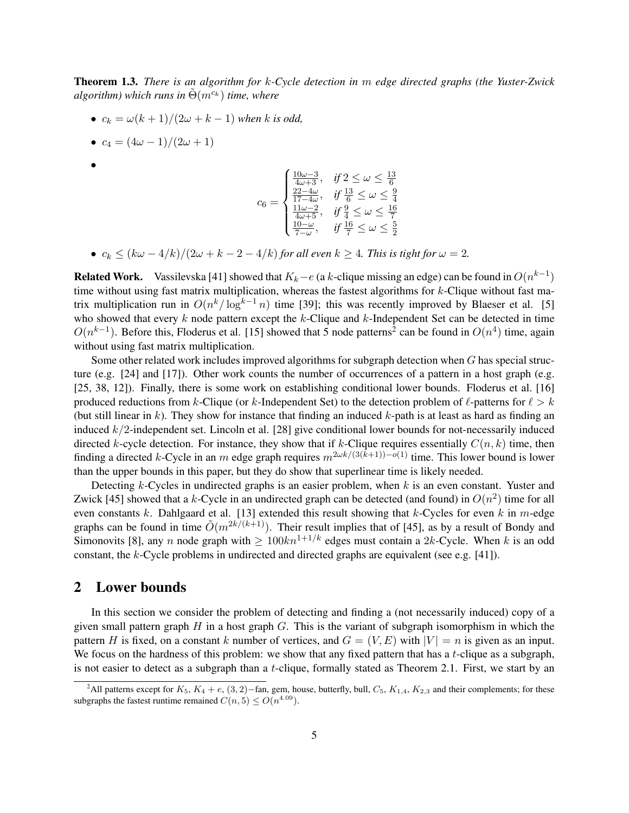Theorem 1.3. *There is an algorithm for* k*-Cycle detection in* m *edge directed graphs (the Yuster-Zwick algorithm)* which runs in  $\Theta(m^{c_k})$  *time, where* 

- $c_k = \omega(k+1)/(2\omega + k 1)$  when k is odd,
- $c_4 = (4\omega 1)/(2\omega + 1)$
- •

$$
c_6 = \begin{cases} \frac{10\omega - 3}{4\omega + 3}, & \text{if } 2 \leq \omega \leq \frac{13}{6} \\ \frac{22 - 4\omega}{17 - 4\omega}, & \text{if } \frac{13}{6} \leq \omega \leq \frac{9}{4} \\ \frac{11\omega - 2}{4\omega + 5}, & \text{if } \frac{9}{4} \leq \omega \leq \frac{16}{7} \\ \frac{10 - \omega}{7 - \omega}, & \text{if } \frac{16}{7} \leq \omega \leq \frac{5}{2} \end{cases}
$$

•  $c_k \leq (k\omega - 4/k)/(2\omega + k - 2 - 4/k)$  *for all even*  $k \geq 4$ *. This is tight for*  $\omega = 2$ *.* 

**Related Work.** Vassilevska [41] showed that  $K_k - e$  (a k-clique missing an edge) can be found in  $O(n^{k-1})$ time without using fast matrix multiplication, whereas the fastest algorithms for  $k$ -Clique without fast matrix multiplication run in  $O(n^k/\log^{k-1} n)$  time [39]; this was recently improved by Blaeser et al. [5] who showed that every  $k$  node pattern except the  $k$ -Clique and  $k$ -Independent Set can be detected in time  $O(n^{k-1})$ . Before this, Floderus et al. [15] showed that 5 node patterns<sup>2</sup> can be found in  $O(n^4)$  time, again without using fast matrix multiplication.

Some other related work includes improved algorithms for subgraph detection when G has special structure (e.g. [24] and [17]). Other work counts the number of occurrences of a pattern in a host graph (e.g. [25, 38, 12]). Finally, there is some work on establishing conditional lower bounds. Floderus et al. [16] produced reductions from k-Clique (or k-Independent Set) to the detection problem of  $\ell$ -patterns for  $\ell > k$ (but still linear in  $k$ ). They show for instance that finding an induced  $k$ -path is at least as hard as finding an induced k/2-independent set. Lincoln et al. [28] give conditional lower bounds for not-necessarily induced directed k-cycle detection. For instance, they show that if k-Clique requires essentially  $C(n, k)$  time, then finding a directed k-Cycle in an m edge graph requires  $m^{2\omega k/(3(k+1)) - o(1)}$  time. This lower bound is lower than the upper bounds in this paper, but they do show that superlinear time is likely needed.

Detecting k-Cycles in undirected graphs is an easier problem, when k is an even constant. Yuster and Zwick [45] showed that a k-Cycle in an undirected graph can be detected (and found) in  $O(n^2)$  time for all even constants k. Dahlgaard et al. [13] extended this result showing that k-Cycles for even k in m-edge graphs can be found in time  $\tilde{O}(m^{2k/(k+1)})$ . Their result implies that of [45], as by a result of Bondy and Simonovits [8], any n node graph with  $\geq 100kn^{1+1/k}$  edges must contain a 2k-Cycle. When k is an odd constant, the k-Cycle problems in undirected and directed graphs are equivalent (see e.g. [41]).

### 2 Lower bounds

In this section we consider the problem of detecting and finding a (not necessarily induced) copy of a given small pattern graph  $H$  in a host graph  $G$ . This is the variant of subgraph isomorphism in which the pattern H is fixed, on a constant k number of vertices, and  $G = (V, E)$  with  $|V| = n$  is given as an input. We focus on the hardness of this problem: we show that any fixed pattern that has a  $t$ -clique as a subgraph, is not easier to detect as a subgraph than a t-clique, formally stated as Theorem 2.1. First, we start by an

<sup>&</sup>lt;sup>2</sup>All patterns except for  $K_5$ ,  $K_4 + e$ , (3, 2)–fan, gem, house, butterfly, bull,  $C_5$ ,  $K_{1,4}$ ,  $K_{2,3}$  and their complements; for these subgraphs the fastest runtime remained  $C(n, 5) \leq O(n^{4.09})$ .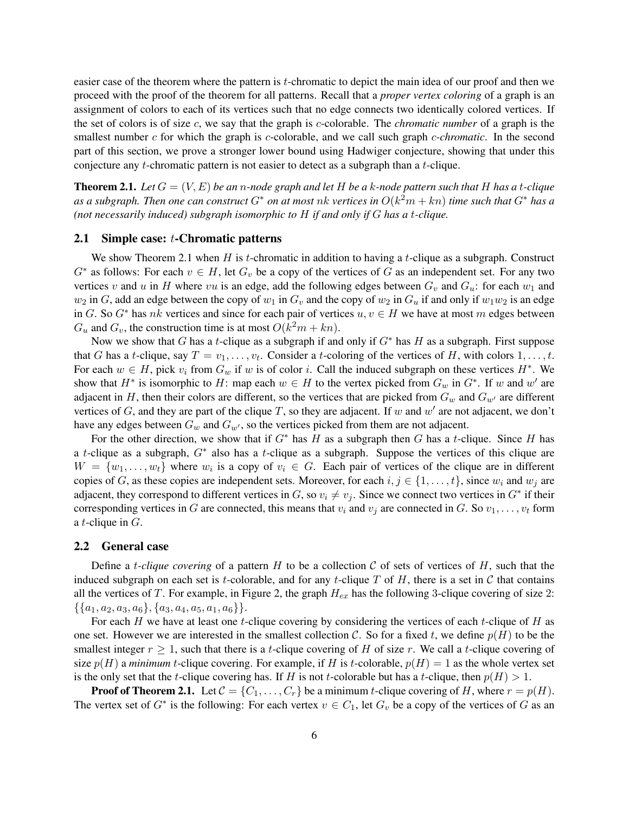easier case of the theorem where the pattern is t-chromatic to depict the main idea of our proof and then we proceed with the proof of the theorem for all patterns. Recall that a *proper vertex coloring* of a graph is an assignment of colors to each of its vertices such that no edge connects two identically colored vertices. If the set of colors is of size c, we say that the graph is c-colorable. The *chromatic number* of a graph is the smallest number c for which the graph is c-colorable, and we call such graph c*-chromatic*. In the second part of this section, we prove a stronger lower bound using Hadwiger conjecture, showing that under this conjecture any t-chromatic pattern is not easier to detect as a subgraph than a t-clique.

**Theorem 2.1.** Let  $G = (V, E)$  be an n-node graph and let H be a k-node pattern such that H has a t-clique *as a subgraph. Then one can construct* G<sup>∗</sup> *on at most* nk *vertices in* O(k <sup>2</sup>m + kn) *time such that* G<sup>∗</sup> *has a (not necessarily induced) subgraph isomorphic to* H *if and only if* G *has a* t*-clique.*

### 2.1 Simple case: t-Chromatic patterns

We show Theorem 2.1 when  $H$  is t-chromatic in addition to having a t-clique as a subgraph. Construct  $G^*$  as follows: For each  $v \in H$ , let  $G_v$  be a copy of the vertices of G as an independent set. For any two vertices v and u in H where vu is an edge, add the following edges between  $G_v$  and  $G_u$ : for each  $w_1$  and  $w_2$  in G, add an edge between the copy of  $w_1$  in  $G_v$  and the copy of  $w_2$  in  $G_u$  if and only if  $w_1w_2$  is an edge in G. So  $G^*$  has nk vertices and since for each pair of vertices  $u, v \in H$  we have at most m edges between  $G_u$  and  $G_v$ , the construction time is at most  $O(k^2m + kn)$ .

Now we show that G has a t-clique as a subgraph if and only if  $G^*$  has H as a subgraph. First suppose that G has a t-clique, say  $T = v_1, \ldots, v_t$ . Consider a t-coloring of the vertices of H, with colors  $1, \ldots, t$ . For each  $w \in H$ , pick  $v_i$  from  $G_w$  if w is of color i. Call the induced subgraph on these vertices  $H^*$ . We show that  $H^*$  is isomorphic to H: map each  $w \in H$  to the vertex picked from  $G_w$  in  $G^*$ . If w and w' are adjacent in H, then their colors are different, so the vertices that are picked from  $G_w$  and  $G_{w'}$  are different vertices of G, and they are part of the clique T, so they are adjacent. If w and w' are not adjacent, we don't have any edges between  $G_w$  and  $G_{w'}$ , so the vertices picked from them are not adjacent.

For the other direction, we show that if  $G^*$  has H as a subgraph then G has a t-clique. Since H has a t-clique as a subgraph,  $G^*$  also has a t-clique as a subgraph. Suppose the vertices of this clique are  $W = \{w_1, \ldots, w_t\}$  where  $w_i$  is a copy of  $v_i \in G$ . Each pair of vertices of the clique are in different copies of G, as these copies are independent sets. Moreover, for each  $i, j \in \{1, \ldots, t\}$ , since  $w_i$  and  $w_j$  are adjacent, they correspond to different vertices in G, so  $v_i \neq v_j$ . Since we connect two vertices in  $G^*$  if their corresponding vertices in G are connected, this means that  $v_i$  and  $v_j$  are connected in G. So  $v_1, \ldots, v_t$  form a *t*-clique in  $G$ .

#### 2.2 General case

Define a *t-clique covering* of a pattern H to be a collection C of sets of vertices of H, such that the induced subgraph on each set is t-colorable, and for any t-clique T of H, there is a set in C that contains all the vertices of T. For example, in Figure 2, the graph  $H_{ex}$  has the following 3-clique covering of size 2:  $\{\{a_1, a_2, a_3, a_6\}, \{a_3, a_4, a_5, a_1, a_6\}\}.$ 

For each H we have at least one t-clique covering by considering the vertices of each t-clique of H as one set. However we are interested in the smallest collection C. So for a fixed t, we define  $p(H)$  to be the smallest integer  $r \geq 1$ , such that there is a t-clique covering of H of size r. We call a t-clique covering of size  $p(H)$  a *minimum* t-clique covering. For example, if H is t-colorable,  $p(H) = 1$  as the whole vertex set is the only set that the *t*-clique covering has. If H is not *t*-colorable but has a *t*-clique, then  $p(H) > 1$ .

**Proof of Theorem 2.1.** Let  $C = \{C_1, \ldots, C_r\}$  be a minimum t-clique covering of H, where  $r = p(H)$ . The vertex set of  $G^*$  is the following: For each vertex  $v \in C_1$ , let  $G_v$  be a copy of the vertices of G as an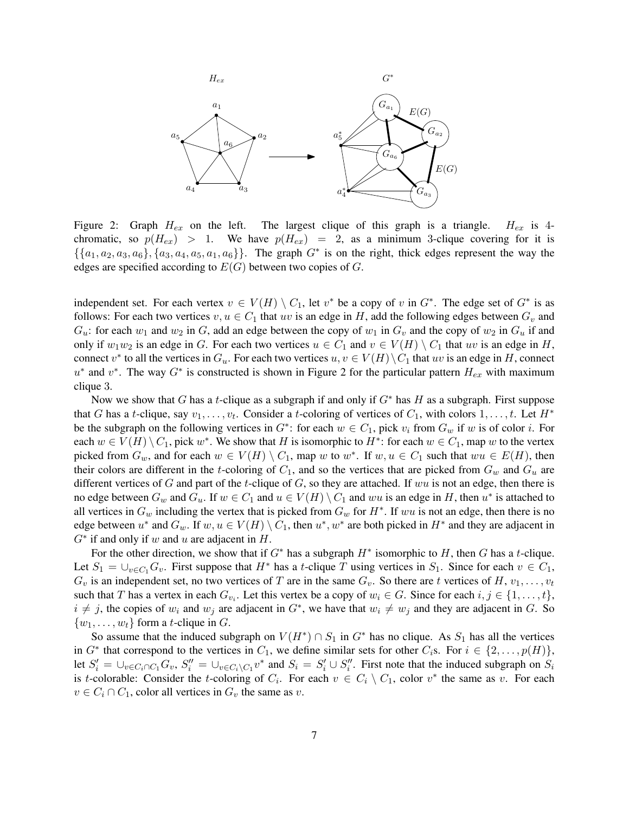

Figure 2: Graph  $H_{ex}$  on the left. The largest clique of this graph is a triangle.  $H_{ex}$  is 4chromatic, so  $p(H_{ex}) > 1$ . We have  $p(H_{ex}) = 2$ , as a minimum 3-clique covering for it is  $\{\{a_1, a_2, a_3, a_6\}, \{a_3, a_4, a_5, a_1, a_6\}\}\.$  The graph  $G^*$  is on the right, thick edges represent the way the edges are specified according to  $E(G)$  between two copies of  $G$ .

independent set. For each vertex  $v \in V(H) \setminus C_1$ , let  $v^*$  be a copy of v in  $G^*$ . The edge set of  $G^*$  is as follows: For each two vertices  $v, u \in C_1$  that uv is an edge in H, add the following edges between  $G_v$  and  $G_u$ : for each  $w_1$  and  $w_2$  in G, add an edge between the copy of  $w_1$  in  $G_v$  and the copy of  $w_2$  in  $G_u$  if and only if  $w_1w_2$  is an edge in G. For each two vertices  $u \in C_1$  and  $v \in V(H) \setminus C_1$  that uv is an edge in H, connect  $v^*$  to all the vertices in  $G_u$ . For each two vertices  $u, v \in V(H) \setminus C_1$  that  $uv$  is an edge in H, connect  $u^*$  and  $v^*$ . The way  $G^*$  is constructed is shown in Figure 2 for the particular pattern  $H_{ex}$  with maximum clique 3.

Now we show that G has a t-clique as a subgraph if and only if  $G^*$  has H as a subgraph. First suppose that G has a t-clique, say  $v_1, \ldots, v_t$ . Consider a t-coloring of vertices of  $C_1$ , with colors  $1, \ldots, t$ . Let  $H^*$ be the subgraph on the following vertices in  $G^*$ : for each  $w \in C_1$ , pick  $v_i$  from  $G_w$  if w is of color i. For each  $w \in V(H) \setminus C_1$ , pick  $w^*$ . We show that H is isomorphic to  $H^*$ : for each  $w \in C_1$ , map w to the vertex picked from  $G_w$ , and for each  $w \in V(H) \setminus C_1$ , map w to  $w^*$ . If  $w, u \in C_1$  such that  $wu \in E(H)$ , then their colors are different in the t-coloring of  $C_1$ , and so the vertices that are picked from  $G_w$  and  $G_u$  are different vertices of G and part of the t-clique of G, so they are attached. If wu is not an edge, then there is no edge between  $G_w$  and  $G_u$ . If  $w \in C_1$  and  $u \in V(H) \setminus C_1$  and ww is an edge in H, then  $u^*$  is attached to all vertices in  $G_w$  including the vertex that is picked from  $G_w$  for  $H^*$ . If  $wu$  is not an edge, then there is no edge between  $u^*$  and  $G_w$ . If  $w, u \in V(H) \setminus C_1$ , then  $u^*, w^*$  are both picked in  $H^*$  and they are adjacent in  $G^*$  if and only if w and u are adjacent in  $H$ .

For the other direction, we show that if  $G^*$  has a subgraph  $H^*$  isomorphic to  $H$ , then  $G$  has a t-clique. Let  $S_1 = \bigcup_{v \in C_1} G_v$ . First suppose that  $H^*$  has a t-clique T using vertices in  $S_1$ . Since for each  $v \in C_1$ ,  $G_v$  is an independent set, no two vertices of T are in the same  $G_v$ . So there are t vertices of H,  $v_1, \ldots, v_t$ such that T has a vertex in each  $G_{v_i}$ . Let this vertex be a copy of  $w_i \in G$ . Since for each  $i, j \in \{1, \ldots, t\}$ ,  $i \neq j$ , the copies of  $w_i$  and  $w_j$  are adjacent in  $G^*$ , we have that  $w_i \neq w_j$  and they are adjacent in G. So  $\{w_1, \ldots, w_t\}$  form a *t*-clique in G.

So assume that the induced subgraph on  $V(H^*) \cap S_1$  in  $G^*$  has no clique. As  $S_1$  has all the vertices in  $G^*$  that correspond to the vertices in  $C_1$ , we define similar sets for other  $C_i$ s. For  $i \in \{2, \ldots, p(H)\},$ let  $S_i' = \bigcup_{v \in C_i \cap C_1} G_v$ ,  $S_i'' = \bigcup_{v \in C_i \setminus C_1} v^*$  and  $S_i = S_i' \cup S_i''$ . First note that the induced subgraph on  $S_i$ is t-colorable: Consider the t-coloring of  $C_i$ . For each  $v \in C_i \setminus C_1$ , color  $v^*$  the same as v. For each  $v \in C_i \cap C_1$ , color all vertices in  $G_v$  the same as v.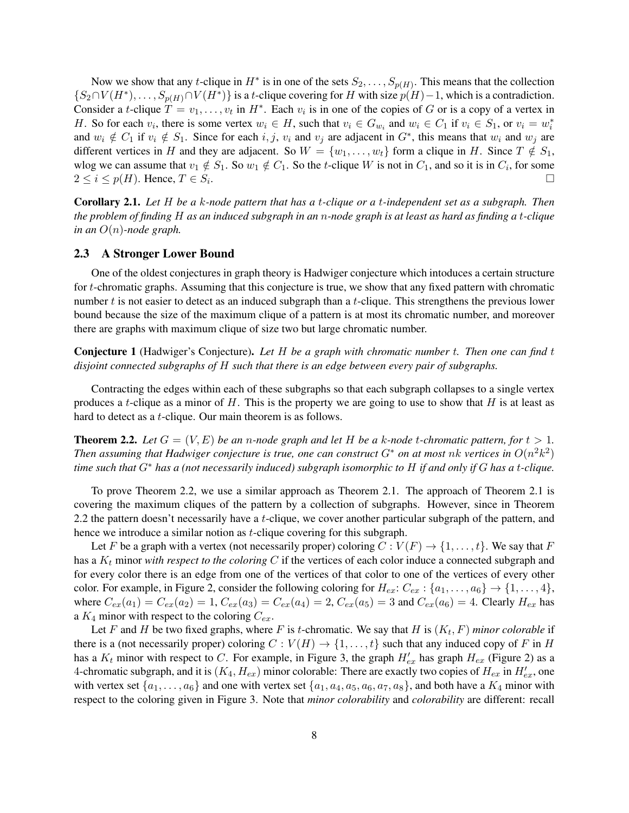Now we show that any t-clique in  $H^*$  is in one of the sets  $S_2, \ldots, S_{p(H)}$ . This means that the collection  $\{S_2 \cap V(H^*), \ldots, S_{p(H)} \cap V(H^*)\}$  is a t-clique covering for H with size  $p(H) - 1$ , which is a contradiction. Consider a *t*-clique  $T = v_1, \ldots, v_t$  in  $H^*$ . Each  $v_i$  is in one of the copies of G or is a copy of a vertex in H. So for each  $v_i$ , there is some vertex  $w_i \in H$ , such that  $v_i \in G_{w_i}$  and  $w_i \in C_1$  if  $v_i \in S_1$ , or  $v_i = w_i^*$ and  $w_i \notin C_1$  if  $v_i \notin S_1$ . Since for each  $i, j, v_i$  and  $v_j$  are adjacent in  $G^*$ , this means that  $w_i$  and  $w_j$  are different vertices in H and they are adjacent. So  $W = \{w_1, \ldots, w_t\}$  form a clique in H. Since  $T \notin S_1$ , wlog we can assume that  $v_1 \notin S_1$ . So  $w_1 \notin C_1$ . So the t-clique W is not in  $C_1$ , and so it is in  $C_i$ , for some  $2 \leq i \leq p(H)$ . Hence,  $T \in S_i$ . .

Corollary 2.1. *Let* H *be a* k*-node pattern that has a* t*-clique or a* t*-independent set as a subgraph. Then the problem of finding* H *as an induced subgraph in an* n*-node graph is at least as hard as finding a* t*-clique in an* O(n)*-node graph.*

### 2.3 A Stronger Lower Bound

One of the oldest conjectures in graph theory is Hadwiger conjecture which intoduces a certain structure for t-chromatic graphs. Assuming that this conjecture is true, we show that any fixed pattern with chromatic number t is not easier to detect as an induced subgraph than a t-clique. This strengthens the previous lower bound because the size of the maximum clique of a pattern is at most its chromatic number, and moreover there are graphs with maximum clique of size two but large chromatic number.

Conjecture 1 (Hadwiger's Conjecture). *Let* H *be a graph with chromatic number* t*. Then one can find* t *disjoint connected subgraphs of* H *such that there is an edge between every pair of subgraphs.*

Contracting the edges within each of these subgraphs so that each subgraph collapses to a single vertex produces a t-clique as a minor of  $H$ . This is the property we are going to use to show that  $H$  is at least as hard to detect as a *t*-clique. Our main theorem is as follows.

**Theorem 2.2.** Let  $G = (V, E)$  be an n-node graph and let H be a k-node t-chromatic pattern, for  $t > 1$ . *Then assuming that Hadwiger conjecture is true, one can construct*  $G^*$  *on at most nk vertices in*  $O(n^2k^2)$ *time such that* G<sup>∗</sup> *has a (not necessarily induced) subgraph isomorphic to* H *if and only if* G *has a* t*-clique.*

To prove Theorem 2.2, we use a similar approach as Theorem 2.1. The approach of Theorem 2.1 is covering the maximum cliques of the pattern by a collection of subgraphs. However, since in Theorem 2.2 the pattern doesn't necessarily have a t-clique, we cover another particular subgraph of the pattern, and hence we introduce a similar notion as *t*-clique covering for this subgraph.

Let F be a graph with a vertex (not necessarily proper) coloring  $C: V(F) \to \{1, \ldots, t\}$ . We say that F has a  $K_t$  minor *with respect to the coloring* C if the vertices of each color induce a connected subgraph and for every color there is an edge from one of the vertices of that color to one of the vertices of every other color. For example, in Figure 2, consider the following coloring for  $H_{ex}: C_{ex}: \{a_1, \ldots, a_6\} \rightarrow \{1, \ldots, 4\}$ , where  $C_{ex}(a_1) = C_{ex}(a_2) = 1$ ,  $C_{ex}(a_3) = C_{ex}(a_4) = 2$ ,  $C_{ex}(a_5) = 3$  and  $C_{ex}(a_6) = 4$ . Clearly  $H_{ex}$  has a  $K_4$  minor with respect to the coloring  $C_{ex}$ .

Let F and H be two fixed graphs, where F is t-chromatic. We say that H is  $(K_t, F)$  *minor colorable* if there is a (not necessarily proper) coloring  $C: V(H) \to \{1, \ldots, t\}$  such that any induced copy of F in H has a  $K_t$  minor with respect to C. For example, in Figure 3, the graph  $H'_{ex}$  has graph  $H_{ex}$  (Figure 2) as a 4-chromatic subgraph, and it is  $(K_4, H_{ex})$  minor colorable: There are exactly two copies of  $H_{ex}$  in  $H'_{ex}$ , one with vertex set  $\{a_1, \ldots, a_6\}$  and one with vertex set  $\{a_1, a_4, a_5, a_6, a_7, a_8\}$ , and both have a  $K_4$  minor with respect to the coloring given in Figure 3. Note that *minor colorability* and *colorability* are different: recall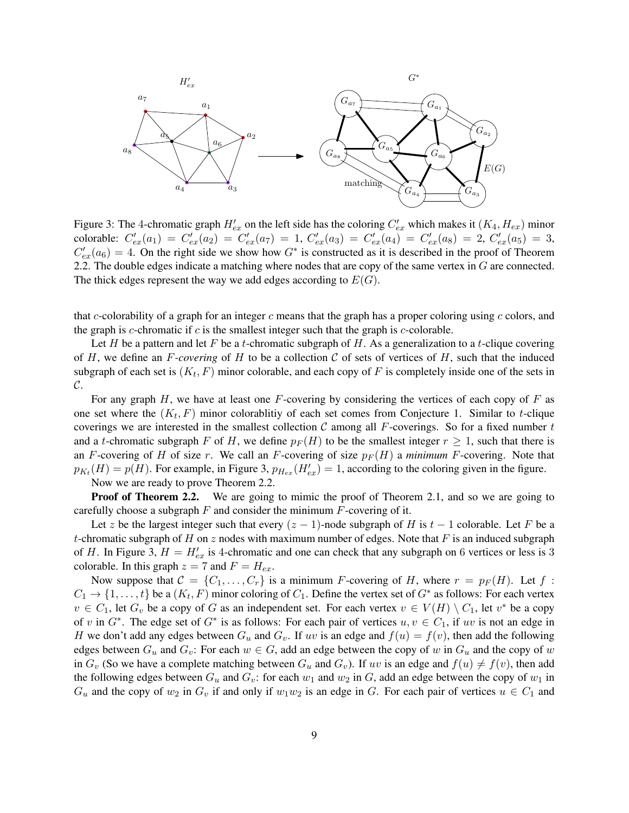

Figure 3: The 4-chromatic graph  $H'_{ex}$  on the left side has the coloring  $C'_{ex}$  which makes it  $(K_4, H_{ex})$  minor colorable:  $C'_{ex}(a_1) = C'_{ex}(a_2) = C'_{ex}(a_7) = 1$ ,  $C'_{ex}(a_3) = C'_{ex}(a_4) = C'_{ex}(a_8) = 2$ ,  $C'_{ex}(a_5) = 3$ ,  $C'_{ex}(a_6) = 4$ . On the right side we show how  $G^*$  is constructed as it is described in the proof of Theorem 2.2. The double edges indicate a matching where nodes that are copy of the same vertex in G are connected. The thick edges represent the way we add edges according to  $E(G)$ .

that c-colorability of a graph for an integer c means that the graph has a proper coloring using  $c$  colors, and the graph is *c*-chromatic if  $c$  is the smallest integer such that the graph is *c*-colorable.

Let H be a pattern and let F be a t-chromatic subgraph of H. As a generalization to a t-clique covering of H, we define an  $F$ -covering of H to be a collection  $C$  of sets of vertices of H, such that the induced subgraph of each set is  $(K_t, F)$  minor colorable, and each copy of F is completely inside one of the sets in  $\mathcal{C}.$ 

For any graph  $H$ , we have at least one  $F$ -covering by considering the vertices of each copy of  $F$  as one set where the  $(K_t, F)$  minor colorablitiy of each set comes from Conjecture 1. Similar to t-clique coverings we are interested in the smallest collection  $C$  among all F-coverings. So for a fixed number t and a t-chromatic subgraph F of H, we define  $p_F(H)$  to be the smallest integer  $r \ge 1$ , such that there is an F-covering of H of size r. We call an F-covering of size  $p_F(H)$  a *minimum* F-covering. Note that  $p_{K_t}(H) = p(H)$ . For example, in Figure 3,  $p_{H_{ex}}(H'_{ex}) = 1$ , according to the coloring given in the figure. Now we are ready to prove Theorem 2.2.

**Proof of Theorem 2.2.** We are going to mimic the proof of Theorem 2.1, and so we are going to carefully choose a subgraph  $F$  and consider the minimum  $F$ -covering of it.

Let z be the largest integer such that every  $(z - 1)$ -node subgraph of H is  $t - 1$  colorable. Let F be a t-chromatic subgraph of H on z nodes with maximum number of edges. Note that F is an induced subgraph of H. In Figure 3,  $H = H'_{ex}$  is 4-chromatic and one can check that any subgraph on 6 vertices or less is 3 colorable. In this graph  $z = 7$  and  $F = H_{ex}$ .

Now suppose that  $C = \{C_1, \ldots, C_r\}$  is a minimum F-covering of H, where  $r = p_F(H)$ . Let f:  $C_1 \to \{1, \ldots, t\}$  be a  $(K_t, F)$  minor coloring of  $C_1$ . Define the vertex set of  $G^*$  as follows: For each vertex  $v \in C_1$ , let  $G_v$  be a copy of G as an independent set. For each vertex  $v \in V(H) \setminus C_1$ , let  $v^*$  be a copy of v in  $G^*$ . The edge set of  $G^*$  is as follows: For each pair of vertices  $u, v \in C_1$ , if uv is not an edge in H we don't add any edges between  $G_u$  and  $G_v$ . If uv is an edge and  $f(u) = f(v)$ , then add the following edges between  $G_u$  and  $G_v$ : For each  $w \in G$ , add an edge between the copy of w in  $G_u$  and the copy of w in  $G_v$  (So we have a complete matching between  $G_u$  and  $G_v$ ). If uv is an edge and  $f(u) \neq f(v)$ , then add the following edges between  $G_u$  and  $G_v$ : for each  $w_1$  and  $w_2$  in  $G$ , add an edge between the copy of  $w_1$  in  $G_u$  and the copy of  $w_2$  in  $G_v$  if and only if  $w_1w_2$  is an edge in G. For each pair of vertices  $u \in C_1$  and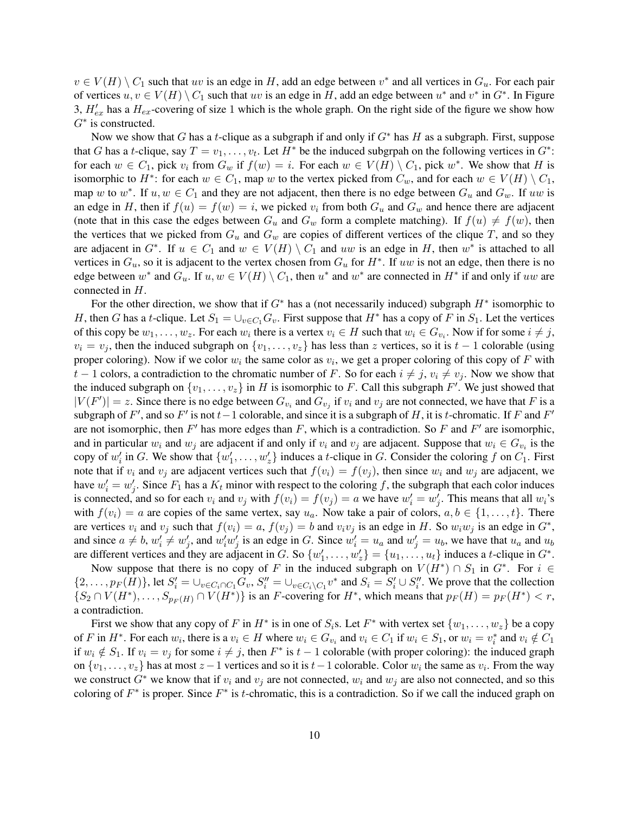$v \in V(H) \setminus C_1$  such that uv is an edge in H, add an edge between  $v^*$  and all vertices in  $G_u$ . For each pair of vertices  $u, v \in V(H) \setminus C_1$  such that  $uv$  is an edge in H, add an edge between  $u^*$  and  $v^*$  in  $G^*$ . In Figure 3,  $H'_{ex}$  has a  $H_{ex}$ -covering of size 1 which is the whole graph. On the right side of the figure we show how  $G^*$  is constructed.

Now we show that G has a t-clique as a subgraph if and only if  $G^*$  has H as a subgraph. First, suppose that G has a t-clique, say  $T = v_1, \ldots, v_t$ . Let  $H^*$  be the induced subgrpah on the following vertices in  $G^*$ : for each  $w \in C_1$ , pick  $v_i$  from  $G_w$  if  $f(w) = i$ . For each  $w \in V(H) \setminus C_1$ , pick  $w^*$ . We show that H is isomorphic to  $H^*$ : for each  $w \in C_1$ , map w to the vertex picked from  $C_w$ , and for each  $w \in V(H) \setminus C_1$ , map w to  $w^*$ . If  $u, w \in C_1$  and they are not adjacent, then there is no edge between  $G_u$  and  $G_w$ . If  $uw$  is an edge in H, then if  $f(u) = f(w) = i$ , we picked  $v_i$  from both  $G_u$  and  $G_w$  and hence there are adjacent (note that in this case the edges between  $G_u$  and  $G_w$  form a complete matching). If  $f(u) \neq f(w)$ , then the vertices that we picked from  $G_u$  and  $G_w$  are copies of different vertices of the clique T, and so they are adjacent in  $G^*$ . If  $u \in C_1$  and  $w \in V(H) \setminus C_1$  and uw is an edge in H, then  $w^*$  is attached to all vertices in  $G_u$ , so it is adjacent to the vertex chosen from  $G_u$  for  $H^*$ . If uw is not an edge, then there is no edge between  $w^*$  and  $G_u$ . If  $u, w \in V(H) \setminus C_1$ , then  $u^*$  and  $w^*$  are connected in  $H^*$  if and only if  $uw$  are connected in H.

For the other direction, we show that if  $G^*$  has a (not necessarily induced) subgraph  $H^*$  isomorphic to H, then G has a t-clique. Let  $S_1 = \bigcup_{v \in C_1} G_v$ . First suppose that  $H^*$  has a copy of F in  $S_1$ . Let the vertices of this copy be  $w_1, \ldots, w_z$ . For each  $w_i$  there is a vertex  $v_i \in H$  such that  $w_i \in G_{v_i}$ . Now if for some  $i \neq j$ ,  $v_i = v_j$ , then the induced subgraph on  $\{v_1, \ldots, v_z\}$  has less than z vertices, so it is  $t - 1$  colorable (using proper coloring). Now if we color  $w_i$  the same color as  $v_i$ , we get a proper coloring of this copy of F with t − 1 colors, a contradiction to the chromatic number of F. So for each  $i \neq j$ ,  $v_i \neq v_j$ . Now we show that the induced subgraph on  $\{v_1, \ldots, v_z\}$  in H is isomorphic to F. Call this subgraph F'. We just showed that  $|V(F')| = z$ . Since there is no edge between  $G_{v_i}$  and  $G_{v_j}$  if  $v_i$  and  $v_j$  are not connected, we have that F is a subgraph of F', and so F' is not  $t-1$  colorable, and since it is a subgraph of H, it is t-chromatic. If F and F' are not isomorphic, then  $F'$  has more edges than  $F$ , which is a contradiction. So  $F$  and  $F'$  are isomorphic, and in particular  $w_i$  and  $w_j$  are adjacent if and only if  $v_i$  and  $v_j$  are adjacent. Suppose that  $w_i \in G_{v_i}$  is the copy of  $w'_i$  in G. We show that  $\{w'_1, \ldots, w'_z\}$  induces a t-clique in G. Consider the coloring f on  $C_1$ . First note that if  $v_i$  and  $v_j$  are adjacent vertices such that  $f(v_i) = f(v_j)$ , then since  $w_i$  and  $w_j$  are adjacent, we have  $w'_i = w'_j$ . Since  $F_1$  has a  $K_t$  minor with respect to the coloring f, the subgraph that each color induces is connected, and so for each  $v_i$  and  $v_j$  with  $f(v_i) = f(v_j) = a$  we have  $w'_i = w'_j$ . This means that all  $w_i$ 's with  $f(v_i) = a$  are copies of the same vertex, say  $u_a$ . Now take a pair of colors,  $a, b \in \{1, ..., t\}$ . There are vertices  $v_i$  and  $v_j$  such that  $f(v_i) = a$ ,  $f(v_j) = b$  and  $v_i v_j$  is an edge in H. So  $w_i w_j$  is an edge in  $G^*$ , and since  $a \neq b$ ,  $w'_i \neq w'_j$ , and  $w'_i w'_j$  is an edge in G. Since  $w'_i = u_a$  and  $w'_j = u_b$ , we have that  $u_a$  and  $u_b$ are different vertices and they are adjacent in G. So  $\{w'_1, \ldots, w'_z\} = \{u_1, \ldots, u_t\}$  induces a t-clique in  $G^*$ .

Now suppose that there is no copy of F in the induced subgraph on  $V(H^*) \cap S_1$  in  $G^*$ . For  $i \in$  $\{2,\ldots,p_F(H)\}\$ , let  $S_i' = \bigcup_{v \in C_i \cap C_1} G_v$ ,  $S_i'' = \bigcup_{v \in C_i \setminus C_1} v^*$  and  $S_i = S_i' \cup S_i''$ . We prove that the collection  $\{S_2 \cap V(H^*), \ldots, S_{p_F(H)} \cap V(H^*)\}$  is an F-covering for  $H^*$ , which means that  $p_F(H) = p_F(H^*) < r$ , a contradiction.

First we show that any copy of F in  $H^*$  is in one of  $S_i$ s. Let  $F^*$  with vertex set  $\{w_1, \ldots, w_z\}$  be a copy of F in  $H^*$ . For each  $w_i$ , there is a  $v_i \in H$  where  $w_i \in G_{v_i}$  and  $v_i \in C_1$  if  $w_i \in S_1$ , or  $w_i = v_i^*$  and  $v_i \notin C_1$ if  $w_i \notin S_1$ . If  $v_i = v_j$  for some  $i \neq j$ , then  $F^*$  is  $t - 1$  colorable (with proper coloring): the induced graph on  $\{v_1, \ldots, v_z\}$  has at most  $z - 1$  vertices and so it is  $t - 1$  colorable. Color  $w_i$  the same as  $v_i$ . From the way we construct  $G^*$  we know that if  $v_i$  and  $v_j$  are not connected,  $w_i$  and  $w_j$  are also not connected, and so this coloring of  $F^*$  is proper. Since  $F^*$  is t-chromatic, this is a contradiction. So if we call the induced graph on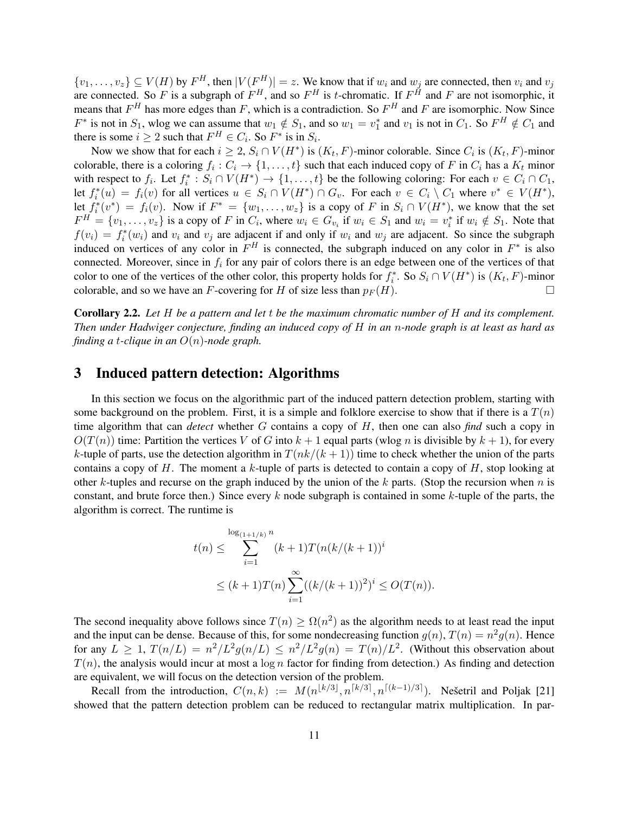$\{v_1,\ldots,v_z\} \subseteq V(H)$  by  $F^H$ , then  $|V(F^H)| = z$ . We know that if  $w_i$  and  $w_j$  are connected, then  $v_i$  and  $v_j$ are connected. So F is a subgraph of  $F^H$ , and so  $F^H$  is t-chromatic. If  $F^H$  and F are not isomorphic, it means that  $F^H$  has more edges than F, which is a contradiction. So  $F^H$  and F are isomorphic. Now Since  $F^*$  is not in  $S_1$ , wlog we can assume that  $w_1 \notin S_1$ , and so  $w_1 = v_1^*$  and  $v_1$  is not in  $C_1$ . So  $F^H \notin C_1$  and there is some  $i \geq 2$  such that  $F^H \in C_i$ . So  $F^*$  is in  $S_i$ .

Now we show that for each  $i \geq 2$ ,  $S_i \cap V(H^*)$  is  $(K_t, F)$ -minor colorable. Since  $C_i$  is  $(K_t, F)$ -minor colorable, there is a coloring  $f_i: C_i \to \{1, ..., t\}$  such that each induced copy of F in  $C_i$  has a  $K_t$  minor with respect to  $f_i$ . Let  $f_i^* : S_i \cap V(H^*) \to \{1, ..., t\}$  be the following coloring: For each  $v \in C_i \cap C_1$ , let  $f_i^*(u) = f_i(v)$  for all vertices  $u \in S_i \cap V(H^*) \cap G_v$ . For each  $v \in C_i \setminus C_1$  where  $v^* \in V(H^*)$ , let  $f_i^*(v^*) = f_i(v)$ . Now if  $F^* = \{w_1, \ldots, w_z\}$  is a copy of F in  $S_i \cap V(H^*)$ , we know that the set  $F^H = \{v_1, \ldots, v_z\}$  is a copy of F in  $C_i$ , where  $w_i \in G_{v_i}$  if  $w_i \in S_1$  and  $w_i = v_i^*$  if  $w_i \notin S_1$ . Note that  $f(v_i) = f_i^*(w_i)$  and  $v_i$  and  $v_j$  are adjacent if and only if  $w_i$  and  $w_j$  are adjacent. So since the subgraph induced on vertices of any color in  $F^H$  is connected, the subgraph induced on any color in  $F^*$  is also connected. Moreover, since in  $f_i$  for any pair of colors there is an edge between one of the vertices of that color to one of the vertices of the other color, this property holds for  $f_i^*$ . So  $S_i \cap V(H^*)$  is  $(K_t, F)$ -minor colorable, and so we have an F-covering for H of size less than  $p_F(H)$ .

Corollary 2.2. *Let* H *be a pattern and let* t *be the maximum chromatic number of* H *and its complement. Then under Hadwiger conjecture, finding an induced copy of* H *in an* n*-node graph is at least as hard as finding a* t*-clique in an* O(n)*-node graph.*

### 3 Induced pattern detection: Algorithms

In this section we focus on the algorithmic part of the induced pattern detection problem, starting with some background on the problem. First, it is a simple and folklore exercise to show that if there is a  $T(n)$ time algorithm that can *detect* whether G contains a copy of H, then one can also *find* such a copy in  $O(T(n))$  time: Partition the vertices V of G into  $k + 1$  equal parts (wlog n is divisible by  $k + 1$ ), for every k-tuple of parts, use the detection algorithm in  $T(nk/(k+1))$  time to check whether the union of the parts contains a copy of  $H$ . The moment a k-tuple of parts is detected to contain a copy of  $H$ , stop looking at other k-tuples and recurse on the graph induced by the union of the k parts. (Stop the recursion when  $n$  is constant, and brute force then.) Since every  $k$  node subgraph is contained in some  $k$ -tuple of the parts, the algorithm is correct. The runtime is

$$
t(n) \leq \sum_{i=1}^{\log_{(1+1/k)} n} (k+1)T(n(k/(k+1))^{i}
$$
  

$$
\leq (k+1)T(n) \sum_{i=1}^{\infty} ((k/(k+1))^{2})^{i} \leq O(T(n)).
$$

The second inequality above follows since  $T(n) \geq \Omega(n^2)$  as the algorithm needs to at least read the input and the input can be dense. Because of this, for some nondecreasing function  $g(n)$ ,  $T(n) = n^2 g(n)$ . Hence for any  $L \geq 1$ ,  $T(n/L) = n^2/L^2 g(n/L) \leq n^2/L^2 g(n) = T(n)/L^2$ . (Without this observation about  $T(n)$ , the analysis would incur at most a log n factor for finding from detection.) As finding and detection are equivalent, we will focus on the detection version of the problem.

Recall from the introduction,  $C(n,k) := M(n^{\lfloor k/3 \rfloor}, n^{\lceil k/3 \rceil}, n^{\lceil (k-1)/3 \rceil})$ . Nešetril and Poljak [21] showed that the pattern detection problem can be reduced to rectangular matrix multiplication. In par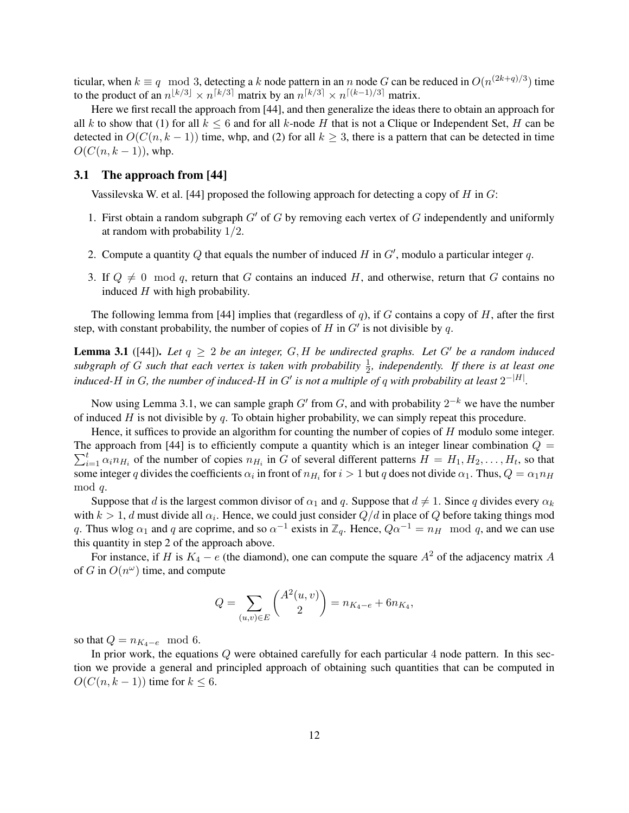ticular, when  $k \equiv q \mod 3$ , detecting a k node pattern in an n node G can be reduced in  $O(n^{(2k+q)/3})$  time to the product of an  $n^{\lfloor k/3 \rfloor} \times n^{\lceil k/3 \rceil}$  matrix by an  $n^{\lceil k/3 \rceil} \times n^{\lceil (k-1)/3 \rceil}$  matrix.

Here we first recall the approach from [44], and then generalize the ideas there to obtain an approach for all k to show that (1) for all  $k \le 6$  and for all k-node H that is not a Clique or Independent Set, H can be detected in  $O(C(n, k-1))$  time, whp, and (2) for all  $k \geq 3$ , there is a pattern that can be detected in time  $O(C(n, k-1))$ , whp.

### 3.1 The approach from [44]

Vassilevska W. et al. [44] proposed the following approach for detecting a copy of H in  $G$ :

- 1. First obtain a random subgraph  $G'$  of G by removing each vertex of G independently and uniformly at random with probability 1/2.
- 2. Compute a quantity Q that equals the number of induced H in  $G'$ , modulo a particular integer q.
- 3. If  $Q \neq 0 \mod q$ , return that G contains an induced H, and otherwise, return that G contains no induced  $H$  with high probability.

The following lemma from [44] implies that (regardless of q), if G contains a copy of H, after the first step, with constant probability, the number of copies of H in  $G'$  is not divisible by q.

**Lemma 3.1** ([44]). Let  $q \geq 2$  be an integer, G, H be undirected graphs. Let G' be a random induced subgraph of G such that each vertex is taken with probability  $\frac{1}{2}$ , independently. If there is at least one induced-H in G, the number of induced-H in G' is not a multiple of q with probability at least  $2^{-|H|}$ .

Now using Lemma 3.1, we can sample graph  $G'$  from  $G$ , and with probability  $2^{-k}$  we have the number of induced  $H$  is not divisible by q. To obtain higher probability, we can simply repeat this procedure.

Hence, it suffices to provide an algorithm for counting the number of copies of H modulo some integer. The approach from [44] is to efficiently compute a quantity which is an integer linear combination  $Q =$  $\sum_{i=1}^t \alpha_i n_{H_i}$  of the number of copies  $n_{H_i}$  in G of several different patterns  $H = H_1, H_2, \ldots, H_t$ , so that some integer q divides the coefficients  $\alpha_i$  in front of  $n_{H_i}$  for  $i > 1$  but q does not divide  $\alpha_1$ . Thus,  $Q = \alpha_1 n_H$ mod q.

Suppose that d is the largest common divisor of  $\alpha_1$  and q. Suppose that  $d \neq 1$ . Since q divides every  $\alpha_k$ with  $k > 1$ , d must divide all  $\alpha_i$ . Hence, we could just consider  $Q/d$  in place of  $Q$  before taking things mod q. Thus wlog  $\alpha_1$  and q are coprime, and so  $\alpha^{-1}$  exists in  $\mathbb{Z}_q$ . Hence,  $Q\alpha^{-1} = n_H \mod q$ , and we can use this quantity in step 2 of the approach above.

For instance, if H is  $K_4 - e$  (the diamond), one can compute the square  $A^2$  of the adjacency matrix A of G in  $O(n^{\omega})$  time, and compute

$$
Q = \sum_{(u,v)\in E} \binom{A^2(u,v)}{2} = n_{K_4-e} + 6n_{K_4},
$$

so that  $Q = n_{K_4-e} \mod 6$ .

In prior work, the equations  $Q$  were obtained carefully for each particular 4 node pattern. In this section we provide a general and principled approach of obtaining such quantities that can be computed in  $O(C(n, k-1))$  time for  $k \leq 6$ .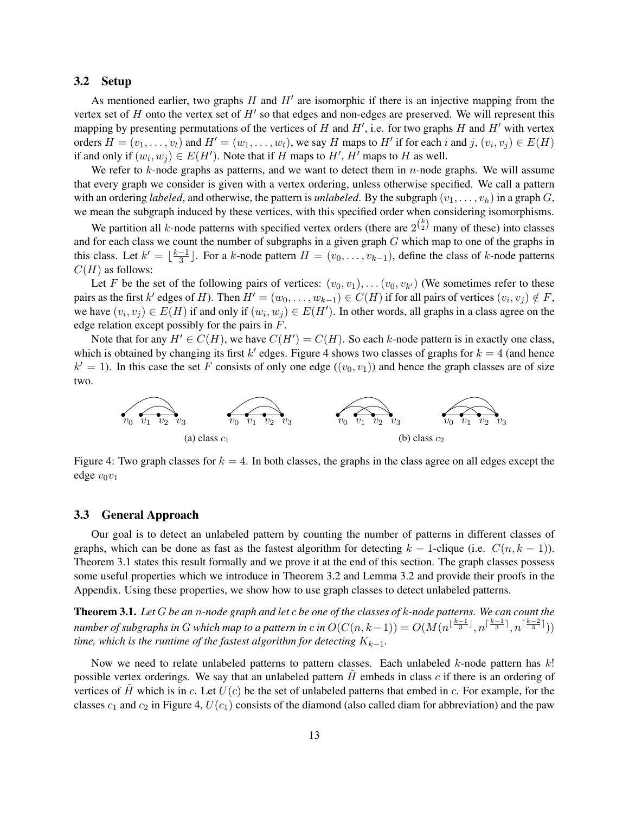### 3.2 Setup

As mentioned earlier, two graphs  $H$  and  $H'$  are isomorphic if there is an injective mapping from the vertex set of  $H$  onto the vertex set of  $H'$  so that edges and non-edges are preserved. We will represent this mapping by presenting permutations of the vertices of H and  $H'$ , i.e. for two graphs H and  $H'$  with vertex orders  $H = (v_1, \ldots, v_t)$  and  $H' = (w_1, \ldots, w_t)$ , we say H maps to H' if for each i and j,  $(v_i, v_j) \in E(H)$ if and only if  $(w_i, w_j) \in E(H')$ . Note that if H maps to H', H' maps to H as well.

We refer to  $k$ -node graphs as patterns, and we want to detect them in  $n$ -node graphs. We will assume that every graph we consider is given with a vertex ordering, unless otherwise specified. We call a pattern with an ordering *labeled*, and otherwise, the pattern is *unlabeled*. By the subgraph  $(v_1, \ldots, v_h)$  in a graph  $G$ , we mean the subgraph induced by these vertices, with this specified order when considering isomorphisms.

We partition all k-node patterns with specified vertex orders (there are  $2^{k \choose 2}$  many of these) into classes and for each class we count the number of subgraphs in a given graph G which map to one of the graphs in this class. Let  $k' = \frac{k-1}{3}$  $\frac{-1}{3}$ . For a k-node pattern  $H = (v_0, \ldots, v_{k-1})$ , define the class of k-node patterns  $C(H)$  as follows:

Let F be the set of the following pairs of vertices:  $(v_0, v_1), \ldots (v_0, v_{k'})$  (We sometimes refer to these pairs as the first k' edges of H). Then  $H' = (w_0, \ldots, w_{k-1}) \in C(H)$  if for all pairs of vertices  $(v_i, v_j) \notin F$ , we have  $(v_i, v_j) \in E(H)$  if and only if  $(w_i, w_j) \in E(H')$ . In other words, all graphs in a class agree on the edge relation except possibly for the pairs in F.

Note that for any  $H' \in C(H)$ , we have  $C(H') = C(H)$ . So each k-node pattern is in exactly one class, which is obtained by changing its first  $k'$  edges. Figure 4 shows two classes of graphs for  $k = 4$  (and hence  $k' = 1$ ). In this case the set F consists of only one edge  $((v_0, v_1))$  and hence the graph classes are of size two.



Figure 4: Two graph classes for  $k = 4$ . In both classes, the graphs in the class agree on all edges except the edge  $v_0v_1$ 

### 3.3 General Approach

Our goal is to detect an unlabeled pattern by counting the number of patterns in different classes of graphs, which can be done as fast as the fastest algorithm for detecting  $k - 1$ -clique (i.e.  $C(n, k - 1)$ ). Theorem 3.1 states this result formally and we prove it at the end of this section. The graph classes possess some useful properties which we introduce in Theorem 3.2 and Lemma 3.2 and provide their proofs in the Appendix. Using these properties, we show how to use graph classes to detect unlabeled patterns.

Theorem 3.1. *Let* G *be an* n*-node graph and let* c *be one of the classes of* k*-node patterns. We can count the*  $number$  of subgraphs in  $G$  which map to a pattern in  $c$  in  $O(C(n, k-1)) = O(M(n^{\lfloor \frac{k-1}{3} \rfloor}, n^{\lceil \frac{k-1}{3} \rceil}, n^{\lceil \frac{k-2}{3} \rceil}))$ *time, which is the runtime of the fastest algorithm for detecting*  $K_{k-1}$ *.* 

Now we need to relate unlabeled patterns to pattern classes. Each unlabeled  $k$ -node pattern has  $k!$ possible vertex orderings. We say that an unlabeled pattern  $H$  embeds in class  $c$  if there is an ordering of vertices of H which is in c. Let  $U(c)$  be the set of unlabeled patterns that embed in c. For example, for the classes  $c_1$  and  $c_2$  in Figure 4,  $U(c_1)$  consists of the diamond (also called diam for abbreviation) and the paw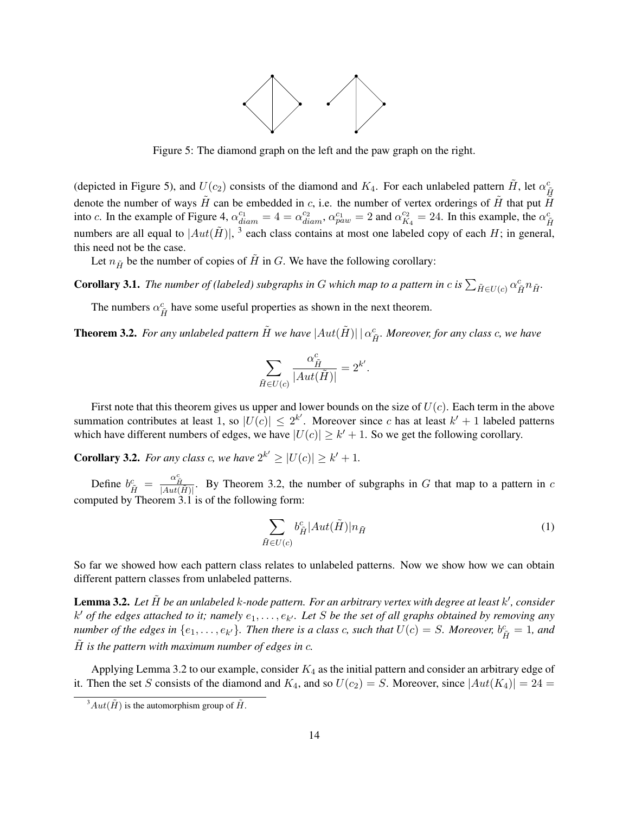

Figure 5: The diamond graph on the left and the paw graph on the right.

(depicted in Figure 5), and  $U(c_2)$  consists of the diamond and  $K_4$ . For each unlabeled pattern  $\tilde{H}$ , let  $\alpha_{\tilde{H}}^c$ denote the number of ways  $\tilde{H}$  can be embedded in c, i.e. the number of vertex orderings of  $\tilde{H}$  that put  $\tilde{H}$ into c. In the example of Figure 4,  $\alpha_{diam}^{c_1} = 4 = \alpha_{diam}^{c_2}$ ,  $\alpha_{paw}^{c_1} = 2$  and  $\alpha_K^{c_2}$  $^{c_2}_{K_4}$  = 24. In this example, the  $\alpha_{\tilde{H}}^{c}$ numbers are all equal to  $|Aut(\tilde{H})|$ , <sup>3</sup> each class contains at most one labeled copy of each H; in general, this need not be the case.

Let  $n_{\tilde{H}}$  be the number of copies of  $\tilde{H}$  in G. We have the following corollary:

**Corollary 3.1.** The number of (labeled) subgraphs in G which map to a pattern in c is  $\sum_{\tilde{H}\in U(c)} \alpha_{\tilde{H}}^c n_{\tilde{H}}$ .

The numbers  $\alpha_{\tilde{H}}^c$  have some useful properties as shown in the next theorem.

**Theorem 3.2.** *For any unlabeled pattern*  $\tilde{H}$  *we have*  $|Aut(\tilde{H})| |\alpha_{\tilde{H}}^c$ *. Moreover, for any class c, we have* 

$$
\sum_{\tilde{H}\in U(c)}\frac{\alpha_{\tilde{H}}^c}{|Aut(\tilde{H})|}=2^{k'}.
$$

First note that this theorem gives us upper and lower bounds on the size of  $U(c)$ . Each term in the above summation contributes at least 1, so  $|U(c)| \leq 2^{k'}$ . Moreover since c has at least  $k' + 1$  labeled patterns which have different numbers of edges, we have  $|U(c)| \geq k' + 1$ . So we get the following corollary.

**Corollary 3.2.** For any class c, we have  $2^{k'} \geq |U(c)| \geq k' + 1$ .

Define  $b_{\tilde{H}}^c = \frac{\alpha_{\tilde{H}}^c}{|Aut(\tilde{H})|}$ . By Theorem 3.2, the number of subgraphs in G that map to a pattern in c computed by Theorem 3.1 is of the following form:

$$
\sum_{\tilde{H}\in U(c)} b_{\tilde{H}}^c |Aut(\tilde{H})| n_{\tilde{H}}
$$
\n(1)

So far we showed how each pattern class relates to unlabeled patterns. Now we show how we can obtain different pattern classes from unlabeled patterns.

Lemma 3.2. Let  $\tilde{H}$  be an unlabeled k-node pattern. For an arbitrary vertex with degree at least k', consider  $k'$  of the edges attached to it; namely  $e_1, \ldots, e_{k'}$ . Let S be the set of all graphs obtained by removing any *number of the edges in*  $\{e_1, \ldots, e_{k'}\}$ . Then there is a class c, such that  $U(c) = S$ . Moreover,  $b_{\tilde{H}}^c = 1$ , and  $\tilde{H}$  *is the pattern with maximum number of edges in c.* 

Applying Lemma 3.2 to our example, consider  $K_4$  as the initial pattern and consider an arbitrary edge of it. Then the set S consists of the diamond and  $K_4$ , and so  $U(c_2) = S$ . Moreover, since  $|Aut(K_4)| = 24 =$ 

 $\frac{3}{3}Aut(\tilde{H})$  is the automorphism group of  $\tilde{H}$ .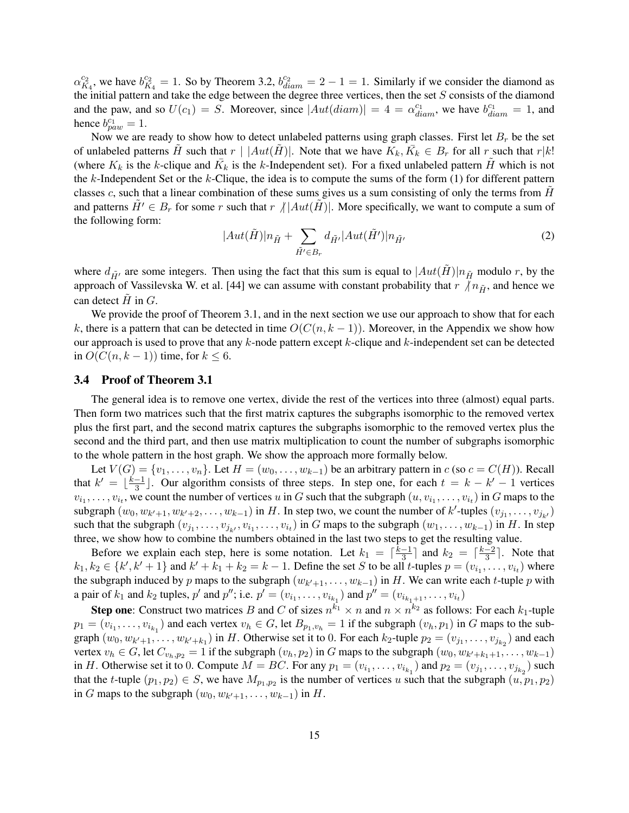$\alpha_K^{c_2}$  $\frac{c_2}{K_4}$ , we have  $b_K^{c_2}$  $\frac{c_2}{K_4} = 1$ . So by Theorem 3.2,  $b_{diam}^{c_2} = 2 - 1 = 1$ . Similarly if we consider the diamond as the initial pattern and take the edge between the degree three vertices, then the set  $S$  consists of the diamond and the paw, and so  $U(c_1) = S$ . Moreover, since  $|Aut(diam)| = 4 = \alpha_{diam}^{c_1}$ , we have  $b_{diam}^{c_1} = 1$ , and hence  $b_{paw}^{c_1} = 1$ .

Now we are ready to show how to detect unlabeled patterns using graph classes. First let  $B_r$  be the set of unlabeled patterns  $\tilde{H}$  such that  $r \mid |Aut(\tilde{H})|$ . Note that we have  $K_k, \bar{K}_k \in B_r$  for all r such that  $r|k!$ (where  $K_k$  is the k-clique and  $\bar{K}_k$  is the k-Independent set). For a fixed unlabeled pattern  $\tilde{H}$  which is not the  $k$ -Independent Set or the  $k$ -Clique, the idea is to compute the sums of the form (1) for different pattern classes c, such that a linear combination of these sums gives us a sum consisting of only the terms from  $H$ and patterns  $\tilde{H'} \in B_r$  for some r such that  $r / |Aut(H)|$ . More specifically, we want to compute a sum of the following form:

$$
|Aut(\tilde{H})|n_{\tilde{H}} + \sum_{\tilde{H}' \in B_r} d_{\tilde{H}'}|Aut(\tilde{H}')|n_{\tilde{H}'} \tag{2}
$$

where  $d_{\tilde{H}'}$  are some integers. Then using the fact that this sum is equal to  $|Aut(\tilde{H})|n_{\tilde{H}}$  modulo r, by the approach of Vassilevska W. et al. [44] we can assume with constant probability that  $r \nmid n_{\tilde{H}}$ , and hence we can detect  $H$  in  $G$ .

We provide the proof of Theorem 3.1, and in the next section we use our approach to show that for each k, there is a pattern that can be detected in time  $O(C(n, k - 1))$ . Moreover, in the Appendix we show how our approach is used to prove that any  $k$ -node pattern except  $k$ -clique and  $k$ -independent set can be detected in  $O(C(n, k - 1))$  time, for  $k \leq 6$ .

### 3.4 Proof of Theorem 3.1

The general idea is to remove one vertex, divide the rest of the vertices into three (almost) equal parts. Then form two matrices such that the first matrix captures the subgraphs isomorphic to the removed vertex plus the first part, and the second matrix captures the subgraphs isomorphic to the removed vertex plus the second and the third part, and then use matrix multiplication to count the number of subgraphs isomorphic to the whole pattern in the host graph. We show the approach more formally below.

Let  $V(G) = \{v_1, \ldots, v_n\}$ . Let  $H = (w_0, \ldots, w_{k-1})$  be an arbitrary pattern in  $c$  (so  $c = C(H)$ ). Recall that  $k' = \lfloor \frac{k-1}{3} \rfloor$  $\frac{-1}{3}$ . Our algorithm consists of three steps. In step one, for each  $t = k - k' - 1$  vertices  $v_{i_1}, \ldots, v_{i_t}$ , we count the number of vertices u in G such that the subgraph  $(u, v_{i_1}, \ldots, v_{i_t})$  in G maps to the subgraph  $(w_0, w_{k'+1}, w_{k'+2}, \ldots, w_{k-1})$  in H. In step two, we count the number of  $k'$ -tuples  $(v_{j_1}, \ldots, v_{j_{k'}})$ such that the subgraph  $(v_{j_1},...,v_{j_{k'}},v_{i_1},...,v_{i_t})$  in G maps to the subgraph  $(w_1,...,w_{k-1})$  in H. In step three, we show how to combine the numbers obtained in the last two steps to get the resulting value.

Before we explain each step, here is some notation. Let  $k_1 = \lceil \frac{k-1}{3} \rceil$  $\frac{-1}{3}$  and  $k_2 = \lceil \frac{k-2}{3} \rceil$  $\frac{-2}{3}$ . Note that  $k_1, k_2 \in \{k', k'+1\}$  and  $k'+k_1+k_2 = k-1$ . Define the set S to be all t-tuples  $p = (v_{i_1}, \ldots, v_{i_t})$  where the subgraph induced by p maps to the subgraph  $(w_{k'+1}, \ldots, w_{k-1})$  in H. We can write each t-tuple p with a pair of  $k_1$  and  $k_2$  tuples,  $p'$  and  $p''$ ; i.e.  $p' = (v_{i_1}, \ldots, v_{i_{k_1}})$  and  $p'' = (v_{i_{k_1+1}}, \ldots, v_{i_t})$ 

**Step one**: Construct two matrices B and C of sizes  $n^{k_1} \times n$  and  $n \times n^{k_2}$  as follows: For each  $k_1$ -tuple  $p_1 = (v_{i_1}, \dots, v_{i_{k_1}})$  and each vertex  $v_h \in G$ , let  $B_{p_1, v_h} = 1$  if the subgraph  $(v_h, p_1)$  in G maps to the subgraph  $(w_0, w_{k'+1}, \ldots, w_{k'+k_1})$  in H. Otherwise set it to 0. For each  $k_2$ -tuple  $p_2 = (v_{j_1}, \ldots, v_{j_{k_2}})$  and each vertex  $v_h \in G$ , let  $C_{v_h, p_2} = 1$  if the subgraph  $(v_h, p_2)$  in G maps to the subgraph  $(w_0, w_{k'+k_1+1}, \ldots, w_{k-1})$ in H. Otherwise set it to 0. Compute  $M = BC$ . For any  $p_1 = (v_{i_1}, \ldots, v_{i_{k_1}})$  and  $p_2 = (v_{j_1}, \ldots, v_{j_{k_2}})$  such that the t-tuple  $(p_1, p_2) \in S$ , we have  $M_{p_1, p_2}$  is the number of vertices u such that the subgraph  $(u, p_1, p_2)$ in G maps to the subgraph  $(w_0, w_{k'+1}, \ldots, w_{k-1})$  in H.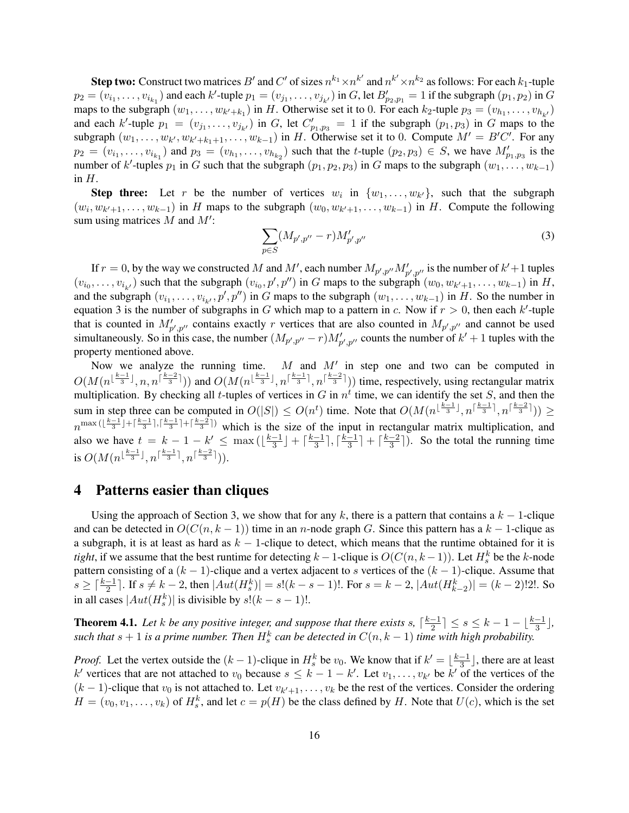**Step two:** Construct two matrices  $B'$  and  $C'$  of sizes  $n^{k_1}\times n^{k'}$  and  $n^{k'}\times n^{k_2}$  as follows: For each  $k_1$ -tuple  $p_2 = (v_{i_1}, \ldots, v_{i_{k_1}})$  and each k'-tuple  $p_1 = (v_{j_1}, \ldots, v_{j_{k'}})$  in G, let  $B'_{p_2, p_1} = 1$  if the subgraph  $(p_1, p_2)$  in G maps to the subgraph  $(w_1, \ldots, w_{k'+k_1})$  in H. Otherwise set it to 0. For each  $k_2$ -tuple  $p_3 = (v_{h_1}, \ldots, v_{h_{k'}})$ and each k'-tuple  $p_1 = (v_{j_1}, \ldots, v_{j_{k'}})$  in G, let  $C'_{p_1,p_3} = 1$  if the subgraph  $(p_1, p_3)$  in G maps to the subgraph  $(w_1, \ldots, w_{k'}, w_{k'+k_1+1}, \ldots, w_{k-1})$  in H. Otherwise set it to 0. Compute  $M' = B'C'$ . For any  $p_2 = (v_{i_1}, \ldots, v_{i_{k_1}})$  and  $p_3 = (v_{h_1}, \ldots, v_{h_{k_2}})$  such that the *t*-tuple  $(p_2, p_3) \in S$ , we have  $M'_{p_1, p_3}$  is the number of k'-tuples  $p_1$  in G such that the subgraph  $(p_1, p_2, p_3)$  in G maps to the subgraph  $(w_1, \ldots, w_{k-1})$ in  $H$ .

**Step three:** Let r be the number of vertices  $w_i$  in  $\{w_1, \ldots, w_{k'}\}$ , such that the subgraph  $(w_i, w_{k'+1}, \ldots, w_{k-1})$  in H maps to the subgraph  $(w_0, w_{k'+1}, \ldots, w_{k-1})$  in H. Compute the following sum using matrices  $M$  and  $M'$ :

$$
\sum_{p \in S} (M_{p',p''} - r) M'_{p',p''}
$$
 (3)

If  $r = 0$ , by the way we constructed M and M', each number  $M_{p',p''}M'_{p',p''}$  is the number of  $k' + 1$  tuples  $(v_{i_0}, \ldots, v_{i_{k'}})$  such that the subgraph  $(v_{i_0}, p', p'')$  in G maps to the subgraph  $(w_0, w_{k'+1}, \ldots, w_{k-1})$  in H, and the subgraph  $(v_{i_1},...,v_{i_{k'}},p',p'')$  in G maps to the subgraph  $(w_1,...,w_{k-1})$  in H. So the number in equation 3 is the number of subgraphs in G which map to a pattern in c. Now if  $r > 0$ , then each k'-tuple that is counted in  $M'_{p',p''}$  contains exactly r vertices that are also counted in  $M_{p',p''}$  and cannot be used simultaneously. So in this case, the number  $(M_{p',p''}-r)M'_{p',p''}$  counts the number of  $k'+1$  tuples with the property mentioned above.

Now we analyze the running time. M and  $M'$  in step one and two can be computed in  $O(M(n^{\lfloor \frac{k-1}{3} \rfloor}, n, n^{\lceil \frac{k-2}{3} \rceil}))$  and  $O(M(n^{\lfloor \frac{k-1}{3} \rfloor}, n^{\lceil \frac{k-2}{3} \rceil}))$  time, respectively, using rectangular matrix multiplication. By checking all *t*-tuples of vertices in G in  $n<sup>t</sup>$  time, we can identify the set S, and then the sum in step three can be computed in  $O(|S|) \leq O(n^t)$  time. Note that  $O(M(n^{\lfloor \frac{k-1}{3} \rfloor}, n^{\lceil \frac{k-1}{3} \rceil}, n^{\lceil \frac{k-2}{3} \rceil})) \geq$  $n^{\max(\lfloor \frac{k-1}{3}\rfloor + \lceil \frac{k-1}{3}\rceil, \lceil \frac{k-1}{3}\rceil + \lceil \frac{k-2}{3}\rceil)}$  which is the size of the input in rectangular matrix multiplication, and also we have  $t = k - 1 - k' \leq \max\left(\left\lfloor \frac{k-1}{3} \right\rfloor\right)$  $\frac{-1}{3}$  +  $\lceil \frac{k-1}{3}$  $\frac{-1}{3}$ ,  $\lceil \frac{k-1}{3} \rceil$  $\frac{-1}{3}$  +  $\frac{k-2}{3}$  $\frac{-2}{3}$ . So the total the running time is  $O(M(n^{\lfloor \frac{k-1}{3} \rfloor}, n^{\lceil \frac{k-1}{3} \rceil}, n^{\lceil \frac{k-2}{3} \rceil})).$ 

### 4 Patterns easier than cliques

Using the approach of Section 3, we show that for any k, there is a pattern that contains a  $k - 1$ -clique and can be detected in  $O(C(n, k - 1))$  time in an n-node graph G. Since this pattern has a  $k - 1$ -clique as a subgraph, it is at least as hard as  $k - 1$ -clique to detect, which means that the runtime obtained for it is *tight*, if we assume that the best runtime for detecting  $k-1$ -clique is  $O(C(n, k-1))$ . Let  $H_s^k$  be the k-node pattern consisting of a  $(k - 1)$ -clique and a vertex adjacent to s vertices of the  $(k - 1)$ -clique. Assume that  $s \geq \lceil \frac{k-1}{2} \rceil$ . If  $s \neq k-2$ , then  $|Aut(H_s^k)| = s!(k-s-1)!$ . For  $s = k-2$ ,  $|Aut(H_{k-2}^k)| = (k-2)!2!$ . So in all cases  $|Aut(H_s^k)|$  is divisible by  $s!(k-s-1)!$ .

**Theorem 4.1.** Let *k* be any positive integer, and suppose that there exists s,  $\lceil \frac{k-1}{2} \rceil$  $\frac{-1}{2}$ ]  $\leq s \leq k-1-\lfloor \frac{k-1}{3} \rfloor$ , such that  $s + 1$  is a prime number. Then  $H_s^k$  can be detected in  $C(n, k - 1)$  time with high probability.

*Proof.* Let the vertex outside the  $(k-1)$ -clique in  $H_s^k$  be  $v_0$ . We know that if  $k' = \lfloor \frac{k-1}{3} \rfloor$  $\frac{-1}{3}$ , there are at least k' vertices that are not attached to  $v_0$  because  $s \leq k-1-k'$ . Let  $v_1, \ldots, v_{k'}$  be  $k'$  of the vertices of the  $(k-1)$ -clique that  $v_0$  is not attached to. Let  $v_{k'+1}, \ldots, v_k$  be the rest of the vertices. Consider the ordering  $H = (v_0, v_1, \dots, v_k)$  of  $H_s^k$ , and let  $c = p(H)$  be the class defined by H. Note that  $U(c)$ , which is the set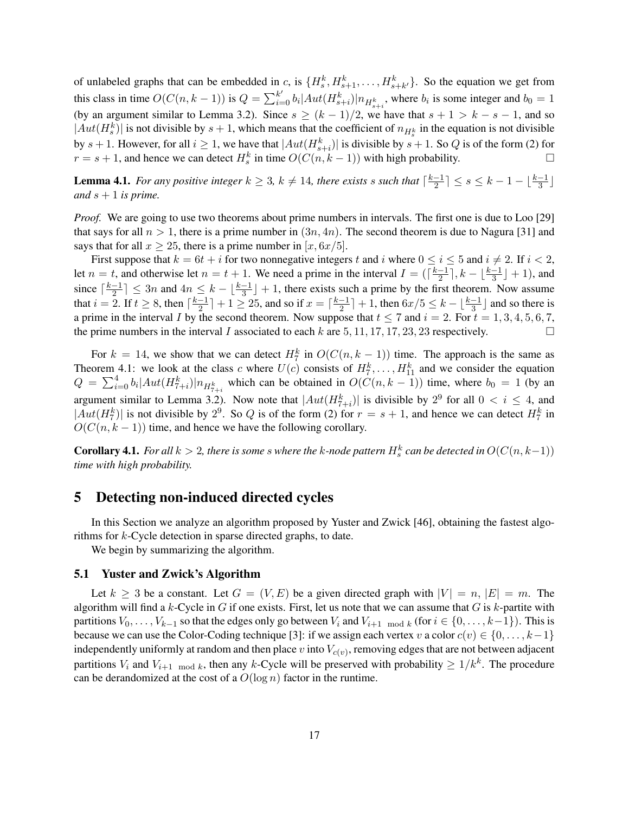of unlabeled graphs that can be embedded in c, is  $\{H_s^k, H_{s+1}^k, \ldots, H_{s+k'}^k\}$ . So the equation we get from this class in time  $O(C(n, k-1))$  is  $Q = \sum_{i=0}^{k'} b_i |Aut(H^k_{s+i})| n_{H^k_{s+i}}$ , where  $b_i$  is some integer and  $b_0 = 1$ (by an argument similar to Lemma 3.2). Since  $s \ge (k-1)/2$ , we have that  $s+1 > k-s-1$ , and so  $|Aut(H_s^k)|$  is not divisible by  $s + 1$ , which means that the coefficient of  $n_{H_s^k}$  in the equation is not divisible by  $s + 1$ . However, for all  $i \geq 1$ , we have that  $|Aut(H_{s+i}^k)|$  is divisible by  $s + 1$ . So Q is of the form (2) for  $r = s + 1$ , and hence we can detect  $H_s^k$  in time  $O(C(n, k - 1))$  with high probability.

**Lemma 4.1.** *For any positive integer*  $k \geq 3$ ,  $k \neq 14$ *, there exists s such that*  $\lceil \frac{k-1}{2} \rceil$  $\frac{-1}{2}$ ]  $\leq s \leq k-1-\lfloor \frac{k-1}{3} \rfloor$ *and*  $s + 1$  *is prime.* 

*Proof.* We are going to use two theorems about prime numbers in intervals. The first one is due to Loo [29] that says for all  $n > 1$ , there is a prime number in  $(3n, 4n)$ . The second theorem is due to Nagura [31] and says that for all  $x \ge 25$ , there is a prime number in  $[x, 6x/5]$ .

First suppose that  $k = 6t + i$  for two nonnegative integers t and i where  $0 \le i \le 5$  and  $i \ne 2$ . If  $i < 2$ , let  $n = t$ , and otherwise let  $n = t + 1$ . We need a prime in the interval  $I = \left(\frac{k-1}{2}\right)$  $\lfloor \frac{k-1}{3} \rfloor + 1$ ), and since  $\lceil \frac{k-1}{2} \rceil$  $\frac{-1}{2}$   $\leq$  3n and  $4n \leq k - \lfloor \frac{k-1}{3} \rfloor + 1$ , there exists such a prime by the first theorem. Now assume that  $i = 2$ . If  $t \geq 8$ , then  $\lceil \frac{k-1}{2} \rceil$  $\frac{-1}{2}$ ] + 1  $\geq$  25, and so if  $x = \lceil \frac{k-1}{2} \rceil$  $\frac{-1}{2}$ ] + 1, then  $6x/5 \leq k - \lfloor \frac{k-1}{3} \rfloor$  and so there is a prime in the interval I by the second theorem. Now suppose that  $t \le 7$  and  $i = 2$ . For  $t = 1, 3, 4, 5, 6, 7$ , the prime numbers in the interval I associated to each k are 5, 11, 17, 17, 23, 23 respectively.

For  $k = 14$ , we show that we can detect  $H_7^k$  in  $O(C(n, k - 1))$  time. The approach is the same as Theorem 4.1: we look at the class c where  $U(c)$  consists of  $H_7^k, \ldots, H_{11}^k$  and we consider the equation  $Q = \sum_{i=0}^{4} b_i |Aut(H_{7+i}^k)| n_{H_{7+i}^k}$  which can be obtained in  $O(C(n, k - 1))$  time, where  $b_0 = 1$  (by an argument similar to Lemma 3.2). Now note that  $|Aut(H_{7+i}^k)|$  is divisible by  $2^9$  for all  $0 < i \le 4$ , and  $|Aut(H_7^k)|$  is not divisible by  $2^9$ . So Q is of the form (2) for  $r = s + 1$ , and hence we can detect  $H_7^k$  in  $O(C(n, k - 1))$  time, and hence we have the following corollary.

 ${\bf Corollary 4.1.}$  *For all*  $k>2$ *, there is some*  $s$  *where the*  $k$ *-node pattern*  $H^k_s$  *can be detected in*  $O(C(n,k-1))$ *time with high probability.*

### 5 Detecting non-induced directed cycles

In this Section we analyze an algorithm proposed by Yuster and Zwick [46], obtaining the fastest algorithms for k-Cycle detection in sparse directed graphs, to date.

We begin by summarizing the algorithm.

### 5.1 Yuster and Zwick's Algorithm

Let  $k \geq 3$  be a constant. Let  $G = (V, E)$  be a given directed graph with  $|V| = n$ ,  $|E| = m$ . The algorithm will find a k-Cycle in G if one exists. First, let us note that we can assume that G is k-partite with partitions  $V_0, \ldots, V_{k-1}$  so that the edges only go between  $V_i$  and  $V_{i+1 \mod k}$  (for  $i \in \{0, \ldots, k-1\}$ ). This is because we can use the Color-Coding technique [3]: if we assign each vertex v a color  $c(v) \in \{0, \ldots, k-1\}$ independently uniformly at random and then place  $v$  into  $V_{c(v)}$ , removing edges that are not between adjacent partitions  $V_i$  and  $V_{i+1 \mod k}$ , then any k-Cycle will be preserved with probability  $\geq 1/k^k$ . The procedure can be derandomized at the cost of a  $O(\log n)$  factor in the runtime.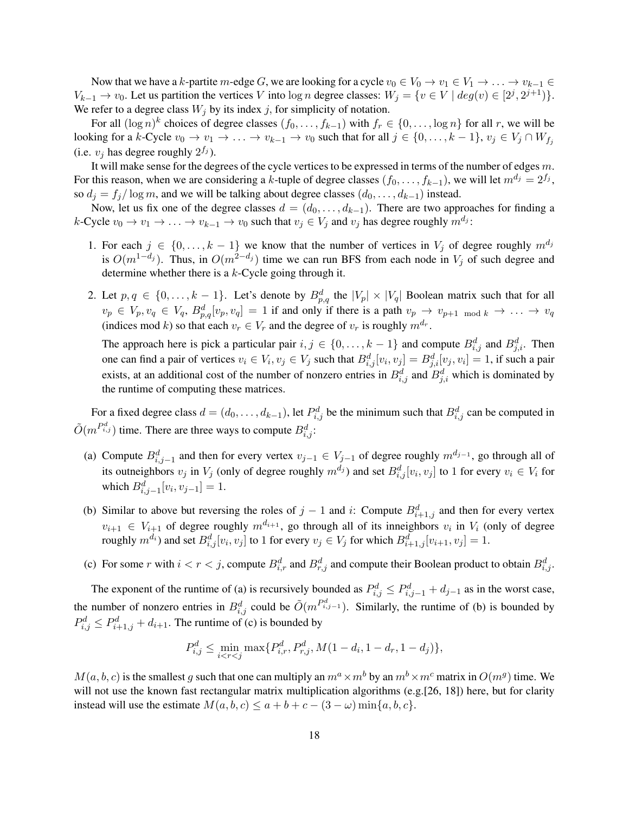Now that we have a k-partite m-edge G, we are looking for a cycle  $v_0 \in V_0 \to v_1 \in V_1 \to \ldots \to v_{k-1} \in$  $V_{k-1} \to v_0$ . Let us partition the vertices V into  $\log n$  degree classes:  $W_j = \{v \in V \mid deg(v) \in [2^j, 2^{j+1})\}.$ We refer to a degree class  $W_i$  by its index j, for simplicity of notation.

For all  $(\log n)^k$  choices of degree classes  $(f_0, \ldots, f_{k-1})$  with  $f_r \in \{0, \ldots, \log n\}$  for all r, we will be looking for a k-Cycle  $v_0 \to v_1 \to \ldots \to v_{k-1} \to v_0$  such that for all  $j \in \{0, \ldots, k-1\}$ ,  $v_j \in V_j \cap W_{f_j}$ (i.e.  $v_j$  has degree roughly  $2^{f_j}$ ).

It will make sense for the degrees of the cycle vertices to be expressed in terms of the number of edges  $m$ . For this reason, when we are considering a k-tuple of degree classes  $(f_0, \ldots, f_{k-1})$ , we will let  $m^{d_j} = 2^{f_j}$ , so  $d_j = f_j / \log m$ , and we will be talking about degree classes  $(d_0, \ldots, d_{k-1})$  instead.

Now, let us fix one of the degree classes  $d = (d_0, \ldots, d_{k-1})$ . There are two approaches for finding a k-Cycle  $v_0 \to v_1 \to \ldots \to v_{k-1} \to v_0$  such that  $v_j \in V_j$  and  $v_j$  has degree roughly  $m^{d_j}$ :

- 1. For each  $j \in \{0, \ldots, k-1\}$  we know that the number of vertices in  $V_j$  of degree roughly  $m^{d_j}$ is  $O(m^{1-d_j})$ . Thus, in  $O(m^{2-d_j})$  time we can run BFS from each node in  $V_j$  of such degree and determine whether there is a k-Cycle going through it.
- 2. Let  $p, q \in \{0, \ldots, k-1\}$ . Let's denote by  $B_{p,q}^d$  the  $|V_p| \times |V_q|$  Boolean matrix such that for all  $v_p \in V_p, v_q \in V_q, B_{p,q}^d[v_p, v_q] = 1$  if and only if there is a path  $v_p \to v_{p+1 \mod k} \to \ldots \to v_q$ (indices mod k) so that each  $v_r \in V_r$  and the degree of  $v_r$  is roughly  $m^{d_r}$ .

The approach here is pick a particular pair  $i, j \in \{0, ..., k-1\}$  and compute  $B_{i,j}^d$  and  $B_{j,i}^d$ . Then one can find a pair of vertices  $v_i \in V_i$ ,  $v_j \in V_j$  such that  $B_{i,j}^d[v_i, v_j] = B_{j,i}^d[v_j, v_i] = 1$ , if such a pair exists, at an additional cost of the number of nonzero entries in  $B_{i,j}^d$  and  $B_{j,i}^d$  which is dominated by the runtime of computing these matrices.

For a fixed degree class  $d = (d_0, \dots, d_{k-1})$ , let  $P_{i,j}^d$  be the minimum such that  $B_{i,j}^d$  can be computed in  $\tilde{O}(m^{P^d_{i,j}})$  time. There are three ways to compute  $B^d_{i,j}$ :

- (a) Compute  $B_{i,j-1}^d$  and then for every vertex  $v_{j-1} \in V_{j-1}$  of degree roughly  $m^{d_{j-1}}$ , go through all of its outneighbors  $v_j$  in  $V_j$  (only of degree roughly  $m^{d_j}$ ) and set  $B_{i,j}^d[v_i, v_j]$  to 1 for every  $v_i \in V_i$  for which  $B_{i,j-1}^d[v_i, v_{j-1}] = 1$ .
- (b) Similar to above but reversing the roles of  $j-1$  and i: Compute  $B_{i+1,j}^d$  and then for every vertex  $v_{i+1} \in V_{i+1}$  of degree roughly  $m^{d_{i+1}}$ , go through all of its inneighbors  $v_i$  in  $V_i$  (only of degree roughly  $m^{d_i}$ ) and set  $B_{i,j}^d[v_i, v_j]$  to 1 for every  $v_j \in V_j$  for which  $B_{i+1,j}^d[v_{i+1}, v_j] = 1$ .
- (c) For some r with  $i < r < j$ , compute  $B_{i,r}^d$  and  $B_{r,j}^d$  and compute their Boolean product to obtain  $B_{i,j}^d$ .

The exponent of the runtime of (a) is recursively bounded as  $P_{i,j}^d \leq P_{i,j-1}^d + d_{j-1}$  as in the worst case, the number of nonzero entries in  $B_{i,j}^d$  could be  $\tilde{O}(m^{P_{i,j-1}^d})$ . Similarly, the runtime of (b) is bounded by  $P_{i,j}^d \leq P_{i+1,j}^d + d_{i+1}$ . The runtime of (c) is bounded by

$$
P_{i,j}^d \le \min_{i < r < j} \max\{P_{i,r}^d, P_{r,j}^d, M(1 - d_i, 1 - d_r, 1 - d_j)\},
$$

 $M(a, b, c)$  is the smallest g such that one can multiply an  $m^a \times m^b$  by an  $m^b \times m^c$  matrix in  $O(m^g)$  time. We will not use the known fast rectangular matrix multiplication algorithms (e.g.[26, 18]) here, but for clarity instead will use the estimate  $M(a, b, c) \le a + b + c - (3 - \omega) \min\{a, b, c\}.$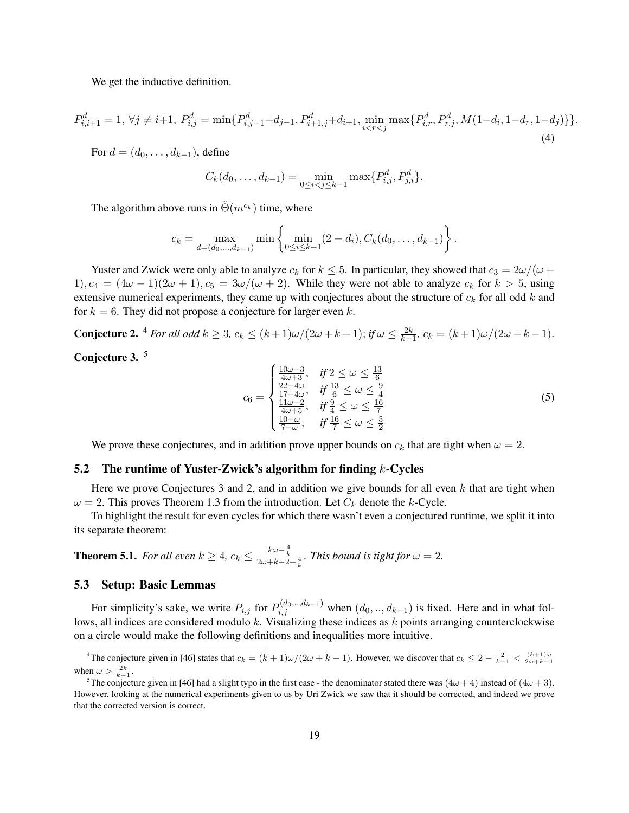We get the inductive definition.

$$
P_{i,i+1}^d = 1, \forall j \neq i+1, P_{i,j}^d = \min\{P_{i,j-1}^d + d_{j-1}, P_{i+1,j}^d + d_{i+1}, \min_{i < r < j} \max\{P_{i,r}^d, P_{r,j}^d, M(1-d_i, 1-d_r, 1-d_j)\}\}.
$$
\n<sup>(4)</sup>

For  $d = (d_0, \ldots, d_{k-1})$ , define

$$
C_k(d_0,\ldots,d_{k-1}) = \min_{0 \le i < j \le k-1} \max\{P_{i,j}^d, P_{j,i}^d\}.
$$

The algorithm above runs in  $\tilde{\Theta}(m^{c_k})$  time, where

$$
c_k = \max_{d=(d_0,\ldots,d_{k-1})} \min \left\{ \min_{0 \le i \le k-1} (2-d_i), C_k(d_0,\ldots,d_{k-1}) \right\}.
$$

Yuster and Zwick were only able to analyze  $c_k$  for  $k \leq 5$ . In particular, they showed that  $c_3 = 2\omega/(\omega +$ 1),  $c_4 = (4\omega - 1)(2\omega + 1)$ ,  $c_5 = 3\omega/(\omega + 2)$ . While they were not able to analyze  $c_k$  for  $k > 5$ , using extensive numerical experiments, they came up with conjectures about the structure of  $c_k$  for all odd k and for  $k = 6$ . They did not propose a conjecture for larger even k.

**Conjecture 2.** <sup>4</sup> *For all odd*  $k \ge 3$ ,  $c_k \le (k+1)\omega/(2\omega+k-1)$ ; *if*  $\omega \le \frac{2k}{k-1}$ ,  $c_k = (k+1)\omega/(2\omega+k-1)$ .

Conjecture 3.<sup>5</sup>

$$
c_6 = \begin{cases} \frac{10\omega - 3}{4\omega + 3}, & \text{if } 2 \le \omega \le \frac{13}{6} \\ \frac{22 - 4\omega}{17 - 4\omega}, & \text{if } \frac{13}{6} \le \omega \le \frac{9}{4} \\ \frac{11\omega - 2}{4\omega + 5}, & \text{if } \frac{9}{4} \le \omega \le \frac{16}{7} \\ \frac{10 - \omega}{7 - \omega}, & \text{if } \frac{16}{7} \le \omega \le \frac{5}{2} \end{cases}
$$
(5)

We prove these conjectures, and in addition prove upper bounds on  $c_k$  that are tight when  $\omega = 2$ .

#### 5.2 The runtime of Yuster-Zwick's algorithm for finding  $k$ -Cycles

Here we prove Conjectures 3 and 2, and in addition we give bounds for all even  $k$  that are tight when  $\omega = 2$ . This proves Theorem 1.3 from the introduction. Let  $C_k$  denote the k-Cycle.

To highlight the result for even cycles for which there wasn't even a conjectured runtime, we split it into its separate theorem:

**Theorem 5.1.** *For all even*  $k \geq 4$ ,  $c_k \leq \frac{k\omega - \frac{4}{k}}{2\omega + k - 2 - \frac{4}{k}}$ *. This bound is tight for*  $\omega = 2$ *.* 

#### 5.3 Setup: Basic Lemmas

For simplicity's sake, we write  $P_{i,j}$  for  $P_{i,j}^{(d_0,...,d_{k-1})}$  when  $(d_0, ..., d_{k-1})$  is fixed. Here and in what follows, all indices are considered modulo k. Visualizing these indices as  $k$  points arranging counterclockwise on a circle would make the following definitions and inequalities more intuitive.

<sup>&</sup>lt;sup>4</sup>The conjecture given in [46] states that  $c_k = (k+1)\omega/(2\omega+k-1)$ . However, we discover that  $c_k \leq 2 - \frac{2}{k+1} < \frac{(k+1)\omega}{2\omega+k-1}$ when  $\omega > \frac{2k}{k-1}$ .

<sup>&</sup>lt;sup>5</sup>The conjecture given in [46] had a slight typo in the first case - the denominator stated there was  $(4\omega + 4)$  instead of  $(4\omega + 3)$ . However, looking at the numerical experiments given to us by Uri Zwick we saw that it should be corrected, and indeed we prove that the corrected version is correct.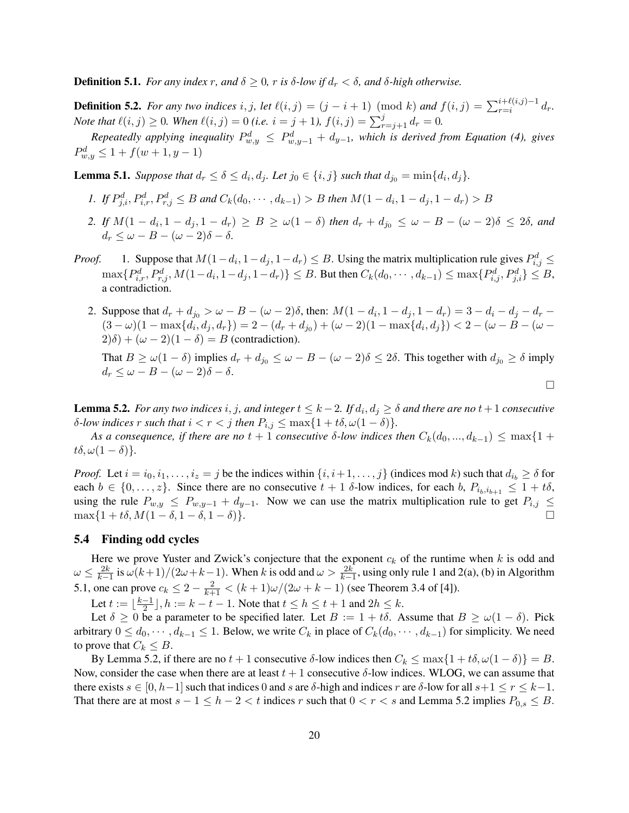**Definition 5.1.** *For any index* r, and  $\delta \geq 0$ , r is  $\delta$ -low if  $d_r < \delta$ , and  $\delta$ -high otherwise.

**Definition 5.2.** *For any two indices*  $i, j$ , *let*  $\ell(i, j) = (j - i + 1) \pmod{k}$  *and*  $f(i, j) = \sum_{r=i}^{i+\ell(i,j)-1} d_r$ . *Note that*  $\ell(i, j) \geq 0$ *. When*  $\ell(i, j) = 0$  *(i.e.*  $i = j + 1$ *),*  $f(i, j) = \sum_{r=j+1}^{j} d_r = 0$ *.* 

*Repeatedly applying inequality*  $P_{w,y}^d \leq P_{w,y-1}^d + d_{y-1}$ , which is derived from Equation (4), gives  $P_{w,y}^d \leq 1 + f(w+1, y-1)$ 

**Lemma 5.1.** *Suppose that*  $d_r \leq \delta \leq d_i, d_j$ . Let  $j_0 \in \{i, j\}$  such that  $d_{j_0} = \min\{d_i, d_j\}$ .

- *1. If*  $P_{j,i}^d$ ,  $P_{i,r}^d$ ,  $P_{r,j}^d \leq B$  and  $C_k(d_0, \dots, d_{k-1}) > B$  then  $M(1-d_i, 1-d_j, 1-d_r) > B$
- *2. If*  $M(1 d_i, 1 d_j, 1 d_r) \ge B \ge w(1 \delta)$  *then*  $d_r + d_{j0} ≤ w B (w 2)\delta ≤ 2\delta$ , and  $d_r \leq \omega - B - (\omega - 2)\delta - \delta.$
- *Proof.* 1. Suppose that  $M(1-d_i, 1-d_j, 1-d_r) \leq B$ . Using the matrix multiplication rule gives  $P_{i,j}^d \leq$  $\max\{P_{i,r}^d, P_{r,j}^d, M(1-d_i, 1-d_j, 1-d_r)\} \leq B$ . But then  $C_k(d_0, \dots, d_{k-1}) \leq \max\{P_{i,j}^d, P_{j,i}^d\} \leq B$ , a contradiction.
	- 2. Suppose that  $d_r + d_{j0} > \omega B (\omega 2)\delta$ , then:  $M(1 d_i, 1 d_j, 1 d_r) = 3 d_i d_j d_r \delta$  $(3 - \omega)(1 - \max\{d_i, d_j, d_r\}) = 2 - (d_r + d_{j0}) + (\omega - 2)(1 - \max\{d_i, d_j\}) < 2 - (\omega - B - (\omega - 1))$  $2(\delta) + (\omega - 2)(1 - \delta) = B$  (contradiction).

That  $B \ge \omega(1-\delta)$  implies  $d_r + d_{j_0} \le \omega - B - (\omega - 2)\delta \le 2\delta$ . This together with  $d_{j_0} \ge \delta$  imply  $d_r \leq \omega - B - (\omega - 2)\delta - \delta.$ 

 $\Box$ 

**Lemma 5.2.** *For any two indices*  $i, j$ , and integer  $t \leq k-2$ . If  $d_i, d_j \geq \delta$  and there are no  $t+1$  consecutive *δ*-*low indices r such that*  $i < r < j$  *then*  $P_{i,j}$  ≤ max{1 + tδ, ω(1 − δ)}.

*As a consequence, if there are no*  $t + 1$  *consecutive*  $\delta$ *-low indices then*  $C_k(d_0, ..., d_{k-1}) \leq \max\{1 + \delta\}$  $t\delta, \omega(1-\delta)$ .

*Proof.* Let  $i = i_0, i_1, \ldots, i_z = j$  be the indices within  $\{i, i+1, \ldots, j\}$  (indices mod k) such that  $d_{i_b} \ge \delta$  for each  $b \in \{0, \ldots, z\}$ . Since there are no consecutive  $t + 1$   $\delta$ -low indices, for each  $b, P_{i_b,i_{b+1}} \leq 1 + t\delta$ , using the rule  $P_{w,y} \le P_{w,y-1} + d_{y-1}$ . Now we can use the matrix multiplication rule to get  $P_{i,j} \le$  $\max\{1 + t\delta, M(1 - \delta, 1 - \delta, 1 - \delta)\}.$ 

### 5.4 Finding odd cycles

Here we prove Yuster and Zwick's conjecture that the exponent  $c_k$  of the runtime when k is odd and  $\omega \leq \frac{2k}{k-1}$  is  $\omega(k+1)/(2\omega+k-1)$ . When k is odd and  $\omega > \frac{2k}{k-1}$ , using only rule 1 and 2(a), (b) in Algorithm 5.1, one can prove  $c_k \le 2 - \frac{2}{k+1} < (k+1)\omega/(2\omega + k - 1)$  (see Theorem 3.4 of [4]).

Let  $t := \lfloor \frac{k-1}{2} \rfloor$  $\frac{-1}{2}$ ,  $h := k - t - 1$ . Note that  $t \leq h \leq t + 1$  and  $2h \leq k$ .

Let  $\delta \geq 0$  be a parameter to be specified later. Let  $B := 1 + t\delta$ . Assume that  $B \geq \omega(1 - \delta)$ . Pick arbitrary  $0 \leq d_0, \dots, d_{k-1} \leq 1$ . Below, we write  $C_k$  in place of  $C_k(d_0, \dots, d_{k-1})$  for simplicity. We need to prove that  $C_k \leq B$ .

By Lemma 5.2, if there are no  $t + 1$  consecutive  $\delta$ -low indices then  $C_k \le \max\{1 + t\delta, \omega(1 - \delta)\} = B$ . Now, consider the case when there are at least  $t + 1$  consecutive  $\delta$ -low indices. WLOG, we can assume that there exists  $s \in [0, h-1]$  such that indices 0 and s are  $\delta$ -high and indices r are  $\delta$ -low for all  $s+1 \le r \le k-1$ . That there are at most  $s - 1 \le h - 2 < t$  indices r such that  $0 < r < s$  and Lemma 5.2 implies  $P_{0,s} \le B$ .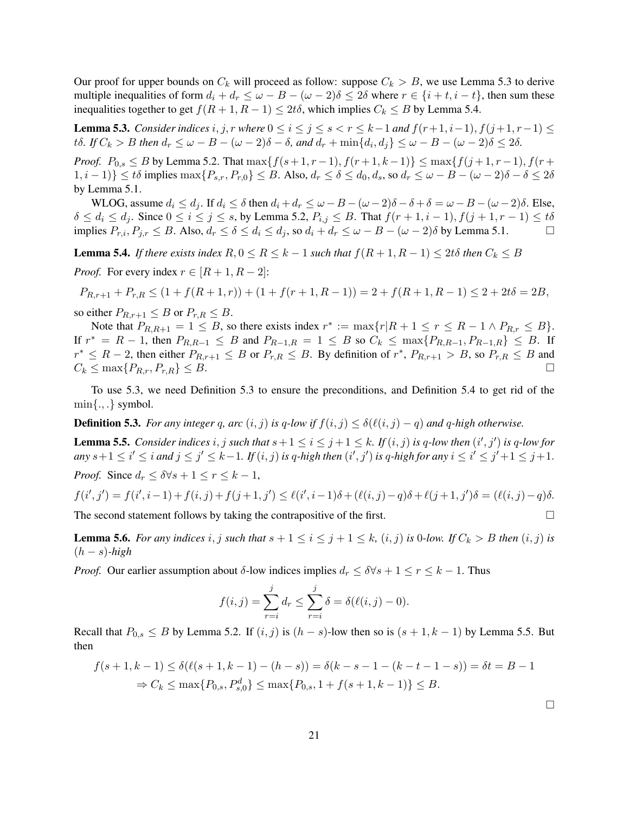Our proof for upper bounds on  $C_k$  will proceed as follow: suppose  $C_k > B$ , we use Lemma 5.3 to derive multiple inequalities of form  $d_i + d_r \leq \omega - B - (\omega - 2)\delta \leq 2\delta$  where  $r \in \{i + t, i - t\}$ , then sum these inequalities together to get  $f(R + 1, R - 1) \leq 2t\delta$ , which implies  $C_k \leq B$  by Lemma 5.4.

**Lemma 5.3.** *Consider indices*  $i, j, r$  *where*  $0 \le i \le j \le s < r \le k-1$  *and*  $f(r+1, i-1), f(j+1, r-1) \le$ t $\delta$ *.* If  $C_k > B$  then  $d_r \leq \omega - B - (\omega - 2)\delta - \delta$ , and  $d_r + \min\{d_i, d_j\} \leq \omega - B - (\omega - 2)\delta \leq 2\delta$ .

*Proof.*  $P_{0,s} \leq B$  by Lemma 5.2. That  $\max\{f(s+1,r-1), f(r+1,k-1)\} \leq \max\{f(j+1,r-1), f(r+1,k-1)\}$  $|1, i - 1\rangle$ }  $\leq t\delta$  implies  $\max\{P_{s,r}, P_{r,0}\} \leq B$ . Also,  $d_r \leq \delta \leq d_0, d_s$ , so  $d_r \leq \omega - B - (\omega - 2)\delta - \delta \leq 2\delta$ by Lemma 5.1.

WLOG, assume  $d_i \leq d_j$ . If  $d_i \leq \delta$  then  $d_i + d_r \leq \omega - B - (\omega - 2)\delta - \delta + \delta = \omega - B - (\omega - 2)\delta$ . Else,  $\delta \le d_i \le d_j$ . Since  $0 \le i \le j \le s$ , by Lemma 5.2,  $P_{i,j} \le B$ . That  $f(r+1, i-1), f(j+1, r-1) \le t\delta$ implies  $P_{r,i}, P_{j,r} \leq B$ . Also,  $d_r \leq \delta \leq d_i \leq d_j$ , so  $d_i + d_r \leq \omega - B - (\omega - 2)\delta$  by Lemma 5.1.

**Lemma 5.4.** *If there exists index*  $R, 0 \leq R \leq k - 1$  *such that*  $f(R + 1, R - 1) \leq 2t\delta$  *then*  $C_k \leq B$ 

*Proof.* For every index  $r \in [R+1, R-2]$ :

$$
P_{R,r+1} + P_{r,R} \le (1 + f(R+1,r)) + (1 + f(r+1,R-1)) = 2 + f(R+1,R-1) \le 2 + 2t\delta = 2B,
$$

so either  $P_{R,r+1} \leq B$  or  $P_{r,R} \leq B$ .

Note that  $P_{R,R+1} = 1 \leq B$ , so there exists index  $r^* := \max\{r | R + 1 \leq r \leq R - 1 \land P_{R,r} \leq B\}.$ If  $r^* = R - 1$ , then  $P_{R,R-1} \leq B$  and  $P_{R-1,R} = 1 \leq B$  so  $C_k \leq \max\{P_{R,R-1}, P_{R-1,R}\} \leq B$ . If  $r^* \leq R-2$ , then either  $P_{R,r+1} \leq B$  or  $P_{r,R} \leq B$ . By definition of  $r^*$ ,  $P_{R,r+1} > B$ , so  $P_{r,R} \leq B$  and  $C_k \leq \max\{P_{R,r}, P_{r,R}\} \leq B.$ 

To use 5.3, we need Definition 5.3 to ensure the preconditions, and Definition 5.4 to get rid of the  $\min\{.,.\}$  symbol.

**Definition 5.3.** *For any integer* q, arc  $(i, j)$  *is q-low if*  $f(i, j) \leq \delta(\ell(i, j) - q)$  *and* q-high otherwise.

**Lemma 5.5.** *Consider indices*  $i, j$  *such that*  $s + 1 \le i \le j + 1 \le k$ *. If*  $(i, j)$  *is*  $q$ *-low then*  $(i', j')$  *is*  $q$ *-low for*  $any\ s+1\leq i'\leq i\ and\ j\leq j'\leq k-1.\ If\ (i,j)\ is\ q\text{-high then}\ (i',j')\ is\ q\text{-high for any}\ i\leq i'\leq j'+1\leq j+1.$ *Proof.* Since  $d_r < \delta \forall s + 1 \leq r \leq k - 1$ ,

$$
f(i',j') = f(i',i-1) + f(i,j) + f(j+1,j') \le \ell(i',i-1)\delta + (\ell(i,j) - q)\delta + \ell(j+1,j')\delta = (\ell(i,j) - q)\delta.
$$

The second statement follows by taking the contrapositive of the first.  $\square$ 

**Lemma 5.6.** For any indices i, j such that  $s + 1 \le i \le j + 1 \le k$ ,  $(i, j)$  is 0*-low.* If  $C_k > B$  then  $(i, j)$  is (h − s)*-high*

*Proof.* Our earlier assumption about  $\delta$ -low indices implies  $d_r \leq \delta \forall s + 1 \leq r \leq k - 1$ . Thus

$$
f(i,j) = \sum_{r=i}^{j} d_r \le \sum_{r=i}^{j} \delta = \delta(\ell(i,j) - 0).
$$

Recall that  $P_{0,s} \leq B$  by Lemma 5.2. If  $(i, j)$  is  $(h - s)$ -low then so is  $(s + 1, k - 1)$  by Lemma 5.5. But then

$$
f(s+1,k-1) \le \delta(\ell(s+1,k-1) - (h-s)) = \delta(k-s-1 - (k-t-1-s)) = \delta t = B - 1
$$
  
\n
$$
\Rightarrow C_k \le \max\{P_{0,s}, P_{s,0}^d\} \le \max\{P_{0,s}, 1 + f(s+1,k-1)\} \le B.
$$

 $\Box$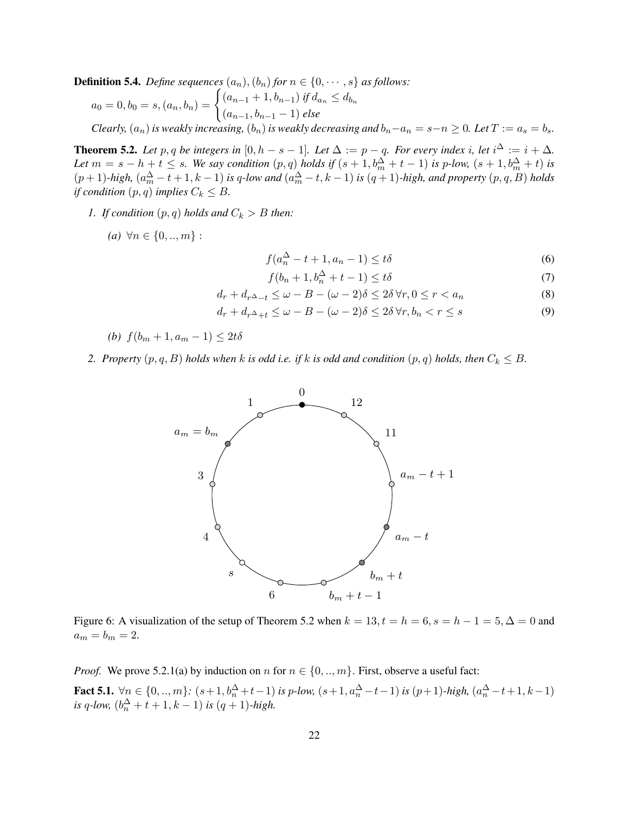**Definition 5.4.** *Define sequences*  $(a_n)$ ,  $(b_n)$  *for*  $n \in \{0, \dots, s\}$  *as follows:* 

$$
a_0 = 0, b_0 = s, (a_n, b_n) = \begin{cases} (a_{n-1} + 1, b_{n-1}) & \text{if } d_{a_n} \le d_{b_n} \\ (a_{n-1}, b_{n-1} - 1) & \text{else} \end{cases}
$$
  
Clearly,  $(a_n)$  is weakly increasing,  $(b_n)$  is weakly decreasing and  $b_n - a_n = s - n \ge 0$ . Let  $T := a_s = b_s$ .

**Theorem 5.2.** Let p, q be integers in  $[0, h - s - 1]$ . Let  $\Delta := p - q$ . For every index i, let  $i^{\Delta} := i + \Delta$ . *Let*  $m = s - h + t \leq s$ . We say condition  $(p, q)$  holds if  $(s + 1, b_m^{\Delta} + t - 1)$  is p-low,  $(s + 1, b_m^{\Delta} + t)$  is  $(p+1)$ -high,  $(a_m^{\Delta} - t + 1, k - 1)$  is q-low and  $(a_m^{\Delta} - t, k - 1)$  is  $(q+1)$ -high, and property  $(p, q, B)$  holds *if condition*  $(p, q)$  *implies*  $C_k \leq B$ .

- *1. If condition*  $(p, q)$  *holds and*  $C_k > B$  *then:* 
	- *(a)* ∀ $n \in \{0, ..., m\}$ :

$$
f(a_n^{\Delta} - t + 1, a_n - 1) \le t\delta
$$
\n<sup>(6)</sup>

$$
f(b_n + 1, b_n^{\Delta} + t - 1) \le t\delta \tag{7}
$$

$$
d_r + d_{r^{\Delta}-t} \le \omega - B - (\omega - 2)\delta \le 2\delta \,\forall r, 0 \le r < a_n \tag{8}
$$

$$
d_r + d_{r^{\Delta} + t} \le \omega - B - (\omega - 2)\delta \le 2\delta \,\forall r, b_n < r \le s \tag{9}
$$

(b) 
$$
f(b_m + 1, a_m - 1) \leq 2t\delta
$$

*2. Property*  $(p, q, B)$  *holds when k is odd i.e. if k is odd and condition*  $(p, q)$  *holds, then*  $C_k \leq B$ *.* 



Figure 6: A visualization of the setup of Theorem 5.2 when  $k = 13$ ,  $t = h = 6$ ,  $s = h - 1 = 5$ ,  $\Delta = 0$  and  $a_m = b_m = 2.$ 

*Proof.* We prove 5.2.1(a) by induction on n for  $n \in \{0, ..., m\}$ . First, observe a useful fact:

**Fact 5.1.**  $\forall n \in \{0, ..., m\}$ :  $(s+1, b_n^{\Delta}+t-1)$  *is p-low,*  $(s+1, a_n^{\Delta}-t-1)$  *is*  $(p+1)$ *-high,*  $(a_n^{\Delta}-t+1, k-1)$ *is*  $q$ *-low,*  $(b_n^{\Delta} + t + 1, k - 1)$  *is*  $(q + 1)$ *-high.*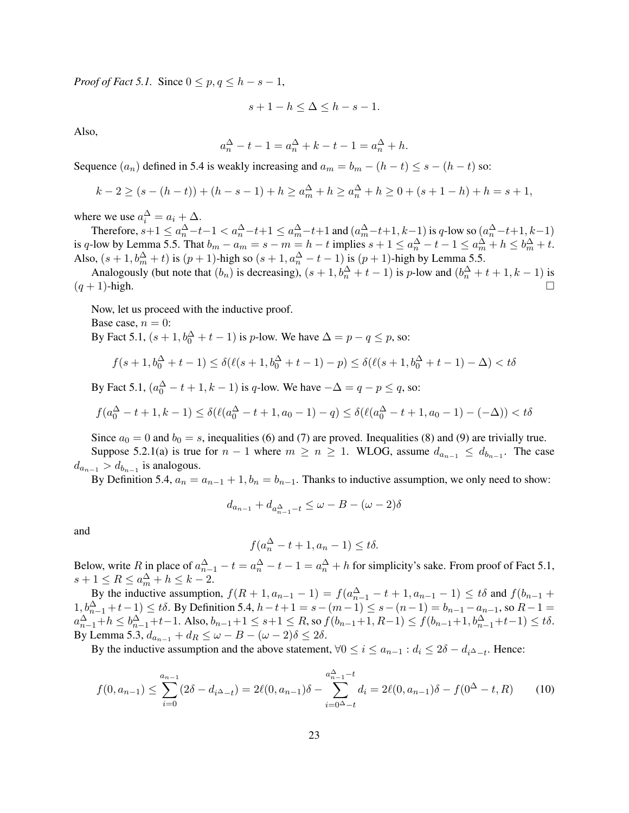*Proof of Fact 5.1.* Since  $0 \le p, q \le h - s - 1$ ,

$$
s + 1 - h \le \Delta \le h - s - 1.
$$

Also,

$$
a_n^{\Delta} - t - 1 = a_n^{\Delta} + k - t - 1 = a_n^{\Delta} + h.
$$

Sequence  $(a_n)$  defined in 5.4 is weakly increasing and  $a_m = b_m - (h - t) \le s - (h - t)$  so:

$$
k-2 \ge (s-(h-t)) + (h-s-1) + h \ge a_m^{\Delta} + h \ge a_n^{\Delta} + h \ge 0 + (s+1-h) + h = s+1,
$$

where we use  $a_i^{\Delta} = a_i + \Delta$ .

Therefore,  $s+1 \le a_n^{\Delta} - t-1 < a_n^{\Delta} - t+1 \le a_m^{\Delta} - t+1$  and  $(a_m^{\Delta} - t+1, k-1)$  is q-low so  $(a_n^{\Delta} - t+1, k-1)$ is q-low by Lemma 5.5. That  $b_m - a_m = s - m = h - t$  implies  $s + 1 \le a_m^{\Delta} - t - 1 \le a_m^{\Delta} + h \le b_m^{\Delta} + t$ . Also,  $(s + 1, b_m^{\Delta} + t)$  is  $(p + 1)$ -high so  $(s + 1, a_n^{\Delta} - t - 1)$  is  $(p + 1)$ -high by Lemma 5.5.

Analogously (but note that  $(b_n)$  is decreasing),  $(s+1, b_n^{\Delta}+t-1)$  is p-low and  $(b_n^{\Delta}+t+1, k-1)$  is  $(q + 1)$ -high.

Now, let us proceed with the inductive proof.

Base case,  $n = 0$ :

By Fact 5.1,  $(s+1,b_0^{\Delta}+t-1)$  is *p*-low. We have  $\Delta = p - q \le p$ , so:

$$
f(s+1, b_0^{\Delta} + t - 1) \le \delta(\ell(s+1, b_0^{\Delta} + t - 1) - p) \le \delta(\ell(s+1, b_0^{\Delta} + t - 1) - \Delta) < t\delta
$$

By Fact 5.1,  $(a_0^{\Delta} - t + 1, k - 1)$  is q-low. We have  $-\Delta = q - p \le q$ , so:

$$
f(a_0^{\Delta} - t + 1, k - 1) \le \delta(\ell(a_0^{\Delta} - t + 1, a_0 - 1) - q) \le \delta(\ell(a_0^{\Delta} - t + 1, a_0 - 1) - (-\Delta)) < t\delta
$$

Since  $a_0 = 0$  and  $b_0 = s$ , inequalities (6) and (7) are proved. Inequalities (8) and (9) are trivially true. Suppose 5.2.1(a) is true for  $n-1$  where  $m \ge n \ge 1$ . WLOG, assume  $d_{a_{n-1}} \le d_{b_{n-1}}$ . The case  $d_{a_{n-1}} > d_{b_{n-1}}$  is analogous.

By Definition 5.4,  $a_n = a_{n-1} + 1$ ,  $b_n = b_{n-1}$ . Thanks to inductive assumption, we only need to show:

$$
d_{a_{n-1}} + d_{a_{n-1}^{\Delta} - t} \le \omega - B - (\omega - 2)\delta
$$

and

$$
f(a_n^{\Delta} - t + 1, a_n - 1) \le t\delta.
$$

Below, write R in place of  $a_{n-1}^{\Delta} - t = a_n^{\Delta} - t - 1 = a_n^{\Delta} + h$  for simplicity's sake. From proof of Fact 5.1,  $s+1 \leq R \leq a_m^{\Delta} + h \leq k-2.$ 

By the inductive assumption,  $f(R + 1, a_{n-1} - 1) = f(a_{n-1}^{\Delta} - t + 1, a_{n-1} - 1) \le t\delta$  and  $f(b_{n-1} + b_{n-1} - 1)$ 1,  $b_{n-1}^{\Delta}$  + t − 1) ≤ tδ. By Definition 5.4,  $h - t + 1 = s - (m - 1) \le s - (n - 1) = b_{n-1} - a_{n-1}$ , so  $R - 1 =$  $a_{n-1}^{\Delta}+h \leq b_{n-1}^{\Delta}+t-1$ . Also,  $b_{n-1}+1 \leq s+1 \leq R$ , so  $f(b_{n-1}+1, R-1) \leq f(b_{n-1}+1, b_{n-1}^{\Delta}+t-1) \leq t\delta$ . By Lemma 5.3,  $d_{a_{n-1}} + d_R \leq \omega - B - (\omega - 2)\delta \leq 2\delta$ .

By the inductive assumption and the above statement,  $\forall 0 \le i \le a_{n-1} : d_i \le 2\delta - d_{i} \Delta_{-t}$ . Hence:

$$
f(0, a_{n-1}) \leq \sum_{i=0}^{a_{n-1}} (2\delta - d_i \Delta_{-t}) = 2\ell(0, a_{n-1})\delta - \sum_{i=0}^{a_{n-1}^{\Delta} - t} d_i = 2\ell(0, a_{n-1})\delta - f(0^{\Delta} - t, R) \tag{10}
$$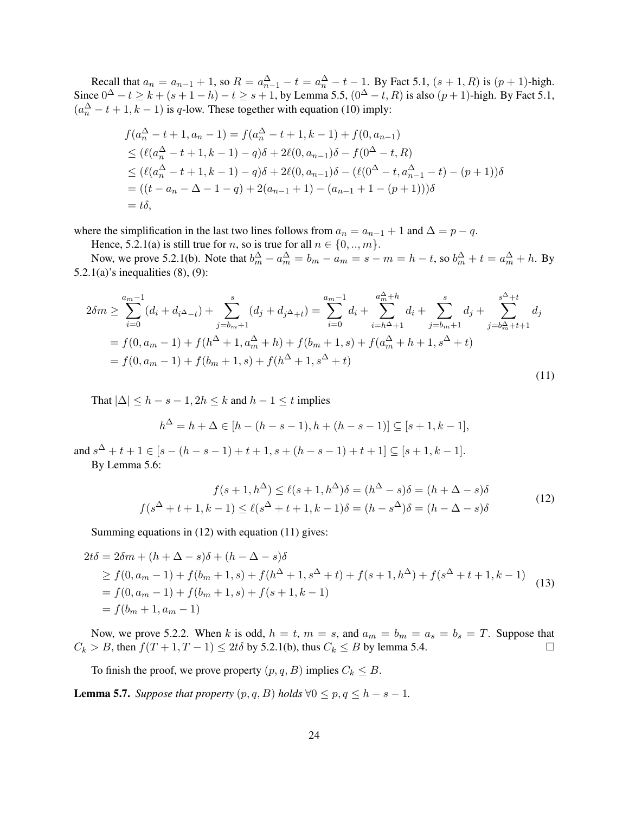Recall that  $a_n = a_{n-1} + 1$ , so  $R = a_{n-1}^{\Delta} - t = a_n^{\Delta} - t - 1$ . By Fact 5.1,  $(s + 1, R)$  is  $(p + 1)$ -high. Since  $0^{\Delta} - t \ge k + (s + 1 - h) - t \ge s + 1$ , by Lemma 5.5,  $(0^{\Delta} - t, R)$  is also  $(p + 1)$ -high. By Fact 5.1,  $(a_n^{\Delta} - t + 1, k - 1)$  is q-low. These together with equation (10) imply:

$$
f(a_n^{\Delta} - t + 1, a_n - 1) = f(a_n^{\Delta} - t + 1, k - 1) + f(0, a_{n-1})
$$
  
\n
$$
\leq (\ell(a_n^{\Delta} - t + 1, k - 1) - q)\delta + 2\ell(0, a_{n-1})\delta - f(0^{\Delta} - t, R)
$$
  
\n
$$
\leq (\ell(a_n^{\Delta} - t + 1, k - 1) - q)\delta + 2\ell(0, a_{n-1})\delta - (\ell(0^{\Delta} - t, a_{n-1}^{\Delta} - t) - (p + 1))\delta
$$
  
\n
$$
= ((t - a_n - \Delta - 1 - q) + 2(a_{n-1} + 1) - (a_{n-1} + 1 - (p + 1)))\delta
$$
  
\n
$$
= t\delta,
$$

where the simplification in the last two lines follows from  $a_n = a_{n-1} + 1$  and  $\Delta = p - q$ .

Hence, 5.2.1(a) is still true for *n*, so is true for all  $n \in \{0, ..., m\}$ .

Now, we prove 5.2.1(b). Note that  $b_m^{\Delta} - a_m^{\Delta} = b_m - a_m = s - m = h - t$ , so  $b_m^{\Delta} + t = a_m^{\Delta} + h$ . By 5.2.1(a)'s inequalities  $(8)$ ,  $(9)$ :

$$
2\delta m \geq \sum_{i=0}^{a_m-1} (d_i + d_{i\Delta - t}) + \sum_{j=b_m+1}^{s} (d_j + d_{j\Delta + t}) = \sum_{i=0}^{a_m-1} d_i + \sum_{i=h\Delta +1}^{a_m^{\Delta}+h} d_i + \sum_{j=b_m+1}^{s} d_j + \sum_{j=b_m^{\Delta}+t+1}^{s^{\Delta}+t} d_j
$$
  
=  $f(0, a_m - 1) + f(h^{\Delta} + 1, a_m^{\Delta} + h) + f(b_m + 1, s) + f(a_m^{\Delta} + h + 1, s^{\Delta} + t)$   
=  $f(0, a_m - 1) + f(b_m + 1, s) + f(h^{\Delta} + 1, s^{\Delta} + t)$  (11)

That  $|\Delta| \leq h - s - 1$ ,  $2h \leq k$  and  $h - 1 \leq t$  implies

$$
h^{\Delta} = h + \Delta \in [h - (h - s - 1), h + (h - s - 1)] \subseteq [s + 1, k - 1],
$$

and  $s^{\Delta} + t + 1 \in [s - (h - s - 1) + t + 1, s + (h - s - 1) + t + 1] \subseteq [s + 1, k - 1]$ .

By Lemma 5.6:

$$
f(s+1,h^{\Delta}) \le \ell(s+1,h^{\Delta})\delta = (h^{\Delta} - s)\delta = (h + \Delta - s)\delta
$$
  

$$
f(s^{\Delta} + t + 1, k - 1) \le \ell(s^{\Delta} + t + 1, k - 1)\delta = (h - s^{\Delta})\delta = (h - \Delta - s)\delta
$$
 (12)

Summing equations in (12) with equation (11) gives:

$$
2t\delta = 2\delta m + (h + \Delta - s)\delta + (h - \Delta - s)\delta
$$
  
\n
$$
\geq f(0, a_m - 1) + f(b_m + 1, s) + f(h^{\Delta} + 1, s^{\Delta} + t) + f(s + 1, h^{\Delta}) + f(s^{\Delta} + t + 1, k - 1)
$$
  
\n
$$
= f(0, a_m - 1) + f(b_m + 1, s) + f(s + 1, k - 1)
$$
  
\n
$$
= f(b_m + 1, a_m - 1)
$$
\n(13)

Now, we prove 5.2.2. When k is odd,  $h = t$ ,  $m = s$ , and  $a_m = b_m = a_s = b_s = T$ . Suppose that  $C_k > B$ , then  $f(T+1, T-1) \le 2t\delta$  by 5.2.1(b), thus  $C_k \le B$  by lemma 5.4.

To finish the proof, we prove property  $(p, q, B)$  implies  $C_k \leq B$ .

**Lemma 5.7.** *Suppose that property*  $(p, q, B)$  *holds*  $\forall 0 \leq p, q \leq h - s - 1$ *.*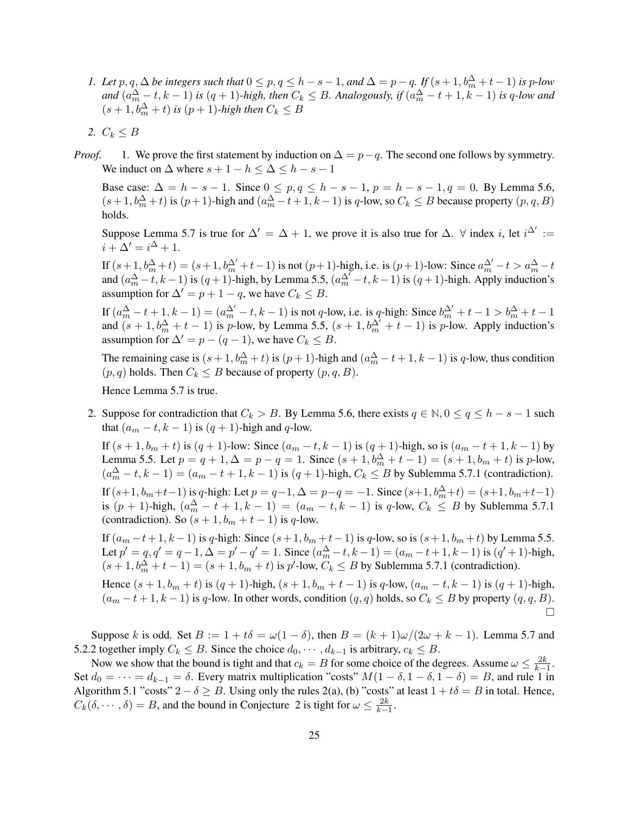- *1. Let*  $p, q, \Delta$  *be integers such that*  $0 \leq p, q \leq h s 1$ , *and*  $\Delta = p q$ . *If*  $(s + 1, b_m^{\Delta} + t 1)$  *is p*-*low* and  $(a_m^{\Delta} - t, k - 1)$  is  $(q + 1)$ -high, then  $C_k \leq B$ . Analogously, if  $(a_m^{\Delta} - t + 1, k - 1)$  is q-low and  $(s+1,b_m^{\Delta}+t)$  *is*  $(p+1)$ *-high then*  $C_k \leq B$
- 2.  $C_k \leq B$
- *Proof.* 1. We prove the first statement by induction on  $\Delta = p q$ . The second one follows by symmetry. We induct on  $\Delta$  where  $s + 1 - h \leq \Delta \leq h - s - 1$

Base case:  $\Delta = h - s - 1$ . Since  $0 \le p, q \le h - s - 1$ ,  $p = h - s - 1, q = 0$ . By Lemma 5.6,  $(s+1,b_m^{\Delta}+t)$  is  $(p+1)$ -high and  $(a_m^{\Delta}-t+1,k-1)$  is q-low, so  $C_k \leq B$  because property  $(p,q,B)$ holds.

Suppose Lemma 5.7 is true for  $\Delta' = \Delta + 1$ , we prove it is also true for  $\Delta$ .  $\forall$  index i, let  $i^{\Delta'} :=$  $i + \Delta' = i^{\Delta} + 1.$ 

If  $(s+1,b_m^{\Delta}+t)=(s+1,b_m^{\Delta'}+t-1)$  is not  $(p+1)$ -high, i.e. is  $(p+1)$ -low: Since  $a_m^{\Delta'}-t>a_m^{\Delta}-t$ and  $(a_m^{\Delta} - t, k - 1)$  is  $(q + 1)$ -high, by Lemma 5.5,  $(a_m^{\Delta} - t, k - 1)$  is  $(q + 1)$ -high. Apply induction's assumption for  $\Delta' = p + 1 - q$ , we have  $C_k \leq B$ .

If  $(a_m^{\Delta} - t + 1, k - 1) = (a_m^{\Delta'} - t, k - 1)$  is not q-low, i.e. is q-high: Since  $b_m^{\Delta'} + t - 1 > b_m^{\Delta} + t - 1$ and  $(s + 1, b_m^{\Delta} + t - 1)$  is p-low, by Lemma 5.5,  $(s + 1, b_m^{\Delta} + t - 1)$  is p-low. Apply induction's assumption for  $\Delta' = p - (q - 1)$ , we have  $C_k \leq B$ .

The remaining case is  $(s+1,b_m^{\Delta}+t)$  is  $(p+1)$ -high and  $(a_m^{\Delta}-t+1,k-1)$  is q-low, thus condition  $(p, q)$  holds. Then  $C_k \leq B$  because of property  $(p, q, B)$ .

Hence Lemma 5.7 is true.

2. Suppose for contradiction that  $C_k > B$ . By Lemma 5.6, there exists  $q \in \mathbb{N}, 0 \le q \le h - s - 1$  such that  $(a_m - t, k - 1)$  is  $(q + 1)$ -high and q-low.

If  $(s + 1, b_m + t)$  is  $(q + 1)$ -low: Since  $(a_m - t, k - 1)$  is  $(q + 1)$ -high, so is  $(a_m - t + 1, k - 1)$  by Lemma 5.5. Let  $p = q + 1$ ,  $\Delta = p - q = 1$ . Since  $(s + 1, b_m^{\Delta} + t - 1) = (s + 1, b_m + t)$  is p-low,  $(a_m^{\Delta} - t, k - 1) = (a_m - t + 1, k - 1)$  is  $(q + 1)$ -high,  $C_k \leq B$  by Sublemma 5.7.1 (contradiction).

If  $(s+1, b_m+t-1)$  is q-high: Let  $p = q-1$ ,  $\Delta = p-q = -1$ . Since  $(s+1, b_m^{\Delta}+t) = (s+1, b_m+t-1)$ is  $(p + 1)$ -high,  $(a_m^{\Delta} - t + 1, k - 1) = (a_m - t, k - 1)$  is q-low,  $C_k \leq B$  by Sublemma 5.7.1 (contradiction). So  $(s + 1, b_m + t - 1)$  is q-low.

If  $(a_m - t + 1, k - 1)$  is q-high: Since  $(s + 1, b_m + t - 1)$  is q-low, so is  $(s + 1, b_m + t)$  by Lemma 5.5. Let  $p' = q$ ,  $q' = q - 1$ ,  $\Delta = p' - q' = 1$ . Since  $(a_m^{\Delta} - t, k - 1) = (a_m - t + 1, k - 1)$  is  $(q' + 1)$ -high,  $(s+1,b_m^{\Delta}+t-1)=(s+1,b_m+t)$  is  $p'$ -low,  $C_k \leq B$  by Sublemma 5.7.1 (contradiction).

Hence  $(s + 1, b_m + t)$  is  $(q + 1)$ -high,  $(s + 1, b_m + t - 1)$  is q-low,  $(a_m - t, k - 1)$  is  $(q + 1)$ -high,  $(a_m - t + 1, k - 1)$  is q-low. In other words, condition  $(q, q)$  holds, so  $C_k \leq B$  by property  $(q, q, B)$ .  $\Box$ 

Suppose k is odd. Set  $B := 1 + t\delta = \omega(1 - \delta)$ , then  $B = (k + 1)\omega/(2\omega + k - 1)$ . Lemma 5.7 and 5.2.2 together imply  $C_k \leq B$ . Since the choice  $d_0, \dots, d_{k-1}$  is arbitrary,  $c_k \leq B$ .

Now we show that the bound is tight and that  $c_k = B$  for some choice of the degrees. Assume  $\omega \leq \frac{2k}{k-1}$ . Set  $d_0 = \cdots = d_{k-1} = \delta$ . Every matrix multiplication "costs"  $M(1 - \delta, 1 - \delta, 1 - \delta) = B$ , and rule 1 in Algorithm 5.1 "costs"  $2 - \delta \geq B$ . Using only the rules 2(a), (b) "costs" at least  $1 + t\delta = B$  in total. Hence,  $C_k(\delta, \dots, \delta) = B$ , and the bound in Conjecture 2 is tight for  $\omega \leq \frac{2k}{k-1}$ .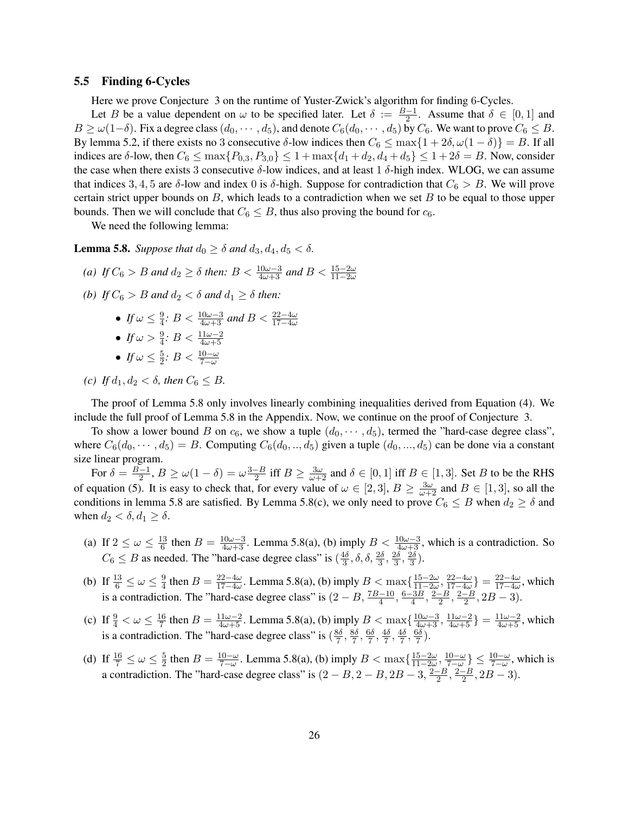### 5.5 Finding 6-Cycles

Here we prove Conjecture 3 on the runtime of Yuster-Zwick's algorithm for finding 6-Cycles.

Let B be a value dependent on  $\omega$  to be specified later. Let  $\delta := \frac{B-1}{2}$ . Assume that  $\delta \in [0,1]$  and  $B \ge \omega(1-\delta)$ . Fix a degree class  $(d_0, \dots, d_5)$ , and denote  $C_6(d_0, \dots, d_5)$  by  $C_6$ . We want to prove  $C_6 \le B$ . By lemma 5.2, if there exists no 3 consecutive δ-low indices then  $C_6 \le \max\{1+2\delta, \omega(1-\delta)\} = B$ . If all indices are δ-low, then  $C_6 \le \max\{P_{0,3}, P_{3,0}\} \le 1 + \max\{d_1 + d_2, d_4 + d_5\} \le 1 + 2\delta = B$ . Now, consider the case when there exists 3 consecutive  $\delta$ -low indices, and at least 1  $\delta$ -high index. WLOG, we can assume that indices 3, 4, 5 are  $\delta$ -low and index 0 is  $\delta$ -high. Suppose for contradiction that  $C_6 > B$ . We will prove certain strict upper bounds on  $B$ , which leads to a contradiction when we set  $B$  to be equal to those upper bounds. Then we will conclude that  $C_6 \leq B$ , thus also proving the bound for  $c_6$ .

We need the following lemma:

**Lemma 5.8.** *Suppose that*  $d_0 \geq \delta$  *and*  $d_3$ ,  $d_4$ ,  $d_5 < \delta$ .

- (a) If  $C_6 > B$  and  $d_2 \ge \delta$  then:  $B < \frac{10\omega 3}{4\omega + 3}$  and  $B < \frac{15 2\omega}{11 2\omega}$
- *(b) If*  $C_6 > B$  *and*  $d_2 < \delta$  *and*  $d_1 > \delta$  *then:* 
	- $\bullet$  *If*  $\omega \leq \frac{9}{4}$  $\frac{9}{4}$ : *B* <  $\frac{10\omega-3}{4\omega+3}$  *and B* <  $\frac{22-4\omega}{17-4\omega}$
	- $\bullet$  *If*  $\omega > \frac{9}{4}$ :  $B < \frac{11\omega 2}{4\omega + 5}$
	- *If*  $\omega \leq \frac{5}{2}$  $\frac{5}{2}$ :  $B < \frac{10-\omega}{7-\omega}$
- *(c) If*  $d_1, d_2 < \delta$ *, then*  $C_6 \leq B$ *.*

The proof of Lemma 5.8 only involves linearly combining inequalities derived from Equation (4). We include the full proof of Lemma 5.8 in the Appendix. Now, we continue on the proof of Conjecture 3.

To show a lower bound B on  $c_6$ , we show a tuple  $(d_0, \dots, d_5)$ , termed the "hard-case degree class", where  $C_6(d_0, \dots, d_5) = B$ . Computing  $C_6(d_0, \dots, d_5)$  given a tuple  $(d_0, \dots, d_5)$  can be done via a constant size linear program.

For  $\delta = \frac{B-1}{2}$  $\frac{-1}{2}, B \ge \omega(1-\delta) = \omega \frac{3-B}{2}$  $\frac{-B}{2}$  iff  $B \ge \frac{3\omega}{\omega+2}$  and  $\delta \in [0,1]$  iff  $B \in [1,3]$ . Set B to be the RHS of equation (5). It is easy to check that, for every value of  $\omega \in [2,3]$ ,  $B \ge \frac{3\omega}{\omega+2}$  and  $B \in [1,3]$ , so all the conditions in lemma 5.8 are satisfied. By Lemma 5.8(c), we only need to prove  $C_6 \leq B$  when  $d_2 \geq \delta$  and when  $d_2 < \delta, d_1 \geq \delta$ .

- (a) If  $2 \leq \omega \leq \frac{13}{6}$  $\frac{13}{6}$  then  $B = \frac{10\omega - 3}{4\omega + 3}$ . Lemma 5.8(a), (b) imply  $B < \frac{10\omega - 3}{4\omega + 3}$ , which is a contradiction. So  $C_6 \leq B$  as needed. The "hard-case degree class" is  $\left(\frac{4\delta}{3}\right)$  $\frac{4\delta}{3}$ ,  $\delta$ ,  $\delta$ ,  $\frac{2\delta}{3}$ ,  $\frac{2\delta}{3}$  $\frac{2\delta}{3}, \frac{2\delta}{3}$  $\frac{2\delta}{3}$ ).
- (b) If  $\frac{13}{6} \le \omega \le \frac{9}{4}$  $\frac{9}{4}$  then  $B = \frac{22-4\omega}{17-4\omega}$  $\frac{22-4\omega}{17-4\omega}$ . Lemma 5.8(a), (b) imply *B* < max $\{\frac{15-2\omega}{11-2\omega}$  $\frac{15-2\omega}{11-2\omega}, \frac{22-4\omega}{17-4\omega}$  $\frac{22-4\omega}{17-4\omega}$ } =  $\frac{22-4\omega}{17-4\omega}$  $\frac{22-4\omega}{17-4\omega}$ , which is a contradiction. The "hard-case degree class" is  $(2 - B, \frac{7B - 10}{4}, \frac{6 - 3B}{4})$  $\frac{3B}{4}$ ,  $\frac{2-B}{2}$  $\frac{-B}{2}$ ,  $\frac{2-B}{2}$  $\frac{-B}{2}$ , 2B – 3).
- (c) If  $\frac{9}{4} < \omega \leq \frac{16}{7}$  $\frac{16}{7}$  then  $B = \frac{11\omega - 2}{4\omega + 5}$ . Lemma 5.8(a), (b) imply  $B < \max\{\frac{10\omega - 3}{4\omega + 3}, \frac{11\omega - 2}{4\omega + 5}\} = \frac{11\omega - 2}{4\omega + 5}$ , which is a contradiction. The "hard-case degree class" is  $\left(\frac{8\delta}{7}\right)$  $\frac{3\delta}{7}, \frac{8\delta}{7}$  $\frac{3\delta}{7}, \frac{6\delta}{7}$  $\frac{3\delta}{7}, \frac{4\delta}{7}$  $\frac{4\delta}{7}, \frac{4\delta}{7}$  $\frac{4\delta}{7}, \frac{6\delta}{7}$  $\frac{30}{7}$ ).
- (d) If  $\frac{16}{7} \le \omega \le \frac{5}{2}$  $\frac{5}{2}$  then  $B = \frac{10-\omega}{7-\omega}$  $\frac{10-\omega}{7-\omega}$ . Lemma 5.8(a), (b) imply *B* < max $\{\frac{15-2\omega}{11-2\omega}\}$  $\frac{15-2\omega}{11-2\omega}, \frac{10-\omega}{7-\omega}$  $\frac{10-\omega}{7-\omega}$ }  $\leq \frac{10-\omega}{7-\omega}$ , which is a contradiction. The "hard-case degree class" is  $(2 - B, 2 - B, 2B - 3, \frac{2-B}{2})$  $\frac{-B}{2}, \frac{2-B}{2}$  $\frac{-B}{2}$ , 2B – 3).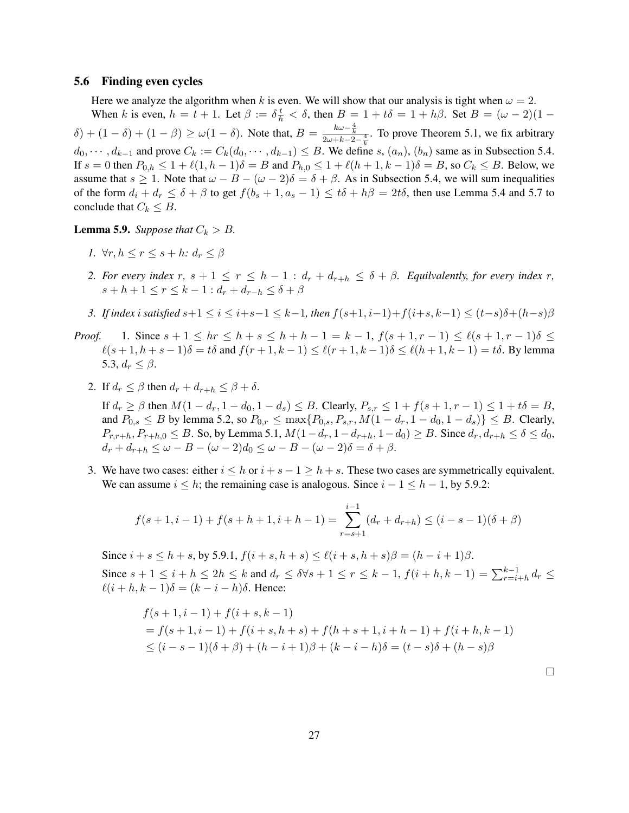### 5.6 Finding even cycles

Here we analyze the algorithm when k is even. We will show that our analysis is tight when  $\omega = 2$ . When k is even,  $h = t + 1$ . Let  $\beta := \delta \frac{t}{h} < \delta$ , then  $B = 1 + t\delta = 1 + h\beta$ . Set  $B = (\omega - 2)(1 \delta$ ) +  $(1 - \delta)$  +  $(1 - \beta)$   $\geq \omega(1 - \delta)$ . Note that,  $B = \frac{k\omega - \frac{4}{k}}{2\omega + k - 2 - \frac{4}{k}}$ . To prove Theorem 5.1, we fix arbitrary  $d_0, \dots, d_{k-1}$  and prove  $C_k := C_k(d_0, \dots, d_{k-1}) \leq B$ . We define s,  $(a_n)$ ,  $(b_n)$  same as in Subsection 5.4. If  $s = 0$  then  $P_{0,h} \leq 1 + \ell(1, h - 1)\delta = B$  and  $P_{h,0} \leq 1 + \ell(h + 1, k - 1)\delta = B$ , so  $C_k \leq B$ . Below, we assume that  $s \ge 1$ . Note that  $\omega - B - (\omega - 2)\delta = \delta + \beta$ . As in Subsection 5.4, we will sum inequalities of the form  $d_i + d_r \le \delta + \beta$  to get  $f(b_s + 1, a_s - 1) \le t\delta + h\beta = 2t\delta$ , then use Lemma 5.4 and 5.7 to conclude that  $C_k \leq B$ .

**Lemma 5.9.** *Suppose that*  $C_k > B$ *.* 

- *1.*  $\forall r, h \leq r \leq s+h$ :  $d_r \leq \beta$
- *2. For every index*  $r, s + 1 \leq r \leq h 1$  :  $d_r + d_{r+h} \leq \delta + \beta$ *. Equilvalently, for every index* r,  $s + h + 1 \leq r \leq k - 1$  :  $d_r + d_{r-h} \leq \delta + \beta$
- *3. If index i satisfied*  $s+1 \le i \le i+s-1 \le k-1$ , *then*  $f(s+1, i-1)+f(i+s, k-1) \le (t-s)\delta+(h-s)\beta$
- *Proof.* 1. Since  $s + 1 \leq hr \leq h + s \leq h + h 1 = k 1$ ,  $f(s + 1, r 1) \leq \ell(s + 1, r 1)\delta \leq$  $\ell(s + 1, h + s - 1)\delta = t\delta$  and  $f(r + 1, k - 1) \leq \ell(r + 1, k - 1)\delta \leq \ell(h + 1, k - 1) = t\delta$ . By lemma 5.3,  $d_r \leq \beta$ .
	- 2. If  $d_r \leq \beta$  then  $d_r + d_{r+h} \leq \beta + \delta$ .

If  $d_r \ge \beta$  then  $M(1 - d_r, 1 - d_0, 1 - d_s) \le B$ . Clearly,  $P_{s,r} \le 1 + f(s + 1, r - 1) \le 1 + t\delta = B$ , and  $P_{0,s} \leq B$  by lemma 5.2, so  $P_{0,r} \leq \max\{P_{0,s}, P_{s,r}, M(1-d_r, 1-d_0, 1-d_s)\} \leq B$ . Clearly,  $P_{r,r+h}, P_{r+h,0} \leq B$ . So, by Lemma 5.1,  $M(1-d_r, 1-d_{r+h}, 1-d_0) \geq B$ . Since  $d_r, d_{r+h} \leq \delta \leq d_0$ ,  $d_r + d_{r+h} \leq \omega - B - (\omega - 2)d_0 \leq \omega - B - (\omega - 2)\delta = \delta + \beta.$ 

3. We have two cases: either  $i \leq h$  or  $i + s - 1 \geq h + s$ . These two cases are symmetrically equivalent. We can assume  $i \leq h$ ; the remaining case is analogous. Since  $i - 1 \leq h - 1$ , by 5.9.2:

$$
f(s+1,i-1) + f(s+h+1,i+h-1) = \sum_{r=s+1}^{i-1} (d_r + d_{r+h}) \le (i-s-1)(\delta + \beta)
$$

Since  $i + s \le h + s$ , by 5.9.1,  $f(i + s, h + s) \le \ell(i + s, h + s)\beta = (h - i + 1)\beta$ . Since  $s + 1 \leq i + h \leq 2h \leq k$  and  $d_r \leq \delta \forall s + 1 \leq r \leq k - 1$ ,  $f(i + h, k - 1) = \sum_{r=i+h}^{k-1} d_r \leq$  $\ell(i + h, k - 1)\delta = (k - i - h)\delta$ . Hence:

$$
f(s+1, i-1) + f(i+s, k-1)
$$
  
=  $f(s+1, i-1) + f(i+s, h+s) + f(h+s+1, i+h-1) + f(i+h, k-1)$   
 $\leq (i-s-1)(\delta+\beta) + (h-i+1)\beta + (k-i-h)\delta = (t-s)\delta + (h-s)\beta$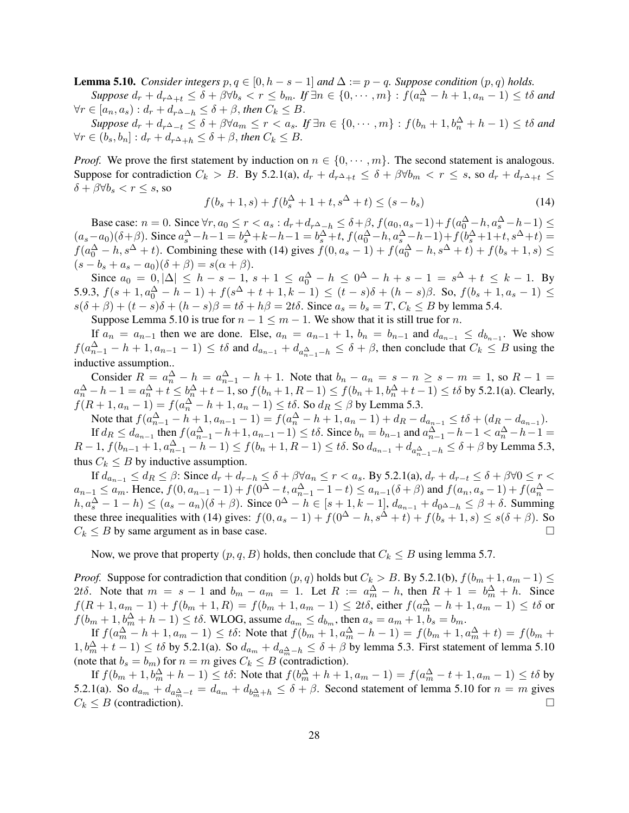**Lemma 5.10.** *Consider integers*  $p, q \in [0, h - s - 1]$  *and*  $\Delta := p - q$ *. Suppose condition*  $(p, q)$  *holds.* 

 $Suppose\ d_r+d_{r^{\Delta}+t}\leq\delta+\beta\forall b_s If  $\exists n\in\{0,\cdots,m\}: f(a_n^{\Delta}-h+1,a_n-1)\leq t\delta$  and$  $\forall r \in [a_n, a_s) : d_r + d_{r^{\Delta}-h} \leq \delta + \beta$ , then  $C_k \leq B$ .

 $Suppose\ d_r+d_r\Delta_{-t}\leq\delta+\beta\forall a_m\leq r < a_s.\ If\ \exists n\in\{0,\cdots,m\}\ : f(b_n+1,b_n^{\Delta}+h-1)\leq t\delta\ and$  $\forall r \in (b_s, b_n] : d_r + d_{r^{\Delta}+h} \leq \delta + \beta$ , then  $C_k \leq B$ .

*Proof.* We prove the first statement by induction on  $n \in \{0, \dots, m\}$ . The second statement is analogous. Suppose for contradiction  $C_k > B$ . By 5.2.1(a),  $d_r + d_{r\Delta+t} \leq \delta + \beta \forall b_m < r \leq s$ , so  $d_r + d_{r\Delta+t} \leq$  $\delta + \beta \forall b_s < r \leq s$ , so

$$
f(b_s + 1, s) + f(b_s^{\Delta} + 1 + t, s^{\Delta} + t) \le (s - b_s)
$$
\n(14)

Base case:  $n = 0$ . Since  $\forall r, a_0 \le r < a_s : d_r + d_{r \Delta_1 h} \le \delta + \beta$ ,  $f(a_0, a_s - 1) + f(a_0^{\Delta} - h, a_s^{\Delta} - h - 1) \le$  $(a_s - a_0)(\delta + \beta)$ . Since  $a_s^{\Delta} - h - 1 = b_s^{\Delta} + k - h - 1 = b_s^{\Delta} + t$ ,  $f(a_0^{\Delta} - h, a_s^{\Delta} - h - 1) + f(b_s^{\Delta} + 1 + t, s^{\Delta} + t) =$  $f(a_0^{\Delta} - h, s^{\Delta} + t)$ . Combining these with (14) gives  $f(0, a_s - 1) + f(a_0^{\Delta} - h, s^{\Delta} + t) + f(b_s + 1, s) \le$  $(s - b<sub>s</sub> + a<sub>s</sub> - a<sub>0</sub>)(\delta + \beta) = s(\alpha + \beta).$ 

Since  $a_0 = 0, |\Delta| \le h - s - 1$ ,  $s + 1 \le a_0^{\Delta} - h \le 0^{\Delta} - h + s - 1 = s^{\Delta} + t \le k - 1$ . By 5.9.3,  $f(s+1, a_0^{\Delta} - h - 1) + f(s^{\Delta} + t + 1, k - 1) \le (t - s)\delta + (h - s)\beta$ . So,  $f(b_s + 1, a_s - 1) \le$  $s(\delta + \beta) + (t - s)\delta + (h - s)\beta = t\delta + h\beta = 2t\delta$ . Since  $a_s = b_s = T$ ,  $C_k \leq B$  by lemma 5.4.

Suppose Lemma 5.10 is true for  $n - 1 \le m - 1$ . We show that it is still true for *n*.

If  $a_n = a_{n-1}$  then we are done. Else,  $a_n = a_{n-1} + 1$ ,  $b_n = b_{n-1}$  and  $d_{a_{n-1}} \leq d_{b_{n-1}}$ . We show  $f(a_{n-1}^{\Delta} - h + 1, a_{n-1} - 1) \leq t\delta$  and  $d_{a_{n-1}} + d_{a_{n-1}^{\Delta} - h} \leq \delta + \beta$ , then conclude that  $C_k \leq B$  using the inductive assumption..

Consider  $R = a_n^{\Delta} - h = a_{n-1}^{\Delta} - h + 1$ . Note that  $b_n - a_n = s - n \ge s - m = 1$ , so  $R - 1 =$  $a_n^{\Delta} - h - 1 = a_n^{\Delta} + t \leq b_n^{\Delta} + t - 1$ , so  $f(b_n + 1, R - 1) \leq f(b_n + 1, b_n^{\Delta} + t - 1) \leq t\delta$  by 5.2.1(a). Clearly,  $f(R + 1, a_n - 1) = f(a_n^{\Delta} - h + 1, a_n - 1) \leq t\delta$ . So  $d_R \leq \beta$  by Lemma 5.3.

Note that  $f(a_{n-1}^{\Delta} - h + 1, a_{n-1} - 1) = f(a_n^{\Delta} - h + 1, a_n - 1) + d_R - d_{a_{n-1}} \leq t\delta + (d_R - d_{a_{n-1}})$ . If  $d_R \leq d_{a_{n-1}}$  then  $f(a_{n-1}^{\Delta} - h + 1, a_{n-1} - 1) \leq t\delta$ . Since  $b_n = b_{n-1}$  and  $a_{n-1}^{\Delta} - h - 1 < a_n^{\Delta} - h - 1 =$  $R-1$ ,  $f(b_{n-1}+1, a_{n-1}^{\Delta}-h-1)$  ≤  $f(b_n+1, R-1)$  ≤ tδ. So  $d_{a_{n-1}}+d_{a_{n-1}^{\Delta}-h}$  ≤ δ + β by Lemma 5.3, thus  $C_k \leq B$  by inductive assumption.

If  $d_{a_{n-1}} \leq d_R \leq \beta$ : Since  $d_r + d_{r-h} \leq \delta + \beta \forall a_n \leq r < a_s$ . By 5.2.1(a),  $d_r + d_{r-t} \leq \delta + \beta \forall 0 \leq r <$  $a_{n-1} \le a_m$ . Hence,  $f(0, a_{n-1}-1) + f(0^{\Delta} - t, a_{n-1}^{\Delta} - 1 - t) \le a_{n-1}(\delta + \beta)$  and  $f(a_n, a_s - 1) + f(a_n^{\Delta} - t)$  $h, a_s^{\Delta} - 1 - h \le (a_s - a_n)(\delta + \beta)$ . Since  $0^{\Delta} - h \in [s + 1, k - 1]$ ,  $d_{a_{n-1}} + d_{0^{\Delta} - h} \le \beta + \delta$ . Summing these three inequalities with (14) gives:  $f(0, a_s - 1) + f(0^{\Delta} - h, s^{\Delta} + t) + f(b_s + 1, s) \leq s(\delta + \beta)$ . So  $C_k \leq B$  by same argument as in base case.

Now, we prove that property  $(p, q, B)$  holds, then conclude that  $C_k \leq B$  using lemma 5.7.

*Proof.* Suppose for contradiction that condition  $(p, q)$  holds but  $C_k > B$ . By 5.2.1(b),  $f(b_m + 1, a_m - 1) \le$ 2tδ. Note that  $m = s - 1$  and  $b_m - a_m = 1$ . Let  $R := a_m^{\Delta} - h$ , then  $R + 1 = b_m^{\Delta} + h$ . Since  $f(R + 1, a_m - 1) + f(b_m + 1, R) = f(b_m + 1, a_m - 1) \leq 2t\delta$ , either  $f(a_m^{\Delta} - h + 1, a_m - 1) \leq t\delta$  or  $f(b_m + 1, b_m^{\Delta} + h - 1) \leq t\delta$ . WLOG, assume  $d_{a_m} \leq d_{b_m}$ , then  $a_s = a_m + 1, b_s = b_m$ .

If  $f(a_m^{\Delta} - h + 1, a_m - 1) \leq t\delta$ : Note that  $f(b_m + 1, a_m^{\Delta} - h - 1) = f(b_m + 1, a_m^{\Delta} + t) = f(b_m + 1, a_m^{\Delta} - t)$  $(1, b_m^{\Delta} + t - 1) \leq t\delta$  by 5.2.1(a). So  $d_{a_m} + d_{a_m^{\Delta} - h} \leq \delta + \beta$  by lemma 5.3. First statement of lemma 5.10 (note that  $b_s = b_m$ ) for  $n = m$  gives  $C_k \leq B$  (contradiction).

If  $f(b_m+1,b_m^{\Delta}+h-1) \leq t\delta$ : Note that  $f(b_m^{\Delta}+h+1,a_m-1) = f(a_m^{\Delta}-t+1,a_m-1) \leq t\delta$  by 5.2.1(a). So  $d_{a_m} + d_{a_m^{\Delta}-t} = d_{a_m} + d_{b_m^{\Delta}+h} \leq \delta + \beta$ . Second statement of lemma 5.10 for  $n = m$  gives  $C_k \leq B$  (contradiction).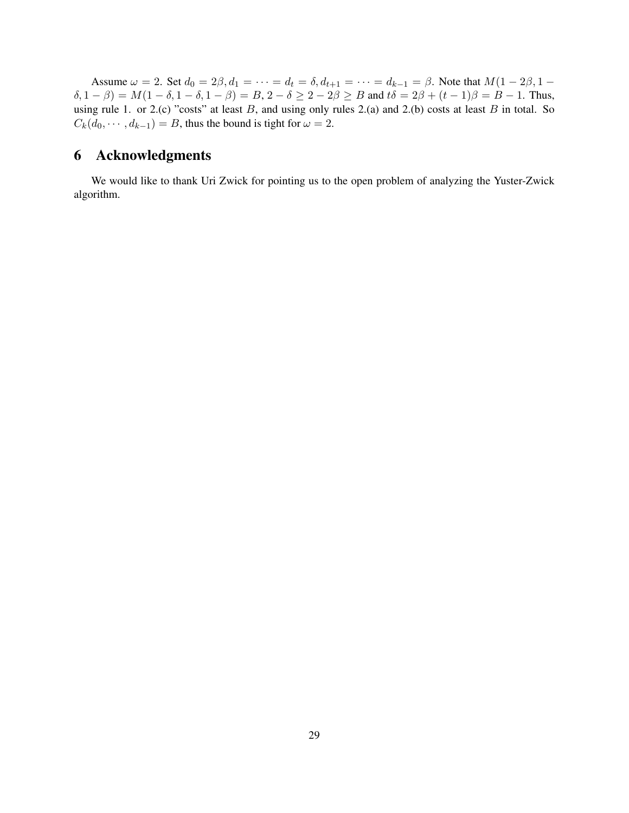Assume  $\omega = 2$ . Set  $d_0 = 2\beta$ ,  $d_1 = \cdots = d_t = \delta$ ,  $d_{t+1} = \cdots = d_{k-1} = \beta$ . Note that  $M(1 - 2\beta, 1 (\delta, 1 - \beta) = M(1 - \delta, 1 - \delta, 1 - \beta) = B$ ,  $2 - \delta \ge 2 - 2\beta \ge B$  and  $t\delta = 2\beta + (t - 1)\beta = B - 1$ . Thus, using rule 1. or 2.(c) "costs" at least  $B$ , and using only rules 2.(a) and 2.(b) costs at least  $B$  in total. So  $C_k(d_0, \dots, d_{k-1}) = B$ , thus the bound is tight for  $\omega = 2$ .

# 6 Acknowledgments

We would like to thank Uri Zwick for pointing us to the open problem of analyzing the Yuster-Zwick algorithm.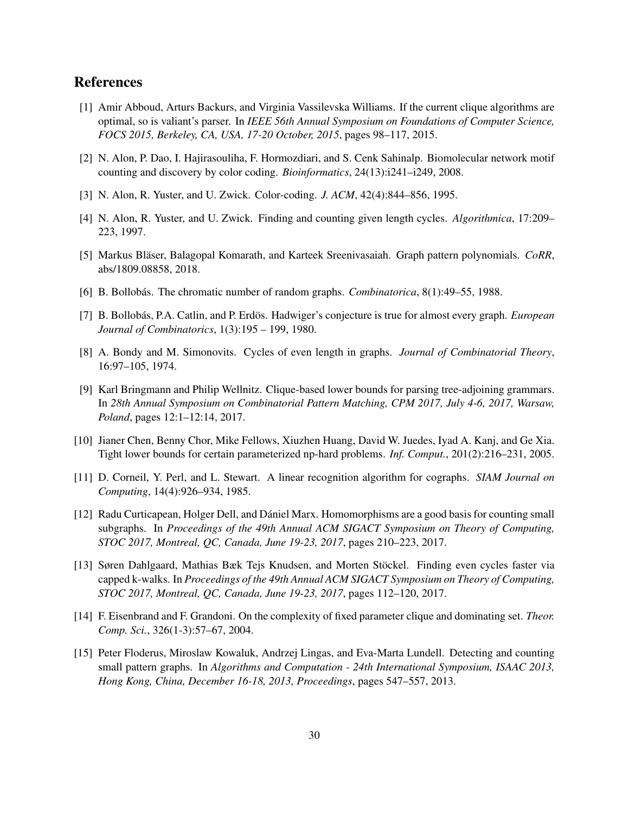## References

- [1] Amir Abboud, Arturs Backurs, and Virginia Vassilevska Williams. If the current clique algorithms are optimal, so is valiant's parser. In *IEEE 56th Annual Symposium on Foundations of Computer Science, FOCS 2015, Berkeley, CA, USA, 17-20 October, 2015*, pages 98–117, 2015.
- [2] N. Alon, P. Dao, I. Hajirasouliha, F. Hormozdiari, and S. Cenk Sahinalp. Biomolecular network motif counting and discovery by color coding. *Bioinformatics*, 24(13):i241–i249, 2008.
- [3] N. Alon, R. Yuster, and U. Zwick. Color-coding. *J. ACM*, 42(4):844–856, 1995.
- [4] N. Alon, R. Yuster, and U. Zwick. Finding and counting given length cycles. *Algorithmica*, 17:209– 223, 1997.
- [5] Markus Bläser, Balagopal Komarath, and Karteek Sreenivasaiah. Graph pattern polynomials. *CoRR*, abs/1809.08858, 2018.
- [6] B. Bollobás. The chromatic number of random graphs. *Combinatorica*, 8(1):49–55, 1988.
- [7] B. Bollobás, P.A. Catlin, and P. Erdös. Hadwiger's conjecture is true for almost every graph. *European Journal of Combinatorics*, 1(3):195 – 199, 1980.
- [8] A. Bondy and M. Simonovits. Cycles of even length in graphs. *Journal of Combinatorial Theory*, 16:97–105, 1974.
- [9] Karl Bringmann and Philip Wellnitz. Clique-based lower bounds for parsing tree-adjoining grammars. In *28th Annual Symposium on Combinatorial Pattern Matching, CPM 2017, July 4-6, 2017, Warsaw, Poland*, pages 12:1–12:14, 2017.
- [10] Jianer Chen, Benny Chor, Mike Fellows, Xiuzhen Huang, David W. Juedes, Iyad A. Kanj, and Ge Xia. Tight lower bounds for certain parameterized np-hard problems. *Inf. Comput.*, 201(2):216–231, 2005.
- [11] D. Corneil, Y. Perl, and L. Stewart. A linear recognition algorithm for cographs. *SIAM Journal on Computing*, 14(4):926–934, 1985.
- [12] Radu Curticapean, Holger Dell, and Dániel Marx. Homomorphisms are a good basis for counting small subgraphs. In *Proceedings of the 49th Annual ACM SIGACT Symposium on Theory of Computing, STOC 2017, Montreal, QC, Canada, June 19-23, 2017*, pages 210–223, 2017.
- [13] Søren Dahlgaard, Mathias Bæk Tejs Knudsen, and Morten Stockel. Finding even cycles faster via ¨ capped k-walks. In *Proceedings of the 49th Annual ACM SIGACT Symposium on Theory of Computing, STOC 2017, Montreal, QC, Canada, June 19-23, 2017*, pages 112–120, 2017.
- [14] F. Eisenbrand and F. Grandoni. On the complexity of fixed parameter clique and dominating set. *Theor. Comp. Sci.*, 326(1-3):57–67, 2004.
- [15] Peter Floderus, Miroslaw Kowaluk, Andrzej Lingas, and Eva-Marta Lundell. Detecting and counting small pattern graphs. In *Algorithms and Computation - 24th International Symposium, ISAAC 2013, Hong Kong, China, December 16-18, 2013, Proceedings*, pages 547–557, 2013.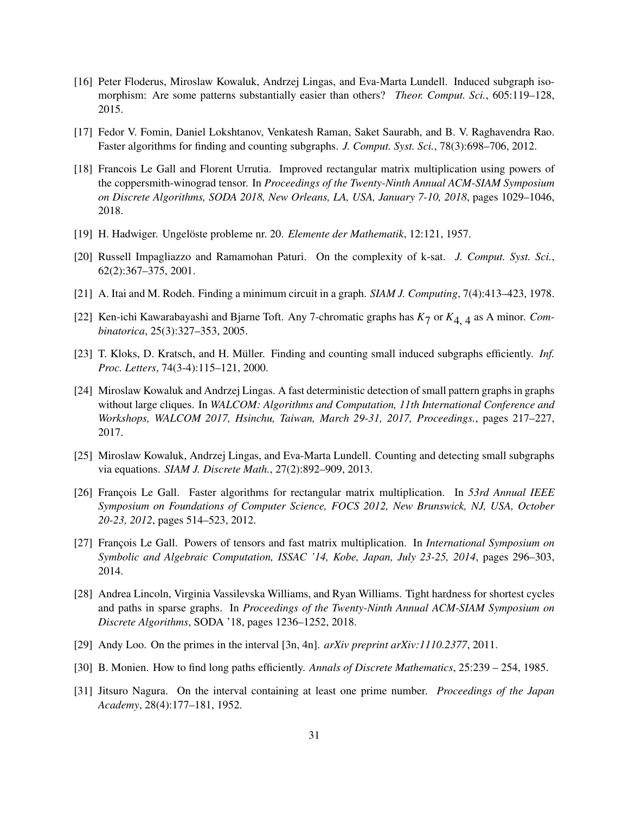- [16] Peter Floderus, Miroslaw Kowaluk, Andrzej Lingas, and Eva-Marta Lundell. Induced subgraph isomorphism: Are some patterns substantially easier than others? *Theor. Comput. Sci.*, 605:119–128, 2015.
- [17] Fedor V. Fomin, Daniel Lokshtanov, Venkatesh Raman, Saket Saurabh, and B. V. Raghavendra Rao. Faster algorithms for finding and counting subgraphs. *J. Comput. Syst. Sci.*, 78(3):698–706, 2012.
- [18] Francois Le Gall and Florent Urrutia. Improved rectangular matrix multiplication using powers of the coppersmith-winograd tensor. In *Proceedings of the Twenty-Ninth Annual ACM-SIAM Symposium on Discrete Algorithms, SODA 2018, New Orleans, LA, USA, January 7-10, 2018*, pages 1029–1046, 2018.
- [19] H. Hadwiger. Ungelöste probleme nr. 20. *Elemente der Mathematik*, 12:121, 1957.
- [20] Russell Impagliazzo and Ramamohan Paturi. On the complexity of k-sat. *J. Comput. Syst. Sci.*, 62(2):367–375, 2001.
- [21] A. Itai and M. Rodeh. Finding a minimum circuit in a graph. *SIAM J. Computing*, 7(4):413–423, 1978.
- [22] Ken-ichi Kawarabayashi and Bjarne Toft. Any 7-chromatic graphs has *K*7 or *K*4, 4 as A minor. *Combinatorica*, 25(3):327–353, 2005.
- [23] T. Kloks, D. Kratsch, and H. Müller. Finding and counting small induced subgraphs efficiently. *Inf. Proc. Letters*, 74(3-4):115–121, 2000.
- [24] Miroslaw Kowaluk and Andrzej Lingas. A fast deterministic detection of small pattern graphs in graphs without large cliques. In *WALCOM: Algorithms and Computation, 11th International Conference and Workshops, WALCOM 2017, Hsinchu, Taiwan, March 29-31, 2017, Proceedings.*, pages 217–227, 2017.
- [25] Miroslaw Kowaluk, Andrzej Lingas, and Eva-Marta Lundell. Counting and detecting small subgraphs via equations. *SIAM J. Discrete Math.*, 27(2):892–909, 2013.
- [26] Francois Le Gall. Faster algorithms for rectangular matrix multiplication. In 53rd Annual IEEE *Symposium on Foundations of Computer Science, FOCS 2012, New Brunswick, NJ, USA, October 20-23, 2012*, pages 514–523, 2012.
- [27] Francois Le Gall. Powers of tensors and fast matrix multiplication. In *International Symposium on Symbolic and Algebraic Computation, ISSAC '14, Kobe, Japan, July 23-25, 2014*, pages 296–303, 2014.
- [28] Andrea Lincoln, Virginia Vassilevska Williams, and Ryan Williams. Tight hardness for shortest cycles and paths in sparse graphs. In *Proceedings of the Twenty-Ninth Annual ACM-SIAM Symposium on Discrete Algorithms*, SODA '18, pages 1236–1252, 2018.
- [29] Andy Loo. On the primes in the interval [3n, 4n]. *arXiv preprint arXiv:1110.2377*, 2011.
- [30] B. Monien. How to find long paths efficiently. *Annals of Discrete Mathematics*, 25:239 254, 1985.
- [31] Jitsuro Nagura. On the interval containing at least one prime number. *Proceedings of the Japan Academy*, 28(4):177–181, 1952.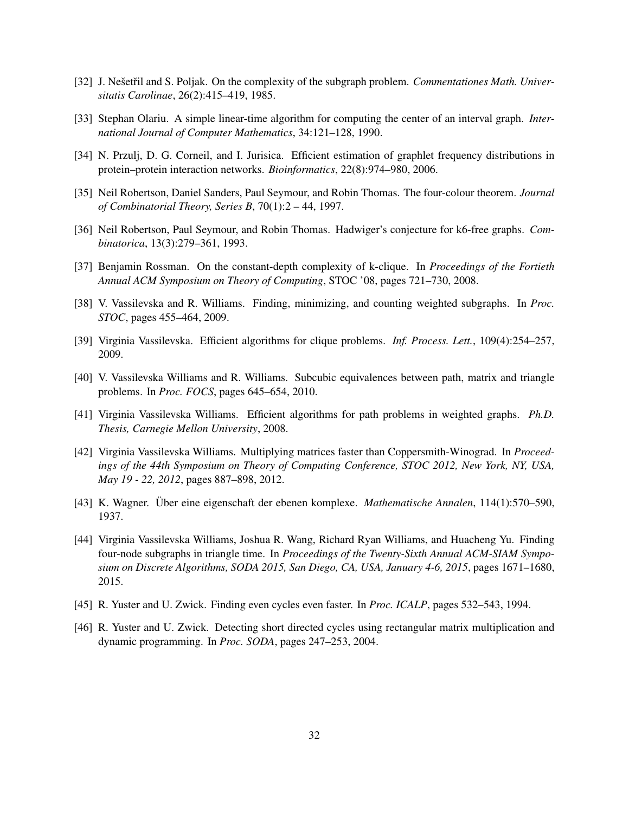- [32] J. Nešetřil and S. Poljak. On the complexity of the subgraph problem. *Commentationes Math. Universitatis Carolinae*, 26(2):415–419, 1985.
- [33] Stephan Olariu. A simple linear-time algorithm for computing the center of an interval graph. *International Journal of Computer Mathematics*, 34:121–128, 1990.
- [34] N. Przulj, D. G. Corneil, and I. Jurisica. Efficient estimation of graphlet frequency distributions in protein–protein interaction networks. *Bioinformatics*, 22(8):974–980, 2006.
- [35] Neil Robertson, Daniel Sanders, Paul Seymour, and Robin Thomas. The four-colour theorem. *Journal of Combinatorial Theory, Series B*, 70(1):2 – 44, 1997.
- [36] Neil Robertson, Paul Seymour, and Robin Thomas. Hadwiger's conjecture for k6-free graphs. *Combinatorica*, 13(3):279–361, 1993.
- [37] Benjamin Rossman. On the constant-depth complexity of k-clique. In *Proceedings of the Fortieth Annual ACM Symposium on Theory of Computing*, STOC '08, pages 721–730, 2008.
- [38] V. Vassilevska and R. Williams. Finding, minimizing, and counting weighted subgraphs. In *Proc. STOC*, pages 455–464, 2009.
- [39] Virginia Vassilevska. Efficient algorithms for clique problems. *Inf. Process. Lett.*, 109(4):254–257, 2009.
- [40] V. Vassilevska Williams and R. Williams. Subcubic equivalences between path, matrix and triangle problems. In *Proc. FOCS*, pages 645–654, 2010.
- [41] Virginia Vassilevska Williams. Efficient algorithms for path problems in weighted graphs. *Ph.D. Thesis, Carnegie Mellon University*, 2008.
- [42] Virginia Vassilevska Williams. Multiplying matrices faster than Coppersmith-Winograd. In *Proceedings of the 44th Symposium on Theory of Computing Conference, STOC 2012, New York, NY, USA, May 19 - 22, 2012*, pages 887–898, 2012.
- [43] K. Wagner. Uber eine eigenschaft der ebenen komplexe. ¨ *Mathematische Annalen*, 114(1):570–590, 1937.
- [44] Virginia Vassilevska Williams, Joshua R. Wang, Richard Ryan Williams, and Huacheng Yu. Finding four-node subgraphs in triangle time. In *Proceedings of the Twenty-Sixth Annual ACM-SIAM Symposium on Discrete Algorithms, SODA 2015, San Diego, CA, USA, January 4-6, 2015*, pages 1671–1680, 2015.
- [45] R. Yuster and U. Zwick. Finding even cycles even faster. In *Proc. ICALP*, pages 532–543, 1994.
- [46] R. Yuster and U. Zwick. Detecting short directed cycles using rectangular matrix multiplication and dynamic programming. In *Proc. SODA*, pages 247–253, 2004.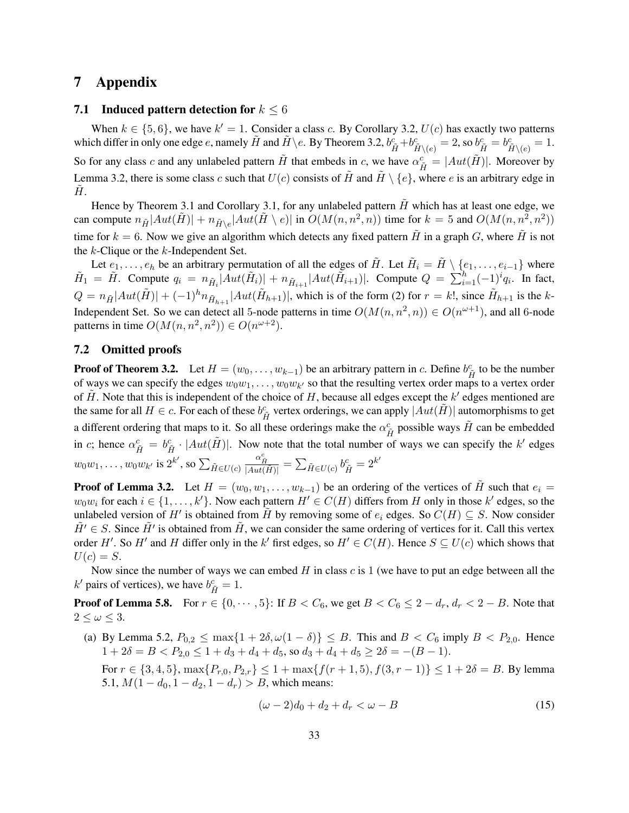### 7 Appendix

### 7.1 Induced pattern detection for  $k \leq 6$

When  $k \in \{5, 6\}$ , we have  $k' = 1$ . Consider a class c. By Corollary 3.2,  $U(c)$  has exactly two patterns which differ in only one edge e, namely  $\tilde{H}$  and  $\tilde{H} \setminus e$ . By Theorem 3.2,  $b_{\tilde{H}}^c + b_{\tilde{H} \setminus (e)}^c = 2$ , so  $b_{\tilde{H}}^c = b_{\tilde{H} \setminus (e)}^c = 1$ . So for any class c and any unlabeled pattern  $\tilde{H}$  that embeds in c, we have  $\alpha_{\tilde{H}}^c = |Aut(\tilde{H})|$ . Moreover by Lemma 3.2, there is some class c such that  $U(c)$  consists of  $\hat{H}$  and  $\hat{H} \setminus \{e\}$ , where e is an arbitrary edge in  $H$ .

Hence by Theorem 3.1 and Corollary 3.1, for any unlabeled pattern  $\tilde{H}$  which has at least one edge, we can compute  $n_{\tilde{H}}|Aut(\tilde{H})| + n_{\tilde{H}\setminus e}|Aut(\tilde{H}\setminus e)|$  in  $O(M(n, n^2, n))$  time for  $k = 5$  and  $O(M(n, n^2, n^2))$ time for  $k = 6$ . Now we give an algorithm which detects any fixed pattern  $\tilde{H}$  in a graph G, where  $\tilde{H}$  is not the k-Clique or the k-Independent Set.

Let  $e_1, \ldots, e_h$  be an arbitrary permutation of all the edges of  $\tilde{H}$ . Let  $\tilde{H}_i = \tilde{H} \setminus \{e_1, \ldots, e_{i-1}\}\$  where  $\tilde{H}_1 = \tilde{H}$ . Compute  $q_i = n_{\tilde{H}_i} |Aut(\tilde{H}_i)| + n_{\tilde{H}_{i+1}} |Aut(\tilde{H}_{i+1})|$ . Compute  $Q = \sum_{i=1}^h (-1)^i q_i$ . In fact,  $Q = n_{\tilde{H}}|Aut(\tilde{H})| + (-1)^h n_{\tilde{H}_{h+1}}|Aut(\tilde{H}_{h+1})|$ , which is of the form (2) for  $r = k!$ , since  $\tilde{H}_{h+1}$  is the k-Independent Set. So we can detect all 5-node patterns in time  $O(M(n, n^2, n)) \in O(n^{\omega+1})$ , and all 6-node patterns in time  $O(M(n, n^2, n^2)) \in O(n^{\omega+2})$ .

### 7.2 Omitted proofs

**Proof of Theorem 3.2.** Let  $H = (w_0, \dots, w_{k-1})$  be an arbitrary pattern in c. Define  $b_{\tilde{H}}^c$  to be the number of ways we can specify the edges  $w_0w_1, \ldots, w_0w_{k'}$  so that the resulting vertex order maps to a vertex order of  $\tilde{H}$ . Note that this is independent of the choice of H, because all edges except the k' edges mentioned are the same for all  $H \in c$ . For each of these  $b_{\tilde{H}}^c$  vertex orderings, we can apply  $|Aut(\tilde{H})|$  automorphisms to get a different ordering that maps to it. So all these orderings make the  $\alpha_{\tilde{H}}^c$  possible ways  $\tilde{H}$  can be embedded in c; hence  $\alpha_{\tilde{H}}^c = b_{\tilde{H}}^c \cdot |Aut(\tilde{H})|$ . Now note that the total number of ways we can specify the k' edges  $w_0w_1,\ldots,w_0w_{k'}$  is  $2^{k'},$  so  $\sum_{\tilde{H}\in U(c)}$  $\frac{\alpha_{\tilde{H}}^{c}}{|Aut(\tilde{H})|} = \sum_{\tilde{H} \in U(c)} b_{\tilde{H}}^{c} = 2^{k'}$ 

**Proof of Lemma 3.2.** Let  $H = (w_0, w_1, \dots, w_{k-1})$  be an ordering of the vertices of  $\tilde{H}$  such that  $e_i =$  $w_0w_i$  for each  $i \in \{1, \ldots, k'\}$ . Now each pattern  $H' \in C(H)$  differs from H only in those  $k'$  edges, so the unlabeled version of H' is obtained from  $\tilde{H}$  by removing some of  $e_i$  edges. So  $C(H) \subseteq S$ . Now consider  $\tilde{H}' \in S$ . Since  $\tilde{H}'$  is obtained from  $\tilde{H}$ , we can consider the same ordering of vertices for it. Call this vertex order H'. So H' and H differ only in the k' first edges, so  $H' \in C(H)$ . Hence  $S \subseteq U(c)$  which shows that  $U(c) = S$ .

Now since the number of ways we can embed  $H$  in class  $c$  is 1 (we have to put an edge between all the  $k'$  pairs of vertices), we have  $b_{\tilde{H}}^c = 1$ .

**Proof of Lemma 5.8.** For  $r \in \{0, \dots, 5\}$ : If  $B < C_6$ , we get  $B < C_6 \leq 2 - d_r$ ,  $d_r < 2 - B$ . Note that  $2 < \omega < 3$ .

(a) By Lemma 5.2,  $P_{0,2} \le \max\{1+2\delta, \omega(1-\delta)\} \le B$ . This and  $B < C_6$  imply  $B < P_{2,0}$ . Hence  $1 + 2\delta = B < P_{2,0} \le 1 + d_3 + d_4 + d_5$ , so  $d_3 + d_4 + d_5 \ge 2\delta = -(B-1)$ .

For  $r \in \{3, 4, 5\}$ ,  $\max\{P_{r,0}, P_{2,r}\} \leq 1 + \max\{f(r+1, 5), f(3, r-1)\} \leq 1 + 2\delta = B$ . By lemma 5.1,  $M(1 - d_0, 1 - d_2, 1 - d_r) > B$ , which means:

$$
(\omega - 2)d_0 + d_2 + d_r < \omega - B \tag{15}
$$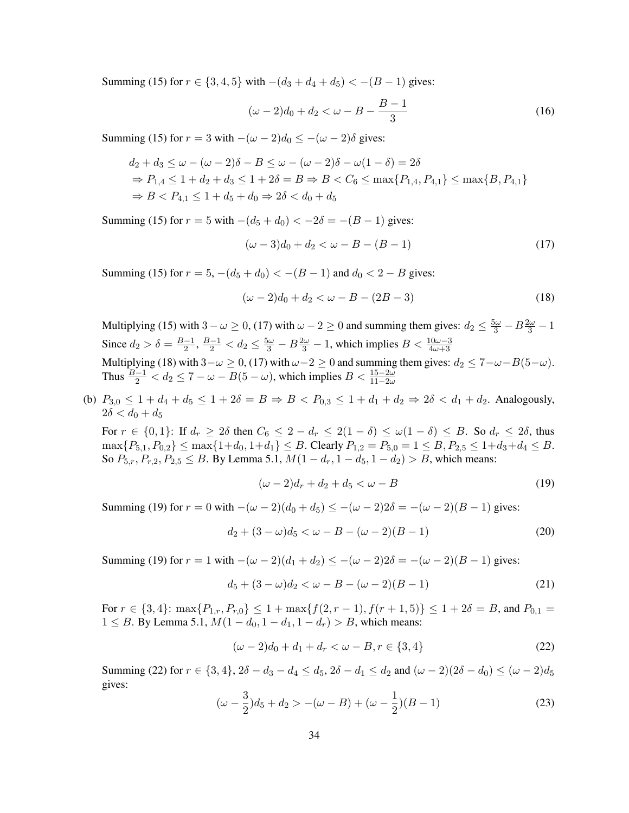Summing (15) for  $r \in \{3, 4, 5\}$  with  $-(d_3 + d_4 + d_5) < -(B - 1)$  gives:

$$
(\omega - 2)d_0 + d_2 < \omega - B - \frac{B - 1}{3} \tag{16}
$$

Summing (15) for  $r = 3$  with  $-(\omega - 2)d_0 \le -(\omega - 2)\delta$  gives:

$$
d_2 + d_3 \le \omega - (\omega - 2)\delta - B \le \omega - (\omega - 2)\delta - \omega(1 - \delta) = 2\delta
$$
  
\n
$$
\Rightarrow P_{1,4} \le 1 + d_2 + d_3 \le 1 + 2\delta = B \Rightarrow B < C_6 \le \max\{P_{1,4}, P_{4,1}\} \le \max\{B, P_{4,1}\}
$$
  
\n
$$
\Rightarrow B < P_{4,1} \le 1 + d_5 + d_0 \Rightarrow 2\delta < d_0 + d_5
$$

Summing (15) for  $r = 5$  with  $-(d_5 + d_0) < -2\delta = -(B - 1)$  gives:

$$
(\omega - 3)d_0 + d_2 < \omega - B - (B - 1)
$$
\n(17)

Summing (15) for  $r = 5$ ,  $-(d_5 + d_0) < -(B - 1)$  and  $d_0 < 2 - B$  gives:

$$
(\omega - 2)d_0 + d_2 < \omega - B - (2B - 3)
$$
\n(18)

Multiplying (15) with  $3 - \omega \ge 0$ , (17) with  $\omega - 2 \ge 0$  and summing them gives:  $d_2 \le \frac{5\omega}{3} - B\frac{2\omega}{3} - 1$ Since  $d_2 > \delta = \frac{B-1}{2}$  $\frac{-1}{2}$ ,  $\frac{B-1}{2}$  <  $d_2$  ≤  $\frac{5\omega}{3}$  −  $B\frac{2\omega}{3}$  − 1, which implies  $B < \frac{10\omega - 3}{4\omega + 3}$ Multiplying (18) with  $3-\omega \ge 0$ , (17) with  $\omega-2 \ge 0$  and summing them gives:  $d_2 \le 7-\omega-B(5-\omega)$ . Thus  $\frac{B-1}{2} < d_2 \le 7 - \omega - B(5 - \omega)$ , which implies  $B < \frac{15 - 2\omega}{11 - 2\omega}$ 

(b)  $P_{3,0} \leq 1 + d_4 + d_5 \leq 1 + 2\delta = B \Rightarrow B < P_{0,3} \leq 1 + d_1 + d_2 \Rightarrow 2\delta < d_1 + d_2$ . Analogously,  $2\delta < d_0 + d_5$ 

For  $r \in \{0,1\}$ : If  $d_r \geq 2\delta$  then  $C_6 \leq 2 - d_r \leq 2(1 - \delta) \leq \omega(1 - \delta) \leq B$ . So  $d_r \leq 2\delta$ , thus  $\max\{P_{5,1}, P_{0,2}\} \le \max\{1+d_0, 1+d_1\} \le B$ . Clearly  $P_{1,2} = P_{5,0} = 1 \le B, P_{2,5} \le 1+d_3+d_4 \le B$ . So  $P_{5,r}, P_{r,2}, P_{2,5} \leq B$ . By Lemma 5.1,  $M(1 - d_r, 1 - d_5, 1 - d_2) > B$ , which means:

$$
(\omega - 2)d_r + d_2 + d_5 < \omega - B \tag{19}
$$

Summing (19) for  $r = 0$  with  $-(\omega - 2)(d_0 + d_5) \leq -(\omega - 2)2\delta = -(\omega - 2)(B - 1)$  gives:

$$
d_2 + (3 - \omega)d_5 < \omega - B - (\omega - 2)(B - 1) \tag{20}
$$

Summing (19) for  $r = 1$  with  $-(\omega - 2)(d_1 + d_2) < -(\omega - 2)2\delta = -(\omega - 2)(B - 1)$  gives:

$$
d_5 + (3 - \omega)d_2 < \omega - B - (\omega - 2)(B - 1)
$$
 (21)

For  $r \in \{3, 4\}$ :  $\max\{P_{1,r}, P_{r,0}\} \leq 1 + \max\{f(2, r - 1), f(r + 1, 5)\} \leq 1 + 2\delta = B$ , and  $P_{0,1}$ 1 ≤ B. By Lemma 5.1,  $M(1 - d_0, 1 - d_1, 1 - d_r) > B$ , which means:

$$
(\omega - 2)d_0 + d_1 + d_r < \omega - B, r \in \{3, 4\} \tag{22}
$$

Summing (22) for  $r \in \{3, 4\}$ ,  $2\delta - d_3 - d_4 \leq d_5$ ,  $2\delta - d_1 \leq d_2$  and  $(\omega - 2)(2\delta - d_0) \leq (\omega - 2)d_5$ gives:

$$
(\omega - \frac{3}{2})d_5 + d_2 > -(\omega - B) + (\omega - \frac{1}{2})(B - 1)
$$
\n(23)